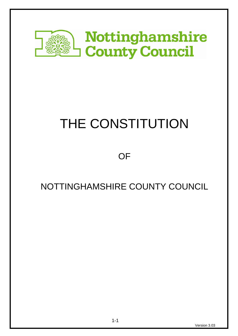

# THE CONSTITUTION

**OF** 

# NOTTINGHAMSHIRE COUNTY COUNCIL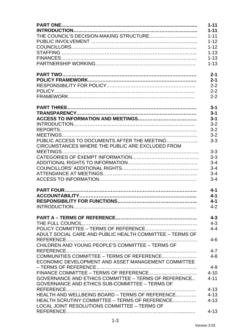|                                                             | $1 - 11$ |
|-------------------------------------------------------------|----------|
|                                                             | $1 - 11$ |
|                                                             | $1 - 11$ |
|                                                             | $1 - 12$ |
|                                                             | $1 - 12$ |
|                                                             | $1 - 13$ |
|                                                             | $1 - 13$ |
|                                                             | $1 - 13$ |
|                                                             |          |
|                                                             | $2 - 1$  |
|                                                             | $2 - 1$  |
|                                                             | $2 - 2$  |
|                                                             | $2 - 2$  |
|                                                             | $2 - 2$  |
|                                                             |          |
|                                                             | $3 - 1$  |
|                                                             | $3 - 1$  |
|                                                             | $3 - 1$  |
|                                                             | $3 - 2$  |
|                                                             | $3 - 2$  |
|                                                             | $3 - 2$  |
| PUBLIC ACCESS TO DOCUMENTS AFTER THE MEETING                | $3 - 3$  |
| CIRCUMSTANCES WHERE THE PUBLIC ARE EXCLUDED FROM            |          |
|                                                             | $3 - 3$  |
|                                                             | $3 - 3$  |
|                                                             | $3 - 4$  |
|                                                             | $3 - 4$  |
|                                                             | $3 - 4$  |
|                                                             | $3 - 4$  |
|                                                             |          |
|                                                             | $4 - 1$  |
|                                                             | $4 - 1$  |
|                                                             | $4 - 1$  |
|                                                             | $4 - 2$  |
|                                                             |          |
|                                                             | $4 - 3$  |
|                                                             | $4 - 3$  |
|                                                             | $4 - 4$  |
| ADULT SOCIAL CARE AND PUBLIC HEALTH COMMITTEE - TERMS OF    |          |
|                                                             | $4 - 6$  |
| CHILDREN AND YOUNG PEOPLE'S COMMITTEE - TERMS OF            |          |
|                                                             | $4 - 7$  |
| COMMUNITIES COMMITTEE - TERMS OF REFERENCE                  | $4 - 8$  |
| ECONOMIC DEVELOPMENT AND ASSET MANAGEMENT COMMITTEE         |          |
|                                                             |          |
|                                                             | $4 - 9$  |
|                                                             | $4 - 10$ |
| <b>GOVERNANCE AND ETHICS COMMITTEE - TERMS OF REFERENCE</b> | $4 - 11$ |
| <b>GOVERNANCE AND ETHICS SUB-COMMITTEE - TERMS OF</b>       |          |
|                                                             | $4 - 13$ |
| HEALTH AND WELLBEING BOARD - TERMS OF REFERENCE             | $4 - 13$ |
| HEALTH SCRUTINY COMMITTEE - TERMS OF REFERENCE              | $4 - 13$ |
| LOCAL JOINT RESOLUTIONS COMMITTEE - TERMS OF                |          |
|                                                             | $4 - 13$ |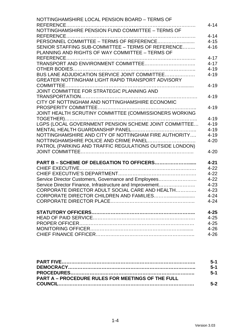| NOTTINGHAMSHIRE LOCAL PENSION BOARD - TERMS OF           | $4 - 14$ |
|----------------------------------------------------------|----------|
| NOTTINGHAMSHIRE PENSION FUND COMMITTEE - TERMS OF        |          |
|                                                          | $4 - 14$ |
| PERSONNEL COMMITTEE - TERMS OF REFERENCE                 | $4 - 15$ |
| SENIOR STAFFING SUB-COMMITTEE - TERMS OF REFERENCE       | $4 - 16$ |
| PLANNING AND RIGHTS OF WAY COMMITTEE - TERMS OF          |          |
|                                                          | $4 - 17$ |
|                                                          |          |
|                                                          | $4 - 17$ |
|                                                          | $4 - 19$ |
| BUS LANE ADJUDICATION SERVICE JOINT COMMITTEE            | $4 - 19$ |
| GREATER NOTTINGHAM LIGHT RAPID TRANSPORT ADVISORY        |          |
|                                                          | $4 - 19$ |
| JOINT COMMITTEE FOR STRATEGIC PLANNING AND               |          |
|                                                          | $4 - 19$ |
| CITY OF NOTTINGHAM AND NOTTINGHAMSHIRE ECONOMIC          |          |
|                                                          | $4 - 19$ |
| JOINT HEALTH SCRUTINY COMMITTEE (COMMISSIONERS WORKING   |          |
|                                                          | $4 - 19$ |
| LGPS (LOCAL GOVERNMENT PENSION SCHEME JOINT COMMITTEE    | $4 - 19$ |
|                                                          | $4 - 19$ |
| NOTTINGHAMSHIRE AND CITY OF NOTTINGHAM FIRE AUTHORITY    | $4 - 19$ |
| NOTTINGHAMSHIRE POLICE AND CRIME PANEL                   | $4 - 20$ |
| PATROL (PARKING AND TRAFFIC REGULATIONS OUTSIDE LONDON)  |          |
|                                                          | $4 - 20$ |
|                                                          |          |
| PART B - SCHEME OF DELEGATION TO OFFICERS                | $4 - 21$ |
|                                                          | $4 - 22$ |
|                                                          | $4 - 22$ |
| Service Director Customers, Governance and Employees     | $4 - 22$ |
| Service Director Finance, Infrastructure and Improvement | $4 - 23$ |
| CORPORATE DIRECTOR ADULT SOCIAL CARE AND HEALTH          | $4 - 23$ |
|                                                          | $4 - 24$ |
|                                                          | $4 - 24$ |
|                                                          | $4 - 25$ |
|                                                          | $4 - 25$ |
|                                                          | $4 - 25$ |
|                                                          | $4 - 26$ |
|                                                          | $4 - 26$ |
|                                                          |          |

|                                                          | $5 - 1$ |
|----------------------------------------------------------|---------|
|                                                          | $5-1$   |
|                                                          | $5-1$   |
| <b>PART A – PROCEDURE RULES FOR MEETINGS OF THE FULL</b> |         |
|                                                          | $5 - 2$ |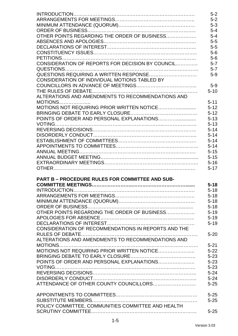|                                                     | $5 - 2$  |
|-----------------------------------------------------|----------|
|                                                     | $5 - 2$  |
|                                                     | $5 - 3$  |
|                                                     | $5 - 4$  |
| OTHER POINTS REGARDING THE ORDER OF BUSINESS        | $5 - 4$  |
|                                                     | $5-5$    |
|                                                     | $5-5$    |
|                                                     | $5-6$    |
|                                                     | $5-6$    |
| CONSIDERATION OF REPORTS FOR DECISION BY COUNCIL    | $5 - 7$  |
|                                                     | $5 - 7$  |
|                                                     | $5-9$    |
| CONSIDERATION OF INDIVIDUAL MOTIONS TABLED BY       |          |
|                                                     | $5-9$    |
|                                                     | $5 - 10$ |
| ALTERATIONS AND AMENDMENTS TO RECOMMENDATIONS AND   |          |
| $MOTIONS$                                           | $5 - 11$ |
| MOTIONS NOT REQUIRING PRIOR WRITTEN NOTICE          | $5 - 12$ |
|                                                     | $5 - 12$ |
| POINTS OF ORDER AND PERSONAL EXPLANATIONS           | $5 - 13$ |
|                                                     |          |
|                                                     | $5 - 13$ |
|                                                     | $5 - 14$ |
|                                                     | $5 - 14$ |
|                                                     | $5 - 14$ |
|                                                     | $5 - 14$ |
|                                                     | $5 - 15$ |
|                                                     | $5 - 15$ |
|                                                     | $5 - 16$ |
|                                                     | $5 - 17$ |
|                                                     |          |
| PART B - PROCEDURE RULES FOR COMMITTEE AND SUB-     |          |
|                                                     | $5 - 18$ |
| <b>INTRODUCTION</b>                                 | $5 - 18$ |
|                                                     | $5 - 18$ |
|                                                     | $5 - 18$ |
|                                                     | $5 - 18$ |
| OTHER POINTS REGARDING THE ORDER OF BUSINESS        | $5 - 19$ |
|                                                     | $5 - 19$ |
|                                                     | $5 - 19$ |
| CONSIDERATION OF RECOMMENDATIONS IN REPORTS AND THE |          |
|                                                     | $5 - 20$ |
| ALTERATIONS AND AMENDMENTS TO RECOMMENDATIONS AND   |          |
|                                                     | $5 - 21$ |
| MOTIONS NOT REQUIRING PRIOR WRITTEN NOTICE          | $5 - 22$ |
|                                                     | $5 - 23$ |
| POINTS OF ORDER AND PERSONAL EXPLANATIONS           | $5 - 23$ |
|                                                     | $5 - 23$ |
|                                                     | $5 - 24$ |
|                                                     | $5 - 24$ |
|                                                     | $5 - 25$ |
|                                                     |          |
|                                                     | $5 - 25$ |
|                                                     | $5 - 25$ |
| POLICY COMMITTEE, COMMUNITIES COMMITTEE AND HEALTH  |          |
|                                                     | $5 - 25$ |
|                                                     |          |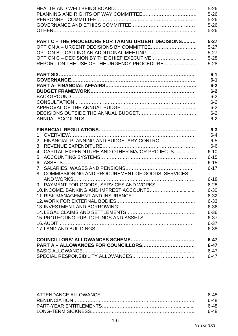|                                                           | $5 - 26$ |
|-----------------------------------------------------------|----------|
|                                                           | $5 - 26$ |
|                                                           | $5 - 26$ |
|                                                           |          |
|                                                           | $5 - 26$ |
|                                                           | $5 - 26$ |
| <b>PART C - THE PROCEDURE FOR TAKING URGENT DECISIONS</b> | $5 - 27$ |
|                                                           | $5 - 27$ |
| OPTION B - CALLING AN ADDITIONAL MEETING                  | $5 - 27$ |
|                                                           | $5 - 28$ |
| REPORT ON THE USE OF THE URGENCY PROCEDURE                | $5 - 28$ |
|                                                           |          |
|                                                           | $6-1$    |
|                                                           | $6 - 1$  |
|                                                           | $6 - 2$  |
|                                                           | $6 - 2$  |
|                                                           | $6 - 2$  |
|                                                           | $6 - 2$  |
|                                                           | $6 - 2$  |
|                                                           | $6 - 2$  |
|                                                           | $6 - 2$  |
|                                                           | $6 - 3$  |
|                                                           | $6 - 4$  |
| 2. FINANCIAL PLANNING AND BUDGETARY CONTROL               | $6-5$    |
|                                                           |          |
|                                                           | $6-6$    |
| 4. CAPITAL EXPENDITURE AND OTHER MAJOR PROJECTS           | $6 - 10$ |
|                                                           | $6 - 15$ |
| 6.                                                        | $6 - 15$ |
|                                                           | $6 - 17$ |
| 8. COMMISSIONING AND PROCUREMENT OF GOODS, SERVICES       |          |
|                                                           | $6 - 18$ |
| 9. PAYMENT FOR GOODS, SERVICES AND WORKS                  | $6 - 28$ |
| 10. INCOME, BANKING AND IMPREST ACCOUNTS                  | $6 - 30$ |
|                                                           | $6 - 32$ |
|                                                           | $6 - 33$ |
|                                                           | $6 - 36$ |
|                                                           | $6 - 36$ |
|                                                           | $6 - 37$ |
|                                                           | $6 - 37$ |
|                                                           | $6 - 38$ |
|                                                           | $6 - 47$ |
| PART A - ALLOWANCES FOR COUNCILLORS                       | $6 - 47$ |
|                                                           |          |
|                                                           | $6 - 47$ |
|                                                           | $6 - 47$ |

| 6-48 |
|------|
| ճ-48 |
| ճ-48 |
| 6-48 |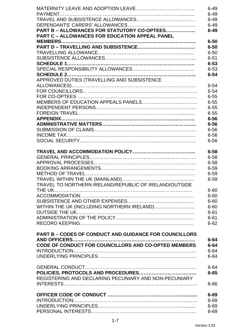|                                                               | $6 - 49$ |
|---------------------------------------------------------------|----------|
|                                                               | $6 - 49$ |
|                                                               | $6 - 49$ |
|                                                               | $6 - 49$ |
| PART B - ALLOWANCES FOR STATUTORY CO-OPTEES                   | $6 - 49$ |
| <b>PART C - ALLOWANCES FOR EDUCATION APPEAL PANEL</b>         |          |
|                                                               | $6 - 50$ |
|                                                               | $6 - 50$ |
|                                                               | $6 - 50$ |
|                                                               | $6 - 51$ |
|                                                               | $6 - 53$ |
|                                                               | $6 - 53$ |
|                                                               | $6 - 54$ |
| APPROVED DUTIES (TRAVELLING AND SUBSISTENCE                   |          |
|                                                               | $6 - 54$ |
|                                                               | $6 - 54$ |
|                                                               | $6 - 55$ |
|                                                               | $6 - 55$ |
|                                                               | $6 - 55$ |
|                                                               | $6 - 55$ |
|                                                               | $6 - 56$ |
|                                                               | $6 - 56$ |
|                                                               | $6 - 56$ |
|                                                               | $6 - 56$ |
|                                                               | $6 - 56$ |
|                                                               |          |
|                                                               | $6 - 58$ |
|                                                               | $6 - 58$ |
|                                                               | $6 - 58$ |
|                                                               | $6 - 59$ |
|                                                               | $6 - 59$ |
|                                                               | $6 - 59$ |
| TRAVEL TO NORTHERN IRELAND/REPUBLIC OF IRELAND/OUTSIDE        |          |
|                                                               | $6 - 60$ |
|                                                               | $6 - 60$ |
|                                                               | $6 - 60$ |
| WITHIN THE UK (INCLUDING NORTHERN IRELAND)                    | $6 - 60$ |
|                                                               | $6 - 61$ |
|                                                               | $6 - 61$ |
|                                                               | $6 - 62$ |
|                                                               |          |
| <b>PART B - CODES OF CONDUCT AND GUIDANCE FOR COUNCILLORS</b> |          |
| <b>AND OFFICERS</b>                                           | $6 - 64$ |
| CODE OF CONDUCT FOR COUNCILLORS AND CO-OPTED MEMBERS          | $6 - 64$ |
|                                                               | $6 - 64$ |
|                                                               | $6 - 64$ |
|                                                               |          |
|                                                               | $6 - 64$ |
|                                                               | $6 - 65$ |
| REGISTERING AND DECLARING PECUNIARY AND NON-PECUNIARY         |          |
|                                                               |          |
|                                                               | $6 - 66$ |
|                                                               |          |
|                                                               | $6 - 69$ |
|                                                               | $6 - 69$ |
|                                                               | $6 - 69$ |
|                                                               | $6 - 69$ |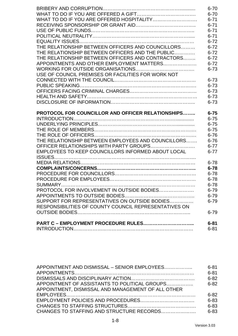|                                                                                                     | $6 - 70$             |
|-----------------------------------------------------------------------------------------------------|----------------------|
|                                                                                                     | $6 - 70$             |
|                                                                                                     | $6 - 71$             |
|                                                                                                     | $6 - 71$             |
|                                                                                                     | $6 - 71$             |
|                                                                                                     | $6 - 71$             |
|                                                                                                     | $6 - 72$             |
| THE RELATIONSHIP BETWEEN OFFICERS AND COUNCILLORS                                                   | $6 - 72$             |
| THE RELATIONSHIP BETWEEN OFFICERS AND THE PUBLIC                                                    | $6 - 72$             |
| THE RELATIONSHIP BETWEEN OFFICERS AND CONTRACTORS                                                   | $6 - 72$             |
| APPOINTMENTS AND OTHER EMPLOYMENT MATTERS                                                           | $6 - 72$             |
|                                                                                                     | $6 - 73$             |
| USE OF COUNCIL PREMISES OR FACILITIES FOR WORK NOT                                                  |                      |
|                                                                                                     | $6 - 73$             |
|                                                                                                     | $6 - 73$             |
|                                                                                                     | $6 - 73$             |
|                                                                                                     | $6 - 73$             |
|                                                                                                     | $6 - 73$             |
| <b>PROTOCOL FOR COUNCILLOR AND OFFICER RELATIONSHIPS</b>                                            | $6 - 75$<br>$6 - 75$ |
|                                                                                                     | $6 - 75$             |
|                                                                                                     | $6 - 75$             |
|                                                                                                     | $6 - 76$             |
|                                                                                                     |                      |
|                                                                                                     |                      |
| THE RELATIONSHIP BETWEEN EMPLOYEES AND COUNCILLORS                                                  | $6 - 76$             |
| OFFICER RELATIONSHIPS WITH PARTY GROUPS                                                             | $6 - 77$             |
| EMPLOYEES TO KEEP COUNCILLORS INFORMED ABOUT LOCAL                                                  | $6 - 77$             |
|                                                                                                     | $6 - 78$             |
|                                                                                                     | $6 - 78$             |
|                                                                                                     | $6 - 78$             |
|                                                                                                     | $6 - 78$             |
|                                                                                                     | $6 - 78$             |
|                                                                                                     | $6 - 79$             |
|                                                                                                     | $6 - 79$             |
| SUPPORT FOR REPRESENTATIVES ON OUTSIDE BODIES                                                       | 6-79                 |
|                                                                                                     |                      |
| PROTOCOL FOR INVOLVEMENT IN OUTSIDE BODIES<br>RESPONSIBILITIES OF COUNTY COUNCIL REPRESENTATIVES ON | $6 - 79$             |
| <b>PART C - EMPLOYMENT PROCEDURE RULES</b>                                                          | $6 - 81$             |

| APPOINTMENT AND DISMISSAL – SENIOR EMPLOYEES       | $6 - 81$ |
|----------------------------------------------------|----------|
|                                                    | $6 - 81$ |
|                                                    | $6 - 82$ |
| APPOINTMENT OF ASSISTANTS TO POLITICAL GROUPS      | $6 - 82$ |
| APPOINTMENT, DISMISSAL AND MANAGEMENT OF ALL OTHER |          |
|                                                    | $6 - 82$ |
|                                                    | $6 - 83$ |
|                                                    | $6 - 83$ |
| CHANGES TO STAFFING AND STRUCTURE RECORDS          | $6 - 83$ |
|                                                    |          |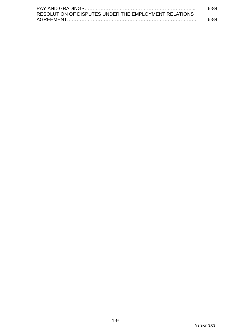|                                                       | 6-84 |
|-------------------------------------------------------|------|
| RESOLUTION OF DISPUTES UNDER THE EMPLOYMENT RELATIONS |      |
|                                                       | հ-84 |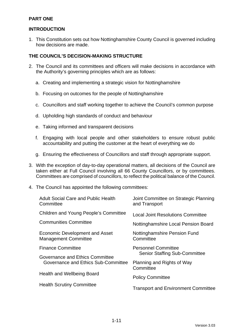# **PART ONE**

# **INTRODUCTION**

1. This Constitution sets out how Nottinghamshire County Council is governed including how decisions are made.

#### **THE COUNCIL'S DECISION-MAKING STRUCTURE**

- 2. The Council and its committees and officers will make decisions in accordance with the Authority's governing principles which are as follows:
	- a. Creating and implementing a strategic vision for Nottinghamshire
	- b. Focusing on outcomes for the people of Nottinghamshire
	- c. Councillors and staff working together to achieve the Council's common purpose
	- d. Upholding high standards of conduct and behaviour
	- e. Taking informed and transparent decisions
	- f. Engaging with local people and other stakeholders to ensure robust public accountability and putting the customer at the heart of everything we do
	- g. Ensuring the effectiveness of Councillors and staff through appropriate support.
- 3. With the exception of day-to-day operational matters, all decisions of the Council are taken either at Full Council involving all 66 County Councillors, or by committees. Committees are comprised of councillors, to reflect the political balance of the Council.
- 4. The Council has appointed the following committees:

| <b>Adult Social Care and Public Health</b><br>Committee       | Joint Committee on Strategic Planning<br>and Transport |
|---------------------------------------------------------------|--------------------------------------------------------|
| Children and Young People's Committee                         | <b>Local Joint Resolutions Committee</b>               |
| <b>Communities Committee</b>                                  | Nottinghamshire Local Pension Board                    |
| Economic Development and Asset<br><b>Management Committee</b> | Nottinghamshire Pension Fund<br>Committee              |
| <b>Finance Committee</b>                                      | <b>Personnel Committee</b>                             |
| Governance and Ethics Committee                               | <b>Senior Staffing Sub-Committee</b>                   |
| Governance and Ethics Sub-Committee                           | Planning and Rights of Way<br>Committee                |
| Health and Wellbeing Board                                    |                                                        |
|                                                               | <b>Policy Committee</b>                                |
| <b>Health Scrutiny Committee</b>                              | <b>Transport and Environment Committee</b>             |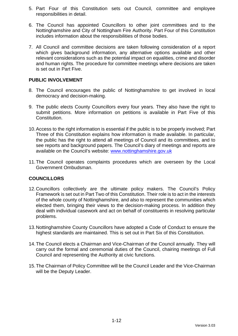- 5. Part Four of this Constitution sets out Council, committee and employee responsibilities in detail.
- 6. The Council has appointed Councillors to other joint committees and to the Nottinghamshire and City of Nottingham Fire Authority. Part Four of this Constitution includes information about the responsibilities of those bodies.
- 7. All Council and committee decisions are taken following consideration of a report which gives background information, any alternative options available and other relevant considerations such as the potential impact on equalities, crime and disorder and human rights. The procedure for committee meetings where decisions are taken is set out in Part Five.

### **PUBLIC INVOLVEMENT**

- 8. The Council encourages the public of Nottinghamshire to get involved in local democracy and decision-making.
- 9. The public elects County Councillors every four years. They also have the right to submit petitions. More information on petitions is available in Part Five of this Constitution.
- 10. Access to the right information is essential if the public is to be properly involved: Part Three of this Constitution explains how information is made available. In particular, the public has the right to attend all meetings of Council and its committees, and to see reports and background papers. The Council's diary of meetings and reports are available on the Council's website: [www.nottinghamshire.gov.uk](http://www.nottinghamshire.gov.uk/)
- 11.The Council operates complaints procedures which are overseen by the Local Government Ombudsman.

# **COUNCILLORS**

- 12.Councillors collectively are the ultimate policy makers. The Council's Policy Framework is set out in Part Two of this Constitution. Their role is to act in the interests of the whole county of Nottinghamshire, and also to represent the communities which elected them, bringing their views to the decision-making process. In addition they deal with individual casework and act on behalf of constituents in resolving particular problems.
- 13.Nottinghamshire County Councillors have adopted a Code of Conduct to ensure the highest standards are maintained. This is set out in Part Six of this Constitution.
- 14.The Council elects a Chairman and Vice-Chairman of the Council annually. They will carry out the formal and ceremonial duties of the Council, chairing meetings of Full Council and representing the Authority at civic functions.
- 15.The Chairman of Policy Committee will be the Council Leader and the Vice-Chairman will be the Deputy Leader.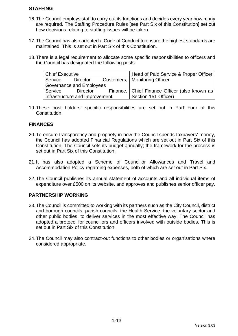# **STAFFING**

- 16.The Council employs staff to carry out its functions and decides every year how many are required. The Staffing Procedure Rules [see Part Six of this Constitution] set out how decisions relating to staffing issues will be taken.
- 17.The Council has also adopted a Code of Conduct to ensure the highest standards are maintained. This is set out in Part Six of this Constitution.
- 18.There is a legal requirement to allocate some specific responsibilities to officers and the Council has designated the following posts:

| <b>Chief Executive</b>          |          |  | Head of Paid Service & Proper Officer           |
|---------------------------------|----------|--|-------------------------------------------------|
| Service                         | Director |  | Customers,   Monitoring Officer                 |
| <b>Governance and Employees</b> |          |  |                                                 |
| Service                         | Director |  | Finance,   Chief Finance Officer (also known as |
| Infrastructure and Improvement  |          |  | Section 151 Officer)                            |

19.These post holders' specific responsibilities are set out in Part Four of this Constitution.

# **FINANCES**

- 20.To ensure transparency and propriety in how the Council spends taxpayers' money, the Council has adopted Financial Regulations which are set out in Part Six of this Constitution. The Council sets its budget annually; the framework for the process is set out in Part Six of this Constitution.
- 21.It has also adopted a Scheme of Councillor Allowances and Travel and Accommodation Policy regarding expenses, both of which are set out in Part Six.
- 22.The Council publishes its annual statement of accounts and all individual items of expenditure over £500 on its website, and approves and publishes senior officer pay.

# **PARTNERSHIP WORKING**

- 23.The Council is committed to working with its partners such as the City Council, district and borough councils, parish councils, the Health Service, the voluntary sector and other public bodies, to deliver services in the most effective way. The Council has adopted a protocol for councillors and officers involved with outside bodies. This is set out in Part Six of this Constitution.
- 24.The Council may also contract-out functions to other bodies or organisations where considered appropriate.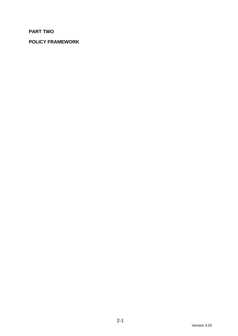# **PART TWO**

# **POLICY FRAMEWORK**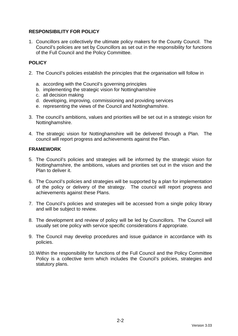# **RESPONSIBILITY FOR POLICY**

1. Councillors are collectively the ultimate policy makers for the County Council. The Council's policies are set by Councillors as set out in the responsibility for functions of the Full Council and the Policy Committee.

# **POLICY**

- 2. The Council's policies establish the principles that the organisation will follow in
	- a. according with the Council's governing principles
	- b. implementing the strategic vision for Nottinghamshire
	- c. all decision making
	- d. developing, improving, commissioning and providing services
	- e. representing the views of the Council and Nottinghamshire.
- 3. The council's ambitions, values and priorities will be set out in a strategic vision for Nottinghamshire.
- 4. The strategic vision for Nottinghamshire will be delivered through a Plan. The council will report progress and achievements against the Plan.

#### **FRAMEWORK**

- 5. The Council's policies and strategies will be informed by the strategic vision for Nottinghamshire, the ambitions, values and priorities set out in the vision and the Plan to deliver it.
- 6. The Council's policies and strategies will be supported by a plan for implementation of the policy or delivery of the strategy. The council will report progress and achievements against these Plans.
- 7. The Council's policies and strategies will be accessed from a single policy library and will be subject to review.
- 8. The development and review of policy will be led by Councillors. The Council will usually set one policy with service specific considerations if appropriate.
- 9. The Council may develop procedures and issue guidance in accordance with its policies.
- 10.Within the responsibility for functions of the Full Council and the Policy Committee Policy is a collective term which includes the Council's policies, strategies and statutory plans.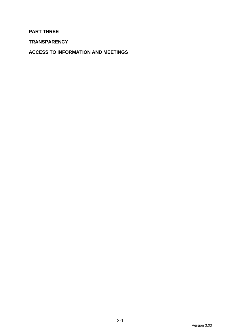# **PART THREE**

**TRANSPARENCY**

**ACCESS TO INFORMATION AND MEETINGS**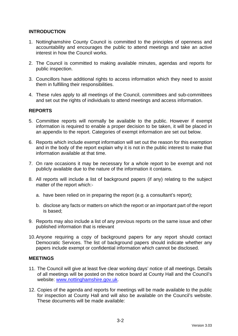# **INTRODUCTION**

- 1. Nottinghamshire County Council is committed to the principles of openness and accountability and encourages the public to attend meetings and take an active interest in how the Council works.
- 2. The Council is committed to making available minutes, agendas and reports for public inspection.
- 3. Councillors have additional rights to access information which they need to assist them in fulfilling their responsibilities.
- 4. These rules apply to all meetings of the Council, committees and sub-committees and set out the rights of individuals to attend meetings and access information.

#### **REPORTS**

- 5. Committee reports will normally be available to the public. However if exempt information is required to enable a proper decision to be taken, it will be placed in an appendix to the report. Categories of exempt information are set out below.
- 6. Reports which include exempt information will set out the reason for this exemption and in the body of the report explain why it is not in the public interest to make that information available at that time.
- 7. On rare occasions it may be necessary for a whole report to be exempt and not publicly available due to the nature of the information it contains.
- 8. All reports will include a list of background papers (if any) relating to the subject matter of the report which:
	- a. have been relied on in preparing the report (e.g. a consultant's report);
	- b. disclose any facts or matters on which the report or an important part of the report is based;
- 9. Reports may also include a list of any previous reports on the same issue and other published information that is relevant
- 10.Anyone requiring a copy of background papers for any report should contact Democratic Services. The list of background papers should indicate whether any papers include exempt or confidential information which cannot be disclosed.

#### **MEETINGS**

- 11. The Council will give at least five clear working days' notice of all meetings. Details of all meetings will be posted on the notice board at County Hall and the Council's website: [www.nottinghamshire.gov.uk.](http://www.nottinghamshire.gov.uk/)
- 12. Copies of the agenda and reports for meetings will be made available to the public for inspection at County Hall and will also be available on the Council's website. These documents will be made available: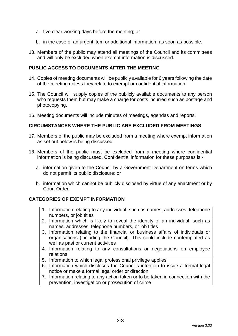- a. five clear working days before the meeting; or
- b. in the case of an urgent item or additional information, as soon as possible.
- 13. Members of the public may attend all meetings of the Council and its committees and will only be excluded when exempt information is discussed.

#### **PUBLIC ACCESS TO DOCUMENTS AFTER THE MEETING**

- 14. Copies of meeting documents will be publicly available for 6 years following the date of the meeting unless they relate to exempt or confidential information.
- 15. The Council will supply copies of the publicly available documents to any person who requests them but may make a charge for costs incurred such as postage and photocopying.
- 16. Meeting documents will include minutes of meetings, agendas and reports.

#### **CIRCUMSTANCES WHERE THE PUBLIC ARE EXCLUDED FROM MEETINGS**

- 17. Members of the public may be excluded from a meeting where exempt information as set out below is being discussed.
- 18. Members of the public must be excluded from a meeting where confidential information is being discussed. Confidential information for these purposes is:
	- a. information given to the Council by a Government Department on terms which do not permit its public disclosure; or
	- b. information which cannot be publicly disclosed by virtue of any enactment or by Court Order.

#### **CATEGORIES OF EXEMPT INFORMATION**

- 1. Information relating to any individual, such as names, addresses, telephone numbers, or job titles
- 2. Information which is likely to reveal the identity of an individual, such as names, addresses, telephone numbers, or job titles
- 3. Information relating to the financial or business affairs of individuals or organisations (including the Council). This could include contemplated as well as past or current activities
- 4. Information relating to any consultations or negotiations on employee relations
- 5. Information to which legal professional privilege applies
- 6. Information which discloses the Council's intention to issue a formal legal notice or make a formal legal order or direction
- 7. Information relating to any action taken or to be taken in connection with the prevention, investigation or prosecution of crime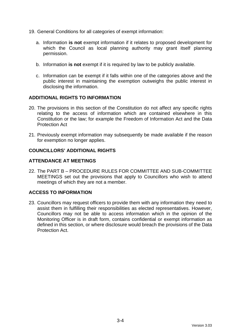- 19. General Conditions for all categories of exempt information:
	- a. Information **is not** exempt information if it relates to proposed development for which the Council as local planning authority may grant itself planning permission.
	- b. Information **is not** exempt if it is required by law to be publicly available.
	- c. Information can be exempt if it falls within one of the categories above and the public interest in maintaining the exemption outweighs the public interest in disclosing the information.

#### **ADDITIONAL RIGHTS TO INFORMATION**

- 20. The provisions in this section of the Constitution do not affect any specific rights relating to the access of information which are contained elsewhere in this Constitution or the law; for example the Freedom of Information Act and the Data Protection Act
- 21. Previously exempt information may subsequently be made available if the reason for exemption no longer applies.

#### **COUNCILLORS' ADDITIONAL RIGHTS**

#### **ATTENDANCE AT MEETINGS**

22. The PART B – [PROCEDURE RULES FOR COMMITTEE AND SUB-COMMITTEE](#page-63-0)  [MEETINGS](#page-63-0) set out the provisions that apply to Councillors who wish to attend meetings of which they are not a member.

# **ACCESS TO INFORMATION**

23. Councillors may request officers to provide them with any information they need to assist them in fulfilling their responsibilities as elected representatives. However, Councillors may not be able to access information which in the opinion of the Monitoring Officer is in draft form, contains confidential or exempt information as defined in this section, or where disclosure would breach the provisions of the Data Protection Act.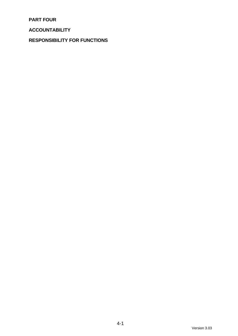**PART FOUR**

**ACCOUNTABILITY**

**RESPONSIBILITY FOR FUNCTIONS**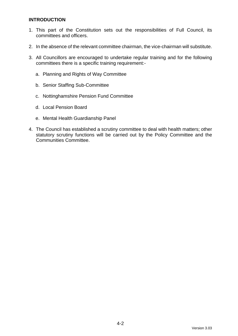#### **INTRODUCTION**

- 1. This part of the Constitution sets out the responsibilities of Full Council, its committees and officers.
- 2. In the absence of the relevant committee chairman, the vice-chairman will substitute.
- 3. All Councillors are encouraged to undertake regular training and for the following committees there is a specific training requirement:
	- a. Planning and Rights of Way Committee
	- b. Senior Staffing Sub-Committee
	- c. Nottinghamshire Pension Fund Committee
	- d. Local Pension Board
	- e. Mental Health Guardianship Panel
- 4. The Council has established a scrutiny committee to deal with health matters; other statutory scrutiny functions will be carried out by the Policy Committee and the Communities Committee.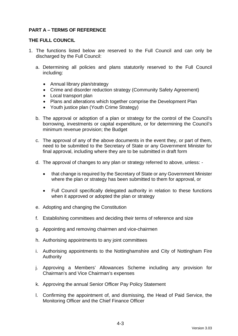# **PART A – TERMS OF REFERENCE**

#### **THE FULL COUNCIL**

- 1. The functions listed below are reserved to the Full Council and can only be discharged by the Full Council:
	- a. Determining all policies and plans statutorily reserved to the Full Council including:
		- Annual library plan/strategy
		- Crime and disorder reduction strategy (Community Safety Agreement)
		- Local transport plan
		- Plans and alterations which together comprise the Development Plan
		- Youth justice plan (Youth Crime Strategy)
	- b. The approval or adoption of a plan or strategy for the control of the Council's borrowing, investments or capital expenditure, or for determining the Council's minimum revenue provision; the Budget
	- c. The approval of any of the above documents in the event they, or part of them, need to be submitted to the Secretary of State or any Government Minister for final approval, including where they are to be submitted in draft form
	- d. The approval of changes to any plan or strategy referred to above, unless:
		- that change is required by the Secretary of State or any Government Minister where the plan or strategy has been submitted to them for approval, or
		- Full Council specifically delegated authority in relation to these functions when it approved or adopted the plan or strategy
	- e. Adopting and changing the Constitution
	- f. Establishing committees and deciding their terms of reference and size
	- g. Appointing and removing chairmen and vice-chairmen
	- h. Authorising appointments to any joint committees
	- i. Authorising appointments to the Nottinghamshire and City of Nottingham Fire Authority
	- j. Approving a Members' Allowances Scheme including any provision for Chairman's and Vice Chairman's expenses
	- k. Approving the annual Senior Officer Pay Policy Statement
	- l. Confirming the appointment of, and dismissing, the Head of Paid Service, the Monitoring Officer and the Chief Finance Officer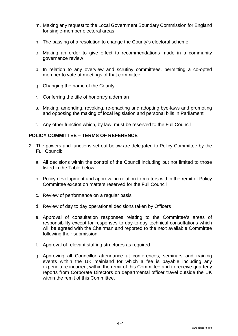- m. Making any request to the Local Government Boundary Commission for England for single-member electoral areas
- n. The passing of a resolution to change the County's electoral scheme
- o. Making an order to give effect to recommendations made in a community governance review
- p. In relation to any overview and scrutiny committees, permitting a co-opted member to vote at meetings of that committee
- q. Changing the name of the County
- r. Conferring the title of honorary alderman
- s. Making, amending, revoking, re-enacting and adopting bye-laws and promoting and opposing the making of local legislation and personal bills in Parliament
- t. Any other function which, by law, must be reserved to the Full Council

#### **POLICY COMMITTEE – TERMS OF REFERENCE**

- 2. The powers and functions set out below are delegated to Policy Committee by the Full Council:
	- a. All decisions within the control of the Council including but not limited to those listed in the Table below
	- b. Policy development and approval in relation to matters within the remit of Policy Committee except on matters reserved for the Full Council
	- c. Review of performance on a regular basis
	- d. Review of day to day operational decisions taken by Officers
	- e. Approval of consultation responses relating to the Committee's areas of responsibility except for responses to day-to-day technical consultations which will be agreed with the Chairman and reported to the next available Committee following their submission.
	- f. Approval of relevant staffing structures as required
	- g. Approving all Councillor attendance at conferences, seminars and training events within the UK mainland for which a fee is payable including any expenditure incurred, within the remit of this Committee and to receive quarterly reports from Corporate Directors on departmental officer travel outside the UK within the remit of this Committee.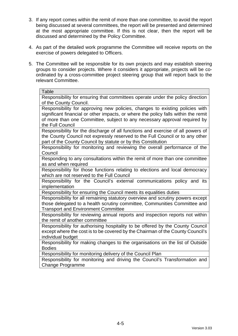- 3. If any report comes within the remit of more than one committee, to avoid the report being discussed at several committees, the report will be presented and determined at the most appropriate committee. If this is not clear, then the report will be discussed and determined by the Policy Committee.
- 4. As part of the detailed work programme the Committee will receive reports on the exercise of powers delegated to Officers.
- 5. The Committee will be responsible for its own projects and may establish steering groups to consider projects. Where it considers it appropriate, projects will be coordinated by a cross-committee project steering group that will report back to the relevant Committee.

Responsibility for ensuring that committees operate under the policy direction of the County Council.

Responsibility for approving new policies, changes to existing policies with significant financial or other impacts, or where the policy falls within the remit of more than one Committee, subject to any necessary approval required by the Full Council

Responsibility for the discharge of all functions and exercise of all powers of the County Council not expressly reserved to the Full Council or to any other part of the County Council by statute or by this Constitution

Responsibility for monitoring and reviewing the overall performance of the Council

Responding to any consultations within the remit of more than one committee as and when required

Responsibility for those functions relating to elections and local democracy which are not reserved to the Full Council

Responsibility for the Council's external communications policy and its implementation

Responsibility for ensuring the Council meets its equalities duties

Responsibility for all remaining statutory overview and scrutiny powers except those delegated to a health scrutiny committee, Communities Committee and Transport and Environment Committee

Responsibility for reviewing annual reports and inspection reports not within the remit of another committee

Responsibility for authorising hospitality to be offered by the County Council except where the cost is to be covered by the Chairman of the County Council's individual budget

Responsibility for making changes to the organisations on the list of Outside Bodies

Responsibility for monitoring delivery of the Council Plan

Responsibility for monitoring and driving the Council's Transformation and Change Programme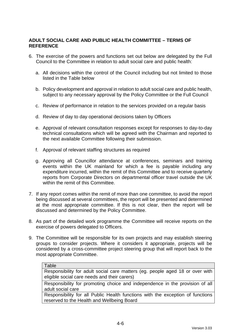# **ADULT SOCIAL CARE AND PUBLIC HEALTH COMMITTEE – TERMS OF REFERENCE**

- 6. The exercise of the powers and functions set out below are delegated by the Full Council to the Committee in relation to adult social care and public health:
	- a. All decisions within the control of the Council including but not limited to those listed in the Table below
	- b. Policy development and approval in relation to adult social care and public health, subject to any necessary approval by the Policy Committee or the Full Council
	- c. Review of performance in relation to the services provided on a regular basis
	- d. Review of day to day operational decisions taken by Officers
	- e. Approval of relevant consultation responses except for responses to day-to-day technical consultations which will be agreed with the Chairman and reported to the next available Committee following their submission.
	- f. Approval of relevant staffing structures as required
	- g. Approving all Councillor attendance at conferences, seminars and training events within the UK mainland for which a fee is payable including any expenditure incurred, within the remit of this Committee and to receive quarterly reports from Corporate Directors on departmental officer travel outside the UK within the remit of this Committee.
- 7. If any report comes within the remit of more than one committee, to avoid the report being discussed at several committees, the report will be presented and determined at the most appropriate committee. If this is not clear, then the report will be discussed and determined by the Policy Committee.
- 8. As part of the detailed work programme the Committee will receive reports on the exercise of powers delegated to Officers.
- 9. The Committee will be responsible for its own projects and may establish steering groups to consider projects. Where it considers it appropriate, projects will be considered by a cross-committee project steering group that will report back to the most appropriate Committee.

#### **Table**

Responsibility for adult social care matters (eg. people aged 18 or over with eligible social care needs and their carers)

Responsibility for promoting choice and independence in the provision of all adult social care

Responsibility for all Public Health functions with the exception of functions reserved to the Health and Wellbeing Board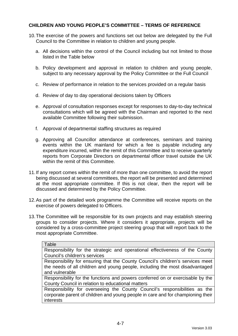# **CHILDREN AND YOUNG PEOPLE'S COMMITTEE – TERMS OF REFERENCE**

- 10.The exercise of the powers and functions set out below are delegated by the Full Council to the Committee in relation to children and young people.
	- a. All decisions within the control of the Council including but not limited to those listed in the Table below
	- b. Policy development and approval in relation to children and young people, subject to any necessary approval by the Policy Committee or the Full Council
	- c. Review of performance in relation to the services provided on a regular basis
	- d. Review of day to day operational decisions taken by Officers
	- e. Approval of consultation responses except for responses to day-to-day technical consultations which will be agreed with the Chairman and reported to the next available Committee following their submission.
	- f. Approval of departmental staffing structures as required
	- g. Approving all Councillor attendance at conferences, seminars and training events within the UK mainland for which a fee is payable including any expenditure incurred, within the remit of this Committee and to receive quarterly reports from Corporate Directors on departmental officer travel outside the UK within the remit of this Committee.
- 11.If any report comes within the remit of more than one committee, to avoid the report being discussed at several committees, the report will be presented and determined at the most appropriate committee. If this is not clear, then the report will be discussed and determined by the Policy Committee.
- 12.As part of the detailed work programme the Committee will receive reports on the exercise of powers delegated to Officers.
- 13.The Committee will be responsible for its own projects and may establish steering groups to consider projects. Where it considers it appropriate, projects will be considered by a cross-committee project steering group that will report back to the most appropriate Committee.

| Table                                                                           |
|---------------------------------------------------------------------------------|
| Responsibility for the strategic and operational effectiveness of the County    |
| Council's children's services                                                   |
| Responsibility for ensuring that the County Council's children's services meet  |
| the needs of all children and young people, including the most disadvantaged    |
| and vulnerable                                                                  |
| Responsibility for the functions and powers conferred on or exercisable by the  |
| County Council in relation to educational matters                               |
| Responsibility for overseeing the County Council's responsibilities as the      |
| corporate parent of children and young people in care and for championing their |
| interests                                                                       |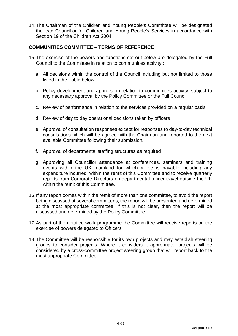14.The Chairman of the Children and Young People's Committee will be designated the lead Councillor for Children and Young People's Services in accordance with Section 19 of the Children Act 2004.

#### **COMMUNITIES COMMITTEE – TERMS OF REFERENCE**

- 15.The exercise of the powers and functions set out below are delegated by the Full Council to the Committee in relation to communities activity :
	- a. All decisions within the control of the Council including but not limited to those listed in the Table below
	- b. Policy development and approval in relation to communities activity, subject to any necessary approval by the Policy Committee or the Full Council
	- c. Review of performance in relation to the services provided on a regular basis
	- d. Review of day to day operational decisions taken by officers
	- e. Approval of consultation responses except for responses to day-to-day technical consultations which will be agreed with the Chairman and reported to the next available Committee following their submission.
	- f. Approval of departmental staffing structures as required
	- g. Approving all Councillor attendance at conferences, seminars and training events within the UK mainland for which a fee is payable including any expenditure incurred, within the remit of this Committee and to receive quarterly reports from Corporate Directors on departmental officer travel outside the UK within the remit of this Committee.
- 16.If any report comes within the remit of more than one committee, to avoid the report being discussed at several committees, the report will be presented and determined at the most appropriate committee. If this is not clear, then the report will be discussed and determined by the Policy Committee.
- 17.As part of the detailed work programme the Committee will receive reports on the exercise of powers delegated to Officers.
- 18.The Committee will be responsible for its own projects and may establish steering groups to consider projects. Where it considers it appropriate, projects will be considered by a cross-committee project steering group that will report back to the most appropriate Committee.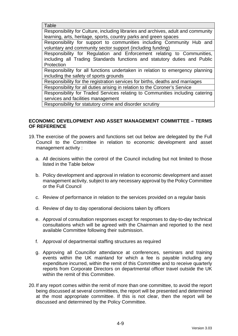Responsibility for Culture, including libraries and archives, adult and community learning, arts, heritage, sports, country parks and green spaces

Responsibility for support to communities including Community Hub and voluntary and community sector support (including funding)

Responsibility for Regulation and Enforcement relating to Communities, including all Trading Standards functions and statutory duties and Public **Protection** 

Responsibility for all functions undertaken in relation to emergency planning including the safety of sports grounds

Responsibility for the registration services for births, deaths and marriages Responsibility for all duties arising in relation to the Coroner's Service

Responsibility for Traded Services relating to Communities including catering services and facilities management

Responsibility for statutory crime and disorder scrutiny

#### **ECONOMIC DEVELOPMENT AND ASSET MANAGEMENT COMMITTEE – TERMS OF REFERENCE**

- 19.The exercise of the powers and functions set out below are delegated by the Full Council to the Committee in relation to economic development and asset management activity :
	- a. All decisions within the control of the Council including but not limited to those listed in the Table below
	- b. Policy development and approval in relation to economic development and asset management activity, subject to any necessary approval by the Policy Committee or the Full Council
	- c. Review of performance in relation to the services provided on a regular basis
	- d. Review of day to day operational decisions taken by officers
	- e. Approval of consultation responses except for responses to day-to-day technical consultations which will be agreed with the Chairman and reported to the next available Committee following their submission.
	- f. Approval of departmental staffing structures as required
	- g. Approving all Councillor attendance at conferences, seminars and training events within the UK mainland for which a fee is payable including any expenditure incurred, within the remit of this Committee and to receive quarterly reports from Corporate Directors on departmental officer travel outside the UK within the remit of this Committee.
- 20.If any report comes within the remit of more than one committee, to avoid the report being discussed at several committees, the report will be presented and determined at the most appropriate committee. If this is not clear, then the report will be discussed and determined by the Policy Committee.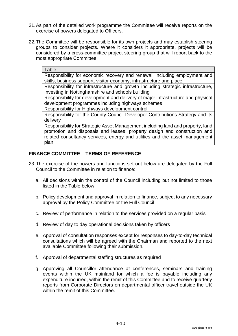- 21.As part of the detailed work programme the Committee will receive reports on the exercise of powers delegated to Officers.
- 22.The Committee will be responsible for its own projects and may establish steering groups to consider projects. Where it considers it appropriate, projects will be considered by a cross-committee project steering group that will report back to the most appropriate Committee.

Responsibility for economic recovery and renewal, including employment and skills, business support, visitor economy, infrastructure and place

Responsibility for infrastructure and growth including strategic infrastructure, Investing in Nottinghamshire and schools building

Responsibility for development and delivery of major infrastructure and physical development programmes including highways schemes

Responsibility for Highways development control

Responsibility for the County Council Developer Contributions Strategy and its delivery

Responsibility for Strategic Asset Management including land and property, land promotion and disposals and leases, property design and construction and related consultancy services, energy and utilities and the asset management plan

#### **FINANCE COMMITTEE – TERMS OF REFERENCE**

- 23.The exercise of the powers and functions set out below are delegated by the Full Council to the Committee in relation to finance:
	- a. All decisions within the control of the Council including but not limited to those listed in the Table below
	- b. Policy development and approval in relation to finance, subject to any necessary approval by the Policy Committee or the Full Council
	- c. Review of performance in relation to the services provided on a regular basis
	- d. Review of day to day operational decisions taken by officers
	- e. Approval of consultation responses except for responses to day-to-day technical consultations which will be agreed with the Chairman and reported to the next available Committee following their submission.
	- f. Approval of departmental staffing structures as required
	- g. Approving all Councillor attendance at conferences, seminars and training events within the UK mainland for which a fee is payable including any expenditure incurred, within the remit of this Committee and to receive quarterly reports from Corporate Directors on departmental officer travel outside the UK within the remit of this Committee.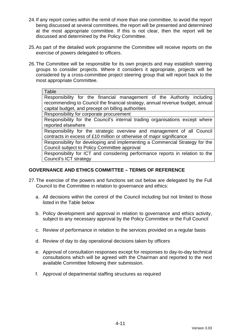- 24.If any report comes within the remit of more than one committee, to avoid the report being discussed at several committees, the report will be presented and determined at the most appropriate committee. If this is not clear, then the report will be discussed and determined by the Policy Committee.
- 25.As part of the detailed work programme the Committee will receive reports on the exercise of powers delegated to officers.
- 26.The Committee will be responsible for its own projects and may establish steering groups to consider projects. Where it considers it appropriate, projects will be considered by a cross-committee project steering group that will report back to the most appropriate Committee.

Responsibility for the financial management of the Authority including recommending to Council the financial strategy, annual revenue budget, annual capital budget, and precept on billing authorities

Responsibility for corporate procurement

Responsibility for the Council's internal trading organisations except where reported elsewhere

Responsibility for the strategic overview and management of all Council contracts in excess of £10 million or otherwise of major significance

Responsibility for developing and implementing a Commercial Strategy for the Council subject to Policy Committee approval

Responsibility for ICT and considering performance reports in relation to the Council's ICT strategy

#### **GOVERNANCE AND ETHICS COMMITTEE – TERMS OF REFERENCE**

- 27.The exercise of the powers and functions set out below are delegated by the Full Council to the Committee in relation to governance and ethics:
	- a. All decisions within the control of the Council including but not limited to those listed in the Table below
	- b. Policy development and approval in relation to governance and ethics activity, subject to any necessary approval by the Policy Committee or the Full Council
	- c. Review of performance in relation to the services provided on a regular basis
	- d. Review of day to day operational decisions taken by officers
	- e. Approval of consultation responses except for responses to day-to-day technical consultations which will be agreed with the Chairman and reported to the next available Committee following their submission.
	- f. Approval of departmental staffing structures as required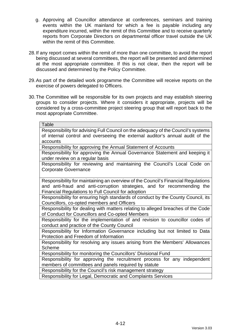- g. Approving all Councillor attendance at conferences, seminars and training events within the UK mainland for which a fee is payable including any expenditure incurred, within the remit of this Committee and to receive quarterly reports from Corporate Directors on departmental officer travel outside the UK within the remit of this Committee.
- 28.If any report comes within the remit of more than one committee, to avoid the report being discussed at several committees, the report will be presented and determined at the most appropriate committee. If this is not clear, then the report will be discussed and determined by the Policy Committee.
- 29.As part of the detailed work programme the Committee will receive reports on the exercise of powers delegated to Officers.
- 30.The Committee will be responsible for its own projects and may establish steering groups to consider projects. Where it considers it appropriate, projects will be considered by a cross-committee project steering group that will report back to the most appropriate Committee.

Responsibility for advising Full Council on the adequacy of the Council's systems of internal control and overseeing the external auditor's annual audit of the accounts

Responsibility for approving the Annual Statement of Accounts

Responsibility for approving the Annual Governance Statement and keeping it under review on a regular basis

Responsibility for reviewing and maintaining the Council's Local Code on Corporate Governance

Responsibility for maintaining an overview of the Council's Financial Regulations and anti-fraud and anti-corruption strategies, and for recommending the Financial Regulations to Full Council for adoption

Responsibility for ensuring high standards of conduct by the County Council, its Councillors, co-opted members and Officers

Responsibility for dealing with matters relating to alleged breaches of the Code of Conduct for Councillors and Co-opted Members

Responsibility for the implementation of and revision to councillor codes of conduct and practice of the County Council

Responsibility for Information Governance including but not limited to Data Protection and Freedom of Information

Responsibility for resolving any issues arising from the Members' Allowances Scheme

Responsibility for monitoring the Councillors' Divisional Fund

Responsibility for approving the recruitment process for any independent members of committees and panels required by statute

Responsibility for the Council's risk management strategy

Responsibility for Legal, Democratic and Complaints Services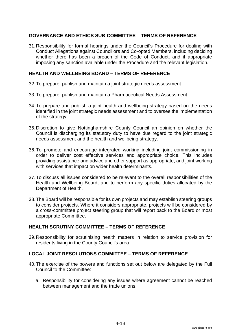#### **GOVERNANCE AND ETHICS SUB-COMMITTEE – TERMS OF REFERENCE**

31.Responsibility for formal hearings under the Council's Procedure for dealing with Conduct Allegations against Councillors and Co-opted Members, including deciding whether there has been a breach of the Code of Conduct, and if appropriate imposing any sanction available under the Procedure and the relevant legislation.

#### **HEALTH AND WELLBEING BOARD – TERMS OF REFERENCE**

- 32.To prepare, publish and maintain a joint strategic needs assessment.
- 33.To prepare, publish and maintain a Pharmaceutical Needs Assessment
- 34.To prepare and publish a joint health and wellbeing strategy based on the needs identified in the joint strategic needs assessment and to oversee the implementation of the strategy.
- 35.Discretion to give Nottinghamshire County Council an opinion on whether the Council is discharging its statutory duty to have due regard to the joint strategic needs assessment and the health and wellbeing strategy.
- 36.To promote and encourage integrated working including joint commissioning in order to deliver cost effective services and appropriate choice. This includes providing assistance and advice and other support as appropriate, and joint working with services that impact on wider health determinants.
- 37.To discuss all issues considered to be relevant to the overall responsibilities of the Health and Wellbeing Board, and to perform any specific duties allocated by the Department of Health.
- 38.The Board will be responsible for its own projects and may establish steering groups to consider projects. Where it considers appropriate, projects will be considered by a cross-committee project steering group that will report back to the Board or most appropriate Committee.

#### **HEALTH SCRUTINY COMMITTEE – TERMS OF REFERENCE**

39.Responsibility for scrutinising health matters in relation to service provision for residents living in the County Council's area.

#### **LOCAL JOINT RESOLUTIONS COMMITTEE – TERMS OF REFERENCE**

- 40.The exercise of the powers and functions set out below are delegated by the Full Council to the Committee:
	- a. Responsibility for considering any issues where agreement cannot be reached between management and the trade unions.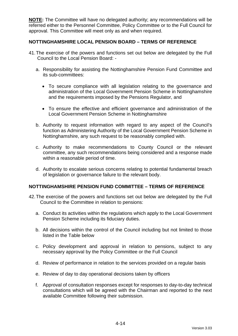**NOTE:** The Committee will have no delegated authority; any recommendations will be referred either to the Personnel Committee, Policy Committee or to the Full Council for approval. This Committee will meet only as and when required.

#### **NOTTINGHAMSHIRE LOCAL PENSION BOARD – TERMS OF REFERENCE**

- 41.The exercise of the powers and functions set out below are delegated by the Full Council to the Local Pension Board:
	- a. Responsibility for assisting the Nottinghamshire Pension Fund Committee and its sub-committees:
		- To secure compliance with all legislation relating to the governance and administration of the Local Government Pension Scheme in Nottinghamshire and the requirements imposed by the Pensions Regulator, and
		- To ensure the effective and efficient governance and administration of the Local Government Pension Scheme in Nottinghamshire
	- b. Authority to request information with regard to any aspect of the Council's function as Administering Authority of the Local Government Pension Scheme in Nottinghamshire, any such request to be reasonably complied with.
	- c. Authority to make recommendations to County Council or the relevant committee, any such recommendations being considered and a response made within a reasonable period of time.
	- d. Authority to escalate serious concerns relating to potential fundamental breach of legislation or governance failure to the relevant body.

#### **NOTTINGHAMSHIRE PENSION FUND COMMITTEE – TERMS OF REFERENCE**

- 42.The exercise of the powers and functions set out below are delegated by the Full Council to the Committee in relation to pensions:
	- a. Conduct its activities within the regulations which apply to the Local Government Pension Scheme including its fiduciary duties.
	- b. All decisions within the control of the Council including but not limited to those listed in the Table below
	- c. Policy development and approval in relation to pensions, subject to any necessary approval by the Policy Committee or the Full Council
	- d. Review of performance in relation to the services provided on a regular basis
	- e. Review of day to day operational decisions taken by officers
	- f. Approval of consultation responses except for responses to day-to-day technical consultations which will be agreed with the Chairman and reported to the next available Committee following their submission.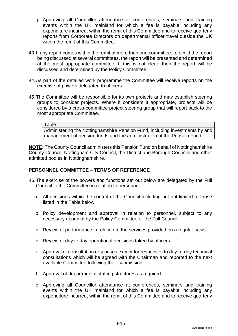- g. Approving all Councillor attendance at conferences, seminars and training events within the UK mainland for which a fee is payable including any expenditure incurred, within the remit of this Committee and to receive quarterly reports from Corporate Directors on departmental officer travel outside the UK within the remit of this Committee.
- 43.If any report comes within the remit of more than one committee, to avoid the report being discussed at several committees, the report will be presented and determined at the most appropriate committee. If this is not clear, then the report will be discussed and determined by the Policy Committee.
- 44.As part of the detailed work programme the Committee will receive reports on the exercise of powers delegated to officers.
- 45.The Committee will be responsible for its own projects and may establish steering groups to consider projects. Where it considers it appropriate, projects will be considered by a cross-committee project steering group that will report back to the most appropriate Committee.

Administering the Nottinghamshire Pension Fund, including investments by and management of pension funds and the administration of the Pension Fund

**NOTE:** The County Council administers this Pension Fund on behalf of Nottinghamshire County Council, Nottingham City Council, the District and Borough Councils and other admitted bodies in Nottinghamshire.

#### **PERSONNEL COMMITTEE – TERMS OF REFERENCE**

- 46.The exercise of the powers and functions set out below are delegated by the Full Council to the Committee in relation to personnel:
	- a. All decisions within the control of the Council including but not limited to those listed in the Table below
	- b. Policy development and approval in relation to personnel, subject to any necessary approval by the Policy Committee or the Full Council
	- c. Review of performance in relation to the services provided on a regular basis
	- d. Review of day to day operational decisions taken by officers
	- e. Approval of consultation responses except for responses to day-to-day technical consultations which will be agreed with the Chairman and reported to the next available Committee following their submission.
	- f. Approval of departmental staffing structures as required
	- g. Approving all Councillor attendance at conferences, seminars and training events within the UK mainland for which a fee is payable including any expenditure incurred, within the remit of this Committee and to receive quarterly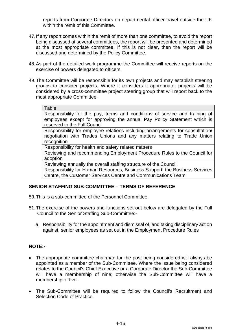reports from Corporate Directors on departmental officer travel outside the UK within the remit of this Committee.

- 47.If any report comes within the remit of more than one committee, to avoid the report being discussed at several committees, the report will be presented and determined at the most appropriate committee. If this is not clear, then the report will be discussed and determined by the Policy Committee.
- 48.As part of the detailed work programme the Committee will receive reports on the exercise of powers delegated to officers.
- 49.The Committee will be responsible for its own projects and may establish steering groups to consider projects. Where it considers it appropriate, projects will be considered by a cross-committee project steering group that will report back to the most appropriate Committee.

**Table** 

Responsibility for the pay, terms and conditions of service and training of employees except for approving the annual Pay Policy Statement which is reserved to the Full Council

Responsibility for employee relations including arrangements for consultation/ negotiation with Trades Unions and any matters relating to Trade Union recognition

Responsibility for health and safety related matters

Reviewing and recommending Employment Procedure Rules to the Council for adoption

Reviewing annually the overall staffing structure of the Council

Responsibility for Human Resources, Business Support, the Business Services Centre, the Customer Services Centre and Communications Team

# **SENIOR STAFFING SUB-COMMITTEE – TERMS OF REFERENCE**

- 50.This is a sub-committee of the Personnel Committee.
- 51.The exercise of the powers and functions set out below are delegated by the Full Council to the Senior Staffing Sub-Committee:
	- a. Responsibility for the appointment and dismissal of, and taking disciplinary action against, senior employees as set out in the Employment Procedure Rules

# **NOTE:-**

- The appropriate committee chairman for the post being considered will always be appointed as a member of the Sub-Committee. Where the issue being considered relates to the Council's Chief Executive or a Corporate Director the Sub-Committee will have a membership of nine; otherwise the Sub-Committee will have a membership of five.
- The Sub-Committee will be required to follow the Council's Recruitment and Selection Code of Practice.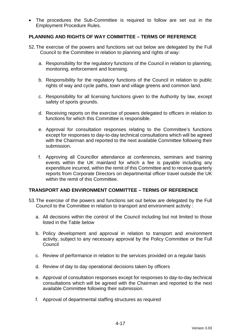• The procedures the Sub-Committee is required to follow are set out in the Employment Procedure Rules.

# **PLANNING AND RIGHTS OF WAY COMMITTEE – TERMS OF REFERENCE**

- 52.The exercise of the powers and functions set out below are delegated by the Full Council to the Committee in relation to planning and rights of way:
	- a. Responsibility for the regulatory functions of the Council in relation to planning, monitoring, enforcement and licensing.
	- b. Responsibility for the regulatory functions of the Council in relation to public rights of way and cycle paths, town and village greens and common land.
	- c. Responsibility for all licensing functions given to the Authority by law, except safety of sports grounds.
	- d. Receiving reports on the exercise of powers delegated to officers in relation to functions for which this Committee is responsible.
	- e. Approval for consultation responses relating to the Committee's functions except for responses to day-to-day technical consultations which will be agreed with the Chairman and reported to the next available Committee following their submission.
	- f. Approving all Councillor attendance at conferences, seminars and training events within the UK mainland for which a fee is payable including any expenditure incurred, within the remit of this Committee and to receive quarterly reports from Corporate Directors on departmental officer travel outside the UK within the remit of this Committee.

### **TRANSPORT AND ENVIRONMENT COMMITTEE – TERMS OF REFERENCE**

- 53.The exercise of the powers and functions set out below are delegated by the Full Council to the Committee in relation to transport and environment activity :
	- a. All decisions within the control of the Council including but not limited to those listed in the Table below
	- b. Policy development and approval in relation to transport and environment activity, subject to any necessary approval by the Policy Committee or the Full **Council**
	- c. Review of performance in relation to the services provided on a regular basis
	- d. Review of day to day operational decisions taken by officers
	- e. Approval of consultation responses except for responses to day-to-day technical consultations which will be agreed with the Chairman and reported to the next available Committee following their submission.
	- f. Approval of departmental staffing structures as required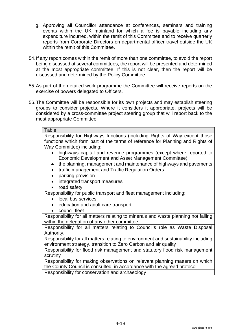- g. Approving all Councillor attendance at conferences, seminars and training events within the UK mainland for which a fee is payable including any expenditure incurred, within the remit of this Committee and to receive quarterly reports from Corporate Directors on departmental officer travel outside the UK within the remit of this Committee.
- 54.If any report comes within the remit of more than one committee, to avoid the report being discussed at several committees, the report will be presented and determined at the most appropriate committee. If this is not clear, then the report will be discussed and determined by the Policy Committee.
- 55.As part of the detailed work programme the Committee will receive reports on the exercise of powers delegated to Officers.
- 56.The Committee will be responsible for its own projects and may establish steering groups to consider projects. Where it considers it appropriate, projects will be considered by a cross-committee project steering group that will report back to the most appropriate Committee.

#### **Table**

Responsibility for Highways functions (including Rights of Way except those functions which form part of the terms of reference for Planning and Rights of Way Committee) including:

- highways capital and revenue programmes (except where reported to Economic Development and Asset Management Committee)
- the planning, management and maintenance of highways and pavements
- traffic management and Traffic Regulation Orders
- parking provision
- integrated transport measures
- road safety

Responsibility for public transport and fleet management including:

- local bus services
- education and adult care transport
- council fleet

Responsibility for all matters relating to minerals and waste planning not falling within the delegation of any other committee.

Responsibility for all matters relating to Council's role as Waste Disposal Authority.

Responsibility for all matters relating to environment and sustainability including environment strategy, transition to Zero Carbon and air quality

Responsibility for flood risk management and statutory flood risk management scrutiny

Responsibility for making observations on relevant planning matters on which the County Council is consulted, in accordance with the agreed protocol Responsibility for conservation and archaeology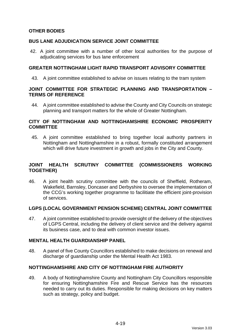# **OTHER BODIES**

# **BUS LANE ADJUDICATION SERVICE JOINT COMMITTEE**

42. A joint committee with a number of other local authorities for the purpose of adjudicating services for bus lane enforcement

## **GREATER NOTTINGHAM LIGHT RAPID TRANSPORT ADVISORY COMMITTEE**

43. A joint committee established to advise on issues relating to the tram system

### **JOINT COMMITTEE FOR STRATEGIC PLANNING AND TRANSPORTATION – TERMS OF REFERENCE**

44. A joint committee established to advise the County and City Councils on strategic planning and transport matters for the whole of Greater Nottingham.

## **CITY OF NOTTINGHAM AND NOTTINGHAMSHIRE ECONOMIC PROSPERITY COMMITTEE**

45. A joint committee established to bring together local authority partners in Nottingham and Nottinghamshire in a robust, formally constituted arrangement which will drive future investment in growth and jobs in the City and County.

# **JOINT HEALTH SCRUTINY COMMITTEE (COMMISSIONERS WORKING TOGETHER)**

46. A joint health scrutiny committee with the councils of Sheffield, Rotheram, Wakefield, Barnsley, Doncaser and Derbyshire to oversee the implementation of the CCG's working together programme to facilitiate the efficient joint-provision of services.

### **LGPS (LOCAL GOVERNMENT PENSION SCHEME) CENTRAL JOINT COMMITTEE**

47. A joint committee established to provide oversight of the delivery of the objectives of LGPS Central, including the delivery of client service and the delivery against its business case, and to deal with common investor issues.

## **MENTAL HEALTH GUARDIANSHIP PANEL**

48. A panel of five County Councillors established to make decisions on renewal and discharge of guardianship under the Mental Health Act 1983.

# **NOTTINGHAMSHIRE AND CITY OF NOTTINGHAM FIRE AUTHORITY**

49. A body of Nottinghamshire County and Nottingham City Councillors responsible for ensuring Nottinghamshire Fire and Rescue Service has the resources needed to carry out its duties. Responsible for making decisions on key matters such as strategy, policy and budget.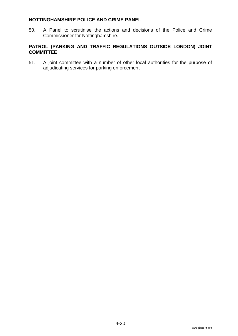## **NOTTINGHAMSHIRE POLICE AND CRIME PANEL**

50. A Panel to scrutinise the actions and decisions of the Police and Crime Commissioner for Nottinghamshire.

# **PATROL (PARKING AND TRAFFIC REGULATIONS OUTSIDE LONDON) JOINT COMMITTEE**

51. A joint committee with a number of other local authorities for the purpose of adjudicating services for parking enforcement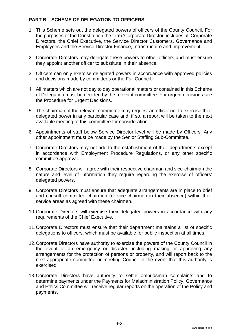# **PART B – SCHEME OF DELEGATION TO OFFICERS**

- 1. This Scheme sets out the delegated powers of officers of the County Council. For the purposes of the Constitution the term 'Corporate Director' includes all Corporate Directors, the Chief Executive, the Service Director Customers, Governance and Employees and the Service Director Finance, Infrastructure and Improvement.
- 2. Corporate Directors may delegate these powers to other officers and must ensure they appoint another officer to substitute in their absence.
- 3. Officers can only exercise delegated powers in accordance with approved policies and decisions made by committees or the Full Council.
- 4. All matters which are not day to day operational matters or contained in this Scheme of Delegation must be decided by the relevant committee. For urgent decisions see the Procedure for Urgent Decisions.
- 5. The chairman of the relevant committee may request an officer not to exercise their delegated power in any particular case and, if so, a report will be taken to the next available meeting of this committee for consideration.
- 6. Appointments of staff below Service Director level will be made by Officers. Any other appointment must be made by the Senior Staffing Sub-Committee.
- 7. Corporate Directors may not add to the establishment of their departments except in accordance with Employment Procedure Regulations, or any other specific committee approval.
- 8. Corporate Directors will agree with their respective chairman and vice-chairman the nature and level of information they require regarding the exercise of officers' delegated powers.
- 9. Corporate Directors must ensure that adequate arrangements are in place to brief and consult committee chairmen (or vice-chairmen in their absence) within their service areas as agreed with these chairmen.
- 10.Corporate Directors will exercise their delegated powers in accordance with any requirements of the Chief Executive.
- 11.Corporate Directors must ensure that their department maintains a list of specific delegations to officers, which must be available for public inspection at all times.
- 12.Corporate Directors have authority to exercise the powers of the County Council in the event of an emergency or disaster, including making or approving any arrangements for the protection of persons or property, and will report back to the next appropriate committee or meeting Council in the event that this authority is exercised.
- 13.Corporate Directors have authority to settle ombudsman complaints and to determine payments under the Payments for Maladministration Policy. Governance and Ethics Committee will receive regular reports on the operation of the Policy and payments.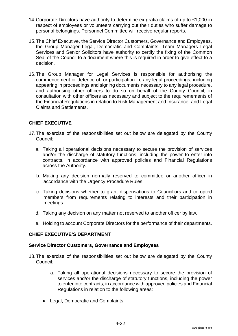- 14.Corporate Directors have authority to determine ex-gratia claims of up to £1,000 in respect of employees or volunteers carrying out their duties who suffer damage to personal belongings. Personnel Committee will receive regular reports.
- 15.The Chief Executive, the Service Director Customers, Governance and Employees, the Group Manager Legal, Democratic and Complaints, Team Managers Legal Services and Senior Solicitors have authority to certify the fixing of the Common Seal of the Council to a document where this is required in order to give effect to a decision.
- 16.The Group Manager for Legal Services is responsible for authorising the commencement or defence of, or participation in, any legal proceedings, including appearing in proceedings and signing documents necessary to any legal procedure, and authorising other officers to do so on behalf of the County Council, in consultation with other officers as necessary and subject to the requiremements of the Financial Regulations in relation to Risk Management and Insurance, and Legal Claims and Settlements.

# **CHIEF EXECUTIVE**

- 17.The exercise of the responsibilities set out below are delegated by the County Council:
	- a. Taking all operational decisions necessary to secure the provision of services and/or the discharge of statutory functions, including the power to enter into contracts, in accordance with approved policies and Financial Regulations across the Authority.
	- b. Making any decision normally reserved to committee or another officer in accordance with the Urgency Procedure Rules.
	- c. Taking decisions whether to grant dispensations to Councillors and co-opted members from requirements relating to interests and their participation in meetings.
	- d. Taking any decision on any matter not reserved to another officer by law.
	- e. Holding to account Corporate Directors for the performance of their departments.

### **CHIEF EXECUTIVE'S DEPARTMENT**

#### **Service Director Customers, Governance and Employees**

- 18.The exercise of the responsibilities set out below are delegated by the County Council:
	- a. Taking all operational decisions necessary to secure the provision of services and/or the discharge of statutory functions, including the power to enter into contracts, in accordance with approved policies and Financial Regulations in relation to the following areas:
	- Legal, Democratic and Complaints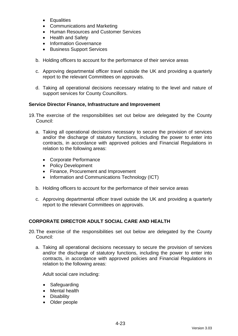- Equalities
- Communications and Marketing
- Human Resources and Customer Services
- Health and Safety
- Information Governance
- Business Support Services
- b. Holding officers to account for the performance of their service areas
- c. Approving departmental officer travel outside the UK and providing a quarterly report to the relevant Committees on approvals.
- d. Taking all operational decisions necessary relating to the level and nature of support services for County Councillors.

### **Service Director Finance, Infrastructure and Improvement**

- 19.The exercise of the responsibilities set out below are delegated by the County Council:
	- a. Taking all operational decisions necessary to secure the provision of services and/or the discharge of statutory functions, including the power to enter into contracts, in accordance with approved policies and Financial Regulations in relation to the following areas:
		- Corporate Performance
		- Policy Development
		- Finance, Procurement and Improvement
		- Information and Communications Technology (ICT)
	- b. Holding officers to account for the performance of their service areas
	- c. Approving departmental officer travel outside the UK and providing a quarterly report to the relevant Committees on approvals.

### **CORPORATE DIRECTOR ADULT SOCIAL CARE AND HEALTH**

- 20.The exercise of the responsibilities set out below are delegated by the County Council:
	- a. Taking all operational decisions necessary to secure the provision of services and/or the discharge of statutory functions, including the power to enter into contracts, in accordance with approved policies and Financial Regulations in relation to the following areas:

Adult social care including:

- Safeguarding
- Mental health
- Disability
- Older people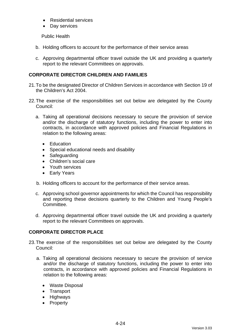- Residential services
- Day services

Public Health

- b. Holding officers to account for the performance of their service areas
- c. Approving departmental officer travel outside the UK and providing a quarterly report to the relevant Committees on approvals.

# **CORPORATE DIRECTOR CHILDREN AND FAMILIES**

- 21.To be the designated Director of Children Services in accordance with Section 19 of the Children's Act 2004.
- 22.The exercise of the responsibilities set out below are delegated by the County Council:
	- a. Taking all operational decisions necessary to secure the provision of service and/or the discharge of statutory functions, including the power to enter into contracts, in accordance with approved policies and Financial Regulations in relation to the following areas:
		- Education
		- Special educational needs and disability
		- Safeguarding
		- Children's social care
		- Youth services
		- Early Years
	- b. Holding officers to account for the performance of their service areas.
	- c. Approving school governor appointments for which the Council has responsibility and reporting these decisions quarterly to the Children and Young People's Committee.
	- d. Approving departmental officer travel outside the UK and providing a quarterly report to the relevant Committees on approvals.

# **CORPORATE DIRECTOR PLACE**

- 23.The exercise of the responsibilities set out below are delegated by the County Council:
	- a. Taking all operational decisions necessary to secure the provision of service and/or the discharge of statutory functions, including the power to enter into contracts, in accordance with approved policies and Financial Regulations in relation to the following areas:
		- Waste Disposal
		- Transport
		- Highways
		- Property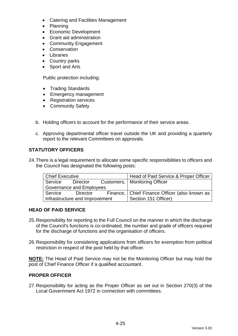- Catering and Facilities Management
- Planning
- Economic Development
- Grant aid administration
- Community Engagement
- Conservation
- Libraries
- Country parks
- Sport and Arts

Public protection including:

- Trading Standards
- Emergency management
- Registration services
- Community Safety
- b. Holding officers to account for the performance of their service areas.
- c. Approving departmental officer travel outside the UK and providing a quarterly report to the relevant Committees on approvals.

# **STATUTORY OFFICERS**

24.There is a legal requirement to allocate some specific responsibilities to officers and the Council has designated the following posts:

| Chief Executive                 |          |  | Head of Paid Service & Proper Officer           |
|---------------------------------|----------|--|-------------------------------------------------|
| Service                         | Director |  | Customers,   Monitoring Officer                 |
| <b>Governance and Employees</b> |          |  |                                                 |
| Service                         | Director |  | Finance,   Chief Finance Officer (also known as |
| Infrastructure and Improvement  |          |  | Section 151 Officer)                            |

# **HEAD OF PAID SERVICE**

- 25.Responsibility for reporting to the Full Council on the manner in which the discharge of the Council's functions is co-ordinated, the number and grade of officers required for the discharge of functions and the organisation of officers.
- 26.Responsibility for considering applications from officers for exemption from political restriction in respect of the post held by that officer.

**NOTE:** The Head of Paid Service may not be the Monitoring Officer but may hold the post of Chief Finance Officer if a qualified accountant.

### **PROPER OFFICER**

27.Responsibility for acting as the Proper Officer as set out in Section 270(3) of the Local Government Act 1972 in connection with committees.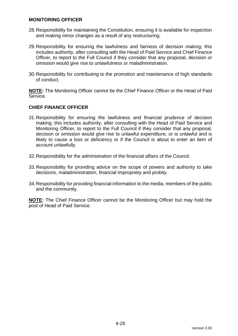#### **MONITORING OFFICER**

- 28.Responsibility for maintaining the Constitution, ensuring it is available for inspection and making minor changes as a result of any restructuring.
- 29.Responsibility for ensuring the lawfulness and fairness of decision making; this includes authority, after consulting with the Head of Paid Service and Chief Finance Officer, to report to the Full Council if they consider that any proposal, decision or omission would give rise to unlawfulness or maladministration.
- 30.Responsibility for contributing to the promotion and maintenance of high standards of conduct.

**NOTE:** The Monitoring Officer cannot be the Chief Finance Officer or the Head of Paid Service.

### **CHIEF FINANCE OFFICER**

- 31.Responsibility for ensuring the lawfulness and financial prudence of decision making; this includes authority, after consulting with the Head of Paid Service and Monitoring Officer, to report to the Full Council if they consider that any proposal, decision or omission would give rise to unlawful expenditure, or is unlawful and is likely to cause a loss or deficiency or if the Council is about to enter an item of account unlawfully.
- 32.Responsibility for the administration of the financial affairs of the Council.
- 33.Responsibility for providing advice on the scope of powers and authority to take decisions, maladministration, financial impropriety and probity.
- 34.Responsibility for providing financial information to the media, members of the public and the community.

**NOTE:** The Chief Finance Officer cannot be the Monitoring Officer but may hold the post of Head of Paid Service.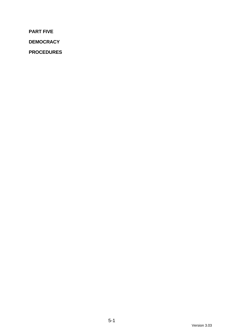**PART FIVE**

**DEMOCRACY**

**PROCEDURES**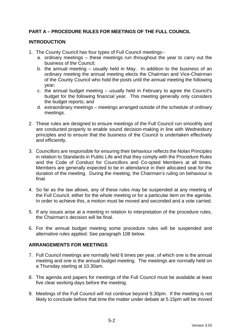# **PART A – PROCEDURE RULES FOR MEETINGS OF THE FULL COUNCIL**

# **INTRODUCTION**

- 1. The County Council has four types of Full Council meetings:
	- a. ordinary meetings these meetings run throughout the year to carry out the business of the Council;
	- b. the annual meeting usually held in May. In addition to the business of an ordinary meeting the annual meeting elects the Chairman and Vice-Chairman of the County Council who hold the posts until the annual meeting the following year;
	- c. the annual budget meeting usually held in February to agree the Council's budget for the following financial year. This meeting generally only considers the budget reports; and
	- d. extraordinary meetings meetings arranged outside of the schedule of ordinary meetings.
- 2. These rules are designed to ensure meetings of the Full Council run smoothly and are conducted properly to enable sound decision-making in line with Wednesbury principles and to ensure that the business of the Council is undertaken effectively and efficiently.
- 3. Councillors are responsible for ensuring their behaviour reflects the Nolan Principles in relation to Standards in Public Life and that they comply with the Procedure Rules and the Code of Conduct for Councillors and Co-opted Members at all times. Members are generally expected to be in attendance in their allocated seat for the duration of the meeting. During the meeting, the Chairman's ruling on behaviour is final.
- 4. So far as the law allows, any of these rules may be suspended at any meeting of the Full Council, either for the whole meeting or for a particular item on the agenda. In order to achieve this, a motion must be moved and seconded and a vote carried.
- 5. If any issues arise at a meeting in relation to interpretation of the procedure rules, the Chairman's decision will be final.
- 6. For the annual budget meeting some procedure rules will be suspended and alternative rules applied. See paragraph 108 below.

### **ARRANGEMENTS FOR MEETINGS**

- 7. Full Council meetings are normally held 6 times per year, of which one is the annual meeting and one is the annual budget meeting. The meetings are normally held on a Thursday starting at 10.30am.
- 8. The agenda and papers for meetings of the Full Council must be available at least five clear working days before the meeting.
- 9. Meetings of the Full Council will not continue beyond 5.30pm. If the meeting is not likely to conclude before that time the matter under debate at 5.15pm will be moved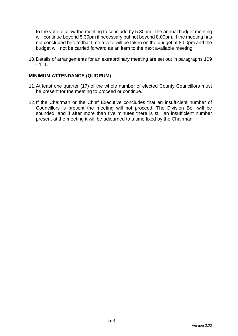to the vote to allow the meeting to conclude by 5.30pm. The annual budget meeting will continue beyond 5.30pm if necessary but not beyond 8.00pm. If the meeting has not concluded before that time a vote will be taken on the budget at 8.00pm and the budget will not be carried forward as an item to the next available meeting.

10.Details of arrangements for an extraordinary meeting are set out in paragraphs 109  $-111.$ 

#### **MINIMUM ATTENDANCE (QUORUM)**

- 11.At least one quarter (17) of the whole number of elected County Councillors must be present for the meeting to proceed or continue.
- 12.If the Chairman or the Chief Executive concludes that an insufficient number of Councillors is present the meeting will not proceed. The Division Bell will be sounded, and if after more than five minutes there is still an insufficient number present at the meeting it will be adjourned to a time fixed by the Chairman.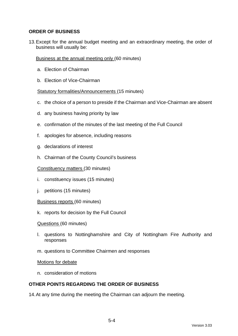# **ORDER OF BUSINESS**

13.Except for the annual budget meeting and an extraordinary meeting, the order of business will usually be:

Business at the annual meeting only (60 minutes)

- a. Election of Chairman
- b. Election of Vice-Chairman

#### Statutory formalities/Announcements (15 minutes)

- c. the choice of a person to preside if the Chairman and Vice-Chairman are absent
- d. any business having priority by law
- e. confirmation of the minutes of the last meeting of the Full Council
- f. apologies for absence, including reasons
- g. declarations of interest
- h. Chairman of the County Council's business

#### Constituency matters (30 minutes)

- i. constituency issues (15 minutes)
- j. petitions (15 minutes)
- Business reports (60 minutes)
- k. reports for decision by the Full Council

#### Questions (60 minutes)

- l. questions to Nottinghamshire and City of Nottingham Fire Authority and responses
- m. questions to Committee Chairmen and responses

#### Motions for debate

n. consideration of motions

### **OTHER POINTS REGARDING THE ORDER OF BUSINESS**

14.At any time during the meeting the Chairman can adjourn the meeting.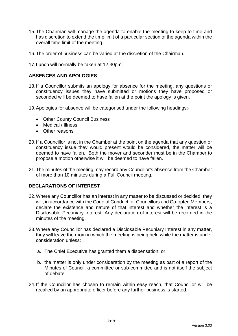- 15.The Chairman will manage the agenda to enable the meeting to keep to time and has discretion to extend the time limit of a particular section of the agenda within the overall time limit of the meeting.
- 16.The order of business can be varied at the discretion of the Chairman.
- 17.Lunch will normally be taken at 12.30pm.

### **ABSENCES AND APOLOGIES**

- 18.If a Councillor submits an apology for absence for the meeting, any questions or constituency issues they have submitted or motions they have proposed or seconded will be deemed to have fallen at the point the apology is given.
- 19.Apologies for absence will be categorised under the following headings:-
	- Other County Council Business
	- Medical / Illness
	- Other reasons
- 20.If a Councillor is not in the Chamber at the point on the agenda that any question or constituency issue they would present would be considered, the matter will be deemed to have fallen. Both the mover and seconder must be in the Chamber to propose a motion otherwise it will be deemed to have fallen.
- 21.The minutes of the meeting may record any Councillor's absence from the Chamber of more than 10 minutes during a Full Council meeting.

#### **DECLARATIONS OF INTEREST**

- 22.Where any Councillor has an interest in any matter to be discussed or decided, they will, in accordance with the Code of Conduct for Councillors and Co-opted Members, declare the existence and nature of that interest and whether the interest is a Disclosable Pecuniary Interest. Any declaration of interest will be recorded in the minutes of the meeting.
- 23.Where any Councillor has declared a Disclosable Pecuniary Interest in any matter, they will leave the room in which the meeting is being held while the matter is under consideration unless:
	- a. The Chief Executive has granted them a dispensation; or
	- b. the matter is only under consideration by the meeting as part of a report of the Minutes of Council, a committee or sub-committee and is not itself the subject of debate.
- 24.If the Councillor has chosen to remain within easy reach, that Councillor will be recalled by an appropriate officer before any further business is started.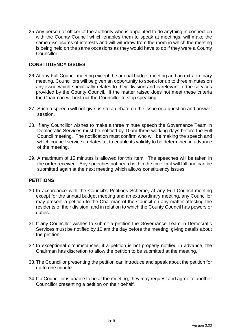25.Any person or officer of the authority who is appointed to do anything in connection with the County Council which enables them to speak at meetings, will make the same disclosures of interests and will withdraw from the room in which the meeting is being held on the same occasions as they would have to do if they were a County Councillor.

# **CONSTITUENCY ISSUES**

- 26.At any Full Council meeting except the annual budget meeting and an extraordinary meeting, Councillors will be given an opportunity to speak for up to three minutes on any issue which specifically relates to their division and is relevant to the services provided by the County Council. If the matter raised does not meet these criteria the Chairman will instruct the Councillor to stop speaking.
- 27. Such a speech will not give rise to a debate on the issue or a question and answer session.
- 28. If any Councillor wishes to make a three minute speech the Governance Team in Democratic Services must be notified by 10am three working days before the Full Council meeting. The notification must confirm who will be making the speech and which council service it relates to, to enable its validity to be determined in advance of the meeting.
- 29. A maximum of 15 minutes is allowed for this item. The speeches will be taken in the order received. Any speeches not heard within the time limit will fall and can be submitted again at the next meeting which allows constituency issues.

### **PETITIONS**

- 30.In accordance with the Council's Petitions Scheme, at any Full Council meeting except for the annual budget meeting and an extraordinary meeting, any Councillor may present a petition to the Chairman of the Council on any matter affecting the residents of their division, and in relation to which the County Council has powers or duties.
- 31.If any Councillor wishes to submit a petition the Governance Team in Democratic Services must be notified by 10 am the day before the meeting, giving details about the petition.
- 32.In exceptional circumstances, if a petition is not properly notified in advance, the Chairman has discretion to allow the petition to be submitted at the meeting.
- 33.The Councillor presenting the petition can introduce and speak about the petition for up to one minute.
- 34.If a Councillor is unable to be at the meeting, they may request and agree to another Councillor presenting a petition on their behalf.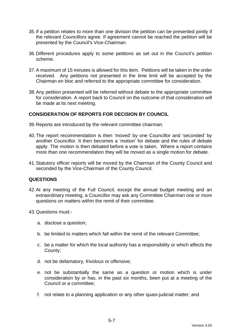- 35.If a petition relates to more than one division the petition can be presented jointly if the relevant Councillors agree. If agreement cannot be reached the petition will be presented by the Council's Vice-Chairman.
- 36.Different procedures apply to some petitions as set out in the Council's petition scheme.
- 37.A maximum of 15 minutes is allowed for this item. Petitions will be taken in the order received. Any petitions not presented in the time limit will be accepted by the Chairman en bloc and referred to the appropriate committee for consideration.
- 38.Any petition presented will be referred without debate to the appropriate committee for consideration. A report back to Council on the outcome of that consideration will be made at its next meeting.

### **CONSIDERATION OF REPORTS FOR DECISION BY COUNCIL**

- 39.Reports are introduced by the relevant committee chairman.
- 40.The report recommendation is then 'moved' by one Councillor and 'seconded' by another Councillor. It then becomes a 'motion' for debate and the rules of debate apply. The motion is then debated before a vote is taken. Where a report contains more than one recommendation they will be moved as a single motion for debate.
- 41.Statutory officer reports will be moved by the Chairman of the County Council and seconded by the Vice-Chairman of the County Council.

#### **QUESTIONS**

- 42.At any meeting of the Full Council, except the annual budget meeting and an extraordinary meeting, a Councillor may ask any Committee Chairman one or more questions on matters within the remit of their committee.
- 43.Questions must:
	- a. disclose a question;
	- b. be limited to matters which fall within the remit of the relevant Committee;
	- c. be a matter for which the local authority has a responsibility or which affects the County;
	- d. not be defamatory, frivolous or offensive;
	- e. not be substantially the same as a question or motion which is under consideration by or has, in the past six months, been put at a meeting of the Council or a committee;
	- f. not relate to a planning application or any other quasi-judicial matter; and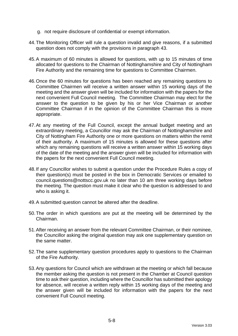- g. not require disclosure of confidential or exempt information.
- 44.The Monitoring Officer will rule a question invalid and give reasons, if a submitted question does not comply with the provisions in paragraph 43.
- 45.A maximum of 60 minutes is allowed for questions, with up to 15 minutes of time allocated for questions to the Chairman of Nottinghamshire and City of Nottingham Fire Authority and the remaining time for questions to Committee Chairmen.
- 46.Once the 60 minutes for questions has been reached any remaining questions to Committee Chairmen will receive a written answer within 15 working days of the meeting and the answer given will be included for information with the papers for the next convenient Full Council meeting. The Committee Chairman may elect for the answer to the question to be given by his or her Vice Chairman or another Committee Chairman if in the opinion of the Committee Chairman this is more appropriate.
- 47.At any meeting of the Full Council, except the annual budget meeting and an extraordinary meeting, a Councillor may ask the Chairman of Nottinghamshire and City of Nottingham Fire Authority one or more questions on matters within the remit of their authority. A maximum of 15 minutes is allowed for these questions after which any remaining questions will receive a written answer within 15 working days of the date of the meeting and the answer given will be included for information with the papers for the next convenient Full Council meeting.
- 48.If any Councillor wishes to submit a question under the Procedure Rules a copy of their question(s) must be posted in the box in Democratic Services or emailed to council.questions@nottscc.gov.uk no later than 10 am three working days before the meeting. The question must make it clear who the question is addressed to and who is asking it.
- 49.A submitted question cannot be altered after the deadline.
- 50.The order in which questions are put at the meeting will be determined by the Chairman.
- 51.After receiving an answer from the relevant Committee Chairman, or their nominee, the Councillor asking the original question may ask one supplementary question on the same matter.
- 52.The same supplementary question procedures apply to questions to the Chairman of the Fire Authority.
- 53.Any questions for Council which are withdrawn at the meeting or which fall because the member asking the question is not present in the Chamber at Council question time to ask their question, including where the Councillor has submitted their apology for absence, will receive a written reply within 15 working days of the meeting and the answer given will be included for information with the papers for the next convenient Full Council meeting.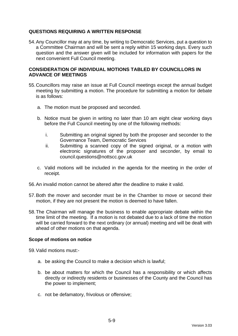# **QUESTIONS REQUIRING A WRITTEN RESPONSE**

54.Any Councillor may at any time, by writing to Democratic Services, put a question to a Committee Chairman and will be sent a reply within 15 working days. Every such question and the answer given will be included for information with papers for the next convenient Full Council meeting.

#### **CONSIDERATION OF INDIVIDUAL MOTIONS TABLED BY COUNCILLORS IN ADVANCE OF MEETINGS**

- 55.Councillors may raise an issue at Full Council meetings except the annual budget meeting by submitting a motion. The procedure for submitting a motion for debate is as follows:
	- a. The motion must be proposed and seconded.
	- b. Notice must be given in writing no later than 10 am eight clear working days before the Full Council meeting by one of the following methods:
		- i. Submitting an original signed by both the proposer and seconder to the Governance Team, Democratic Services
		- ii. Submitting a scanned copy of the signed original, or a motion with electronic signatures of the proposer and seconder, by email to council.questions@nottscc.gov.uk
	- c. Valid motions will be included in the agenda for the meeting in the order of receipt.
- 56.An invalid motion cannot be altered after the deadline to make it valid.
- 57.Both the mover and seconder must be in the Chamber to move or second their motion, if they are not present the motion is deemed to have fallen.
- 58.The Chairman will manage the business to enable appropriate debate within the time limit of the meeting. If a motion is not debated due to a lack of time the motion will be carried forward to the next ordinary (or annual) meeting and will be dealt with ahead of other motions on that agenda.

### **Scope of motions on notice**

59.Valid motions must:-

- a. be asking the Council to make a decision which is lawful;
- b. be about matters for which the Council has a responsibility or which affects directly or indirectly residents or businesses of the County and the Council has the power to implement;
- c. not be defamatory, frivolous or offensive;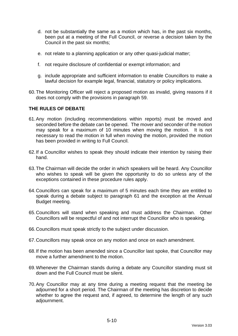- d. not be substantially the same as a motion which has, in the past six months, been put at a meeting of the Full Council, or reverse a decision taken by the Council in the past six months;
- e. not relate to a planning application or any other quasi-judicial matter;
- f. not require disclosure of confidential or exempt information; and
- g. include appropriate and sufficient information to enable Councillors to make a lawful decision for example legal, financial, statutory or policy implications.
- 60.The Monitoring Officer will reject a proposed motion as invalid, giving reasons if it does not comply with the provisions in paragraph 59.

### **THE RULES OF DEBATE**

- 61.Any motion (including recommendations within reports) must be moved and seconded before the debate can be opened. The mover and seconder of the motion may speak for a maximum of 10 minutes when moving the motion. It is not necessary to read the motion in full when moving the motion, provided the motion has been provided in writing to Full Council.
- 62.If a Councillor wishes to speak they should indicate their intention by raising their hand.
- 63.The Chairman will decide the order in which speakers will be heard. Any Councillor who wishes to speak will be given the opportunity to do so unless any of the exceptions contained in these procedure rules apply.
- 64.Councillors can speak for a maximum of 5 minutes each time they are entitled to speak during a debate subject to paragraph 61 and the exception at the Annual Budget meeting.
- 65.Councillors will stand when speaking and must address the Chairman. Other Councillors will be respectful of and not interrupt the Councillor who is speaking.
- 66.Councillors must speak strictly to the subject under discussion.
- 67.Councillors may speak once on any motion and once on each amendment.
- 68.If the motion has been amended since a Councillor last spoke, that Councillor may move a further amendment to the motion.
- 69.Whenever the Chairman stands during a debate any Councillor standing must sit down and the Full Council must be silent.
- 70.Any Councillor may at any time during a meeting request that the meeting be adjourned for a short period. The Chairman of the meeting has discretion to decide whether to agree the request and, if agreed, to determine the length of any such adjournment.

5-10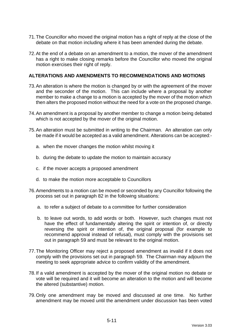- 71.The Councillor who moved the original motion has a right of reply at the close of the debate on that motion including where it has been amended during the debate.
- 72.At the end of a debate on an amendment to a motion, the mover of the amendment has a right to make closing remarks before the Councillor who moved the original motion exercises their right of reply.

## **ALTERATIONS AND AMENDMENTS TO RECOMMENDATIONS AND MOTIONS**

- 73.An alteration is where the motion is changed by or with the agreement of the mover and the seconder of the motion. This can include where a proposal by another member to make a change to a motion is accepted by the mover of the motion which then alters the proposed motion without the need for a vote on the proposed change.
- 74.An amendment is a proposal by another member to change a motion being debated which is not accepted by the mover of the original motion.
- 75.An alteration must be submitted in writing to the Chairman. An alteration can only be made if it would be accepted as a valid amendment. Alterations can be accepted:
	- a. when the mover changes the motion whilst moving it
	- b. during the debate to update the motion to maintain accuracy
	- c. if the mover accepts a proposed amendment
	- d. to make the motion more acceptable to Councillors
- 76.Amendments to a motion can be moved or seconded by any Councillor following the process set out in paragraph 82 in the following situations:
	- a. to refer a subject of debate to a committee for further consideration
	- b. to leave out words, to add words or both. However, such changes must not have the effect of fundamentally altering the spirit or intention of, or directly reversing the spirit or intention of, the original proposal (for example to recommend approval instead of refusal), must comply with the provisions set out in paragraph 59 and must be relevant to the original motion.
- 77.The Monitoring Officer may reject a proposed amendment as invalid if it does not comply with the provisions set out in paragraph 59. The Chairman may adjourn the meeting to seek appropriate advice to confirm validity of the amendment.
- 78.If a valid amendment is accepted by the mover of the original motion no debate or vote will be required and it will become an alteration to the motion and will become the altered (substantive) motion.
- 79.Only one amendment may be moved and discussed at one time. No further amendment may be moved until the amendment under discussion has been voted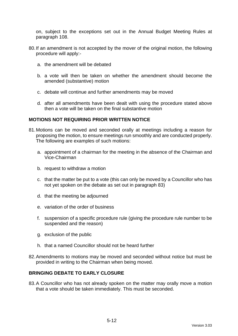on, subject to the exceptions set out in the Annual Budget Meeting Rules at paragraph 108.

- 80.If an amendment is not accepted by the mover of the original motion, the following procedure will apply:
	- a. the amendment will be debated
	- b. a vote will then be taken on whether the amendment should become the amended (substantive) motion
	- c. debate will continue and further amendments may be moved
	- d. after all amendments have been dealt with using the procedure stated above then a vote will be taken on the final substantive motion

### **MOTIONS NOT REQUIRING PRIOR WRITTEN NOTICE**

- 81.Motions can be moved and seconded orally at meetings including a reason for proposing the motion, to ensure meetings run smoothly and are conducted properly. The following are examples of such motions:
	- a. appointment of a chairman for the meeting in the absence of the Chairman and Vice-Chairman
	- b. request to withdraw a motion
	- c. that the matter be put to a vote (this can only be moved by a Councillor who has not yet spoken on the debate as set out in paragraph 83)
	- d. that the meeting be adjourned
	- e. variation of the order of business
	- f. suspension of a specific procedure rule (giving the procedure rule number to be suspended and the reason)
	- g. exclusion of the public
	- h. that a named Councillor should not be heard further
- 82.Amendments to motions may be moved and seconded without notice but must be provided in writing to the Chairman when being moved.

## **BRINGING DEBATE TO EARLY CLOSURE**

83.A Councillor who has not already spoken on the matter may orally move a motion that a vote should be taken immediately. This must be seconded.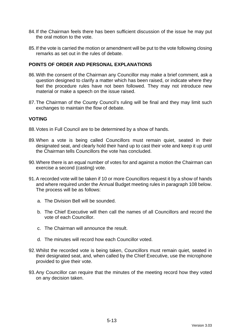- 84.If the Chairman feels there has been sufficient discussion of the issue he may put the oral motion to the vote.
- 85.If the vote is carried the motion or amendment will be put to the vote following closing remarks as set out in the rules of debate.

### **POINTS OF ORDER AND PERSONAL EXPLANATIONS**

- 86.With the consent of the Chairman any Councillor may make a brief comment, ask a question designed to clarify a matter which has been raised, or indicate where they feel the procedure rules have not been followed. They may not introduce new material or make a speech on the issue raised.
- 87.The Chairman of the County Council's ruling will be final and they may limit such exchanges to maintain the flow of debate.

### **VOTING**

- 88.Votes in Full Council are to be determined by a show of hands.
- 89.When a vote is being called Councillors must remain quiet, seated in their designated seat, and clearly hold their hand up to cast their vote and keep it up until the Chairman tells Councillors the vote has concluded.
- 90.Where there is an equal number of votes for and against a motion the Chairman can exercise a second (casting) vote.
- 91.A recorded vote will be taken if 10 or more Councillors request it by a show of hands and where required under the Annual Budget meeting rules in paragraph 108 below. The process will be as follows:
	- a. The Division Bell will be sounded.
	- b. The Chief Executive will then call the names of all Councillors and record the vote of each Councillor.
	- c. The Chairman will announce the result.
	- d. The minutes will record how each Councillor voted.
- 92.Whilst the recorded vote is being taken, Councillors must remain quiet, seated in their designated seat, and, when called by the Chief Executive, use the microphone provided to give their vote.
- 93.Any Councillor can require that the minutes of the meeting record how they voted on any decision taken.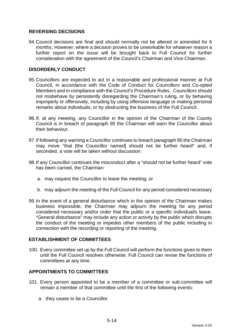# **REVERSING DECISIONS**

94.Council decisions are final and should normally not be altered or amended for 6 months. However, where a decision proves to be unworkable for whatever reason a further report on the issue will be brought back to Full Council for further consideration with the agreement of the Council's Chairman and Vice-Chairman.

## **DISORDERLY CONDUCT**

- 95.Councillors are expected to act in a reasonable and professional manner at Full Council, in accordance with the Code of Conduct for Councillors and Co-opted Members and in compliance with the Council's Procedure Rules. Councillors should not misbehave by persistently disregarding the Chairman's ruling, or by behaving improperly or offensively, including by using offensive language or making personal remarks about individuals, or by obstructing the business of the Full Council.
- 96.If, at any meeting, any Councillor in the opinion of the Chairman of the County Council is in breach of paragraph 95 the Chairman will warn the Councillor about their behaviour.
- 97.If following any warning a Councillor continues to breach paragraph 95 the Chairman may move "that [the Councillor named] should not be further heard" and, if seconded, a vote will be taken without discussion.
- 98.If any Councillor continues the misconduct after a "should not be further heard" vote has been carried, the Chairman:
	- a. may request the Councillor to leave the meeting; or
	- b. may adjourn the meeting of the Full Council for any period considered necessary
- 99.In the event of a general disturbance which in the opinion of the Chairman makes business impossible, the Chairman may adjourn the meeting for any period considered necessary and/or order that the public or a specific individual/s leave. "General disturbance" may include any action or activity by the public which disrupts the conduct of the meeting or impedes other members of the public including in connection with the recording or reporting of the meeting.

### **ESTABLISHMENT OF COMMITTEES**

100. Every committee set up by the Full Council will perform the functions given to them until the Full Council resolves otherwise. Full Council can revise the functions of committees at any time.

### **APPOINTMENTS TO COMMITTEES**

- 101. Every person appointed to be a member of a committee or sub-committee will remain a member of that committee until the first of the following events:
	- a. they cease to be a Councillor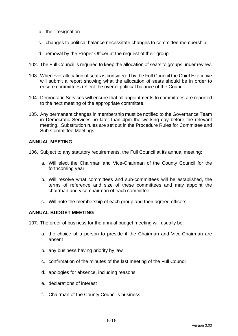- b. their resignation
- c. changes to political balance necessitate changes to committee membership
- d. removal by the Proper Officer at the request of their group
- 102. The Full Council is required to keep the allocation of seats to groups under review.
- 103. Whenever allocation of seats is considered by the Full Council the Chief Executive will submit a report showing what the allocation of seats should be in order to ensure committees reflect the overall political balance of the Council.
- 104. Democratic Services will ensure that all appointments to committees are reported to the next meeting of the appropriate committee.
- 105. Any permanent changes in membership must be notified to the Governance Team in Democratic Services no later than 4pm the working day before the relevant meeting. Substitution rules are set out in the Procedure Rules for Committee and Sub-Committee Meetings.

### **ANNUAL MEETING**

106. Subject to any statutory requirements, the Full Council at its annual meeting:

- a. Will elect the Chairman and Vice-Chairman of the County Council for the forthcoming year.
- b. Will resolve what committees and sub-committees will be established, the terms of reference and size of these committees and may appoint the chairman and vice-chairman of each committee.
- c. Will note the membership of each group and their agreed officers.

## **ANNUAL BUDGET MEETING**

107. The order of business for the annual budget meeting will usually be:

- a. the choice of a person to preside if the Chairman and Vice-Chairman are absent
- b. any business having priority by law
- c. confirmation of the minutes of the last meeting of the Full Council
- d. apologies for absence, including reasons
- e. declarations of interest
- f. Chairman of the County Council's business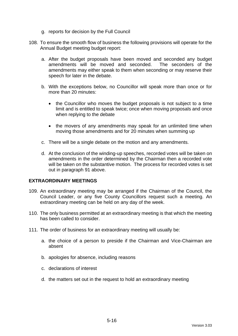- g. reports for decision by the Full Council
- 108. To ensure the smooth flow of business the following provisions will operate for the Annual Budget meeting budget report:
	- a. After the budget proposals have been moved and seconded any budget amendments will be moved and seconded. The seconders of the amendments may either speak to them when seconding or may reserve their speech for later in the debate.
	- b. With the exceptions below, no Councillor will speak more than once or for more than 20 minutes:
		- the Councillor who moves the budget proposals is not subject to a time limit and is entitled to speak twice; once when moving proposals and once when replying to the debate
		- the movers of any amendments may speak for an unlimited time when moving those amendments and for 20 minutes when summing up
	- c. There will be a single debate on the motion and any amendments.
	- d. At the conclusion of the winding-up speeches, recorded votes will be taken on amendments in the order determined by the Chairman then a recorded vote will be taken on the substantive motion. The process for recorded votes is set out in paragraph 91 above.

### **EXTRAORDINARY MEETINGS**

- 109. An extraordinary meeting may be arranged if the Chairman of the Council, the Council Leader, or any five County Councillors request such a meeting. An extraordinary meeting can be held on any day of the week.
- 110. The only business permitted at an extraordinary meeting is that which the meeting has been called to consider.
- 111. The order of business for an extraordinary meeting will usually be:
	- a. the choice of a person to preside if the Chairman and Vice-Chairman are absent
	- b. apologies for absence, including reasons
	- c. declarations of interest
	- d. the matters set out in the request to hold an extraordinary meeting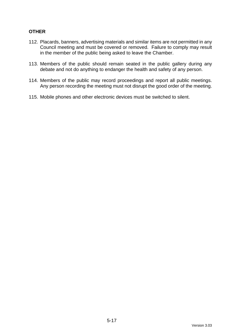# **OTHER**

- 112. Placards, banners, advertising materials and similar items are not permitted in any Council meeting and must be covered or removed. Failure to comply may result in the member of the public being asked to leave the Chamber.
- 113. Members of the public should remain seated in the public gallery during any debate and not do anything to endanger the health and safety of any person.
- 114. Members of the public may record proceedings and report all public meetings. Any person recording the meeting must not disrupt the good order of the meeting.
- 115. Mobile phones and other electronic devices must be switched to silent.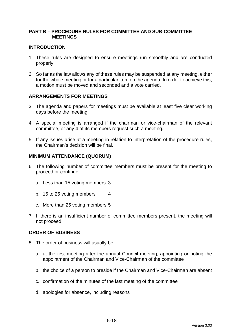## **PART B – PROCEDURE RULES FOR COMMITTEE AND SUB-COMMITTEE MEETINGS**

### **INTRODUCTION**

- 1. These rules are designed to ensure meetings run smoothly and are conducted properly.
- 2. So far as the law allows any of these rules may be suspended at any meeting, either for the whole meeting or for a particular item on the agenda. In order to achieve this, a motion must be moved and seconded and a vote carried.

### **ARRANGEMENTS FOR MEETINGS**

- 3. The agenda and papers for meetings must be available at least five clear working days before the meeting.
- 4. A special meeting is arranged if the chairman or vice-chairman of the relevant committee, or any 4 of its members request such a meeting.
- 5. If any issues arise at a meeting in relation to interpretation of the procedure rules, the Chairman's decision will be final.

#### **MINIMUM ATTENDANCE (QUORUM)**

- 6. The following number of committee members must be present for the meeting to proceed or continue:
	- a. Less than 15 voting members 3
	- b. 15 to 25 voting members 4
	- c. More than 25 voting members 5
- 7. If there is an insufficient number of committee members present, the meeting will not proceed.

#### **ORDER OF BUSINESS**

- 8. The order of business will usually be:
	- a. at the first meeting after the annual Council meeting, appointing or noting the appointment of the Chairman and Vice-Chairman of the committee
	- b. the choice of a person to preside if the Chairman and Vice-Chairman are absent
	- c. confirmation of the minutes of the last meeting of the committee
	- d. apologies for absence, including reasons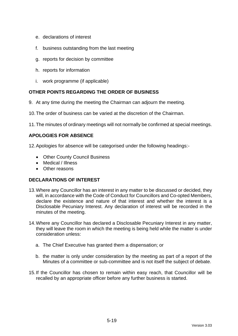- e. declarations of interest
- f. business outstanding from the last meeting
- g. reports for decision by committee
- h. reports for information
- i. work programme (if applicable)

# **OTHER POINTS REGARDING THE ORDER OF BUSINESS**

- 9. At any time during the meeting the Chairman can adjourn the meeting.
- 10.The order of business can be varied at the discretion of the Chairman.
- 11.The minutes of ordinary meetings will not normally be confirmed at special meetings.

# **APOLOGIES FOR ABSENCE**

12.Apologies for absence will be categorised under the following headings:-

- Other County Council Business
- Medical / Illness
- Other reasons

# **DECLARATIONS OF INTEREST**

- 13.Where any Councillor has an interest in any matter to be discussed or decided, they will, in accordance with the Code of Conduct for Councillors and Co-opted Members, declare the existence and nature of that interest and whether the interest is a Disclosable Pecuniary Interest. Any declaration of interest will be recorded in the minutes of the meeting.
- 14.Where any Councillor has declared a Disclosable Pecuniary Interest in any matter, they will leave the room in which the meeting is being held while the matter is under consideration unless:
	- a. The Chief Executive has granted them a dispensation; or
	- b. the matter is only under consideration by the meeting as part of a report of the Minutes of a committee or sub-committee and is not itself the subject of debate.
- 15.If the Councillor has chosen to remain within easy reach, that Councillor will be recalled by an appropriate officer before any further business is started.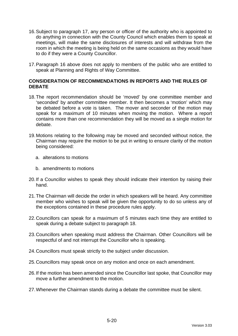- 16.Subject to paragraph 17, any person or officer of the authority who is appointed to do anything in connection with the County Council which enables them to speak at meetings, will make the same disclosures of interests and will withdraw from the room in which the meeting is being held on the same occasions as they would have to do if they were a County Councillor.
- 17.Paragraph 16 above does not apply to members of the public who are entitled to speak at Planning and Rights of Way Committee.

### **CONSIDERATION OF RECOMMENDATIONS IN REPORTS AND THE RULES OF DEBATE**

- 18.The report recommendation should be 'moved' by one committee member and 'seconded' by another committee member. It then becomes a 'motion' which may be debated before a vote is taken. The mover and seconder of the motion may speak for a maximum of 10 minutes when moving the motion. Where a report contains more than one recommendation they will be moved as a single motion for debate.
- 19.Motions relating to the following may be moved and seconded without notice, the Chairman may require the motion to be put in writing to ensure clarity of the motion being considered:
	- a. alterations to motions
	- b. amendments to motions
- 20.If a Councillor wishes to speak they should indicate their intention by raising their hand.
- 21.The Chairman will decide the order in which speakers will be heard. Any committee member who wishes to speak will be given the opportunity to do so unless any of the exceptions contained in these procedure rules apply.
- 22.Councillors can speak for a maximum of 5 minutes each time they are entitled to speak during a debate subject to paragraph 18.
- 23.Councillors when speaking must address the Chairman. Other Councillors will be respectful of and not interrupt the Councillor who is speaking.
- 24.Councillors must speak strictly to the subject under discussion.
- 25.Councillors may speak once on any motion and once on each amendment.
- 26.If the motion has been amended since the Councillor last spoke, that Councillor may move a further amendment to the motion.
- 27.Whenever the Chairman stands during a debate the committee must be silent.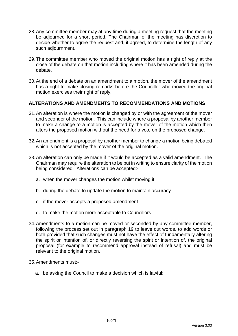- 28.Any committee member may at any time during a meeting request that the meeting be adjourned for a short period. The Chairman of the meeting has discretion to decide whether to agree the request and, if agreed, to determine the length of any such adjournment.
- 29.The committee member who moved the original motion has a right of reply at the close of the debate on that motion including where it has been amended during the debate.
- 30.At the end of a debate on an amendment to a motion, the mover of the amendment has a right to make closing remarks before the Councillor who moved the original motion exercises their right of reply.

# **ALTERATIONS AND AMENDMENTS TO RECOMMENDATIONS AND MOTIONS**

- 31.An alteration is where the motion is changed by or with the agreement of the mover and seconder of the motion. This can include where a proposal by another member to make a change to a motion is accepted by the mover of the motion which then alters the proposed motion without the need for a vote on the proposed change.
- 32.An amendment is a proposal by another member to change a motion being debated which is not accepted by the mover of the original motion.
- 33.An alteration can only be made if it would be accepted as a valid amendment. The Chairman may require the alteration to be put in writing to ensure clarity of the motion being considered. Alterations can be accepted:
	- a. when the mover changes the motion whilst moving it
	- b. during the debate to update the motion to maintain accuracy
	- c. if the mover accepts a proposed amendment
	- d. to make the motion more acceptable to Councillors
- 34.Amendments to a motion can be moved or seconded by any committee member, following the process set out in paragraph 19 to leave out words, to add words or both provided that such changes must not have the effect of fundamentally altering the spirit or intention of, or directly reversing the spirit or intention of, the original proposal (for example to recommend approval instead of refusal) and must be relevant to the original motion.
- 35.Amendments must:
	- a. be asking the Council to make a decision which is lawful;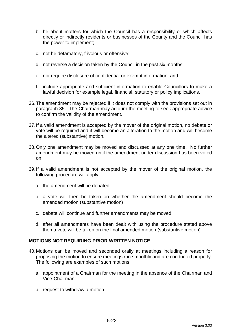- b. be about matters for which the Council has a responsibility or which affects directly or indirectly residents or businesses of the County and the Council has the power to implement;
- c. not be defamatory, frivolous or offensive;
- d. not reverse a decision taken by the Council in the past six months;
- e. not require disclosure of confidential or exempt information; and
- f. include appropriate and sufficient information to enable Councillors to make a lawful decision for example legal, financial, statutory or policy implications.
- 36.The amendment may be rejected if it does not comply with the provisions set out in paragraph 35. The Chairman may adjourn the meeting to seek appropriate advice to confirm the validity of the amendment.
- 37.If a valid amendment is accepted by the mover of the original motion, no debate or vote will be required and it will become an alteration to the motion and will become the altered (substantive) motion.
- 38.Only one amendment may be moved and discussed at any one time. No further amendment may be moved until the amendment under discussion has been voted on.
- 39.If a valid amendment is not accepted by the mover of the original motion, the following procedure will apply:
	- a. the amendment will be debated
	- b. a vote will then be taken on whether the amendment should become the amended motion (substantive motion)
	- c. debate will continue and further amendments may be moved
	- d. after all amendments have been dealt with using the procedure stated above then a vote will be taken on the final amended motion (substantive motion)

### **MOTIONS NOT REQUIRING PRIOR WRITTEN NOTICE**

- 40.Motions can be moved and seconded orally at meetings including a reason for proposing the motion to ensure meetings run smoothly and are conducted properly. The following are examples of such motions:
	- a. appointment of a Chairman for the meeting in the absence of the Chairman and Vice-Chairman
	- b. request to withdraw a motion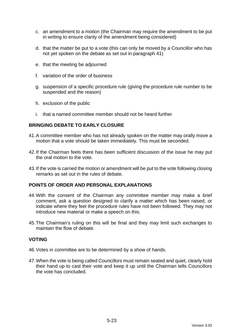- c. an amendment to a motion (the Chairman may require the amendment to be put in writing to ensure clarity of the amendment being considered)
- d. that the matter be put to a vote (this can only be moved by a Councillor who has not yet spoken on the debate as set out in paragraph 41)
- e. that the meeting be adjourned
- f. variation of the order of business
- g. suspension of a specific procedure rule (giving the procedure rule number to be suspended and the reason)
- h. exclusion of the public
- i. that a named committee member should not be heard further

### **BRINGING DEBATE TO EARLY CLOSURE**

- 41.A committee member who has not already spoken on the matter may orally move a motion that a vote should be taken immediately. This must be seconded.
- 42.If the Chairman feels there has been sufficient discussion of the issue he may put the oral motion to the vote.
- 43.If the vote is carried the motion or amendment will be put to the vote following closing remarks as set out in the rules of debate.

### **POINTS OF ORDER AND PERSONAL EXPLANATIONS**

- 44.With the consent of the Chairman any committee member may make a brief comment, ask a question designed to clarify a matter which has been raised, or indicate where they feel the procedure rules have not been followed. They may not introduce new material or make a speech on this.
- 45.The Chairman's ruling on this will be final and they may limit such exchanges to maintain the flow of debate.

#### **VOTING**

- 46.Votes in committee are to be determined by a show of hands.
- 47.When the vote is being called Councillors must remain seated and quiet, clearly hold their hand up to cast their vote and keep it up until the Chairman tells Councillors the vote has concluded.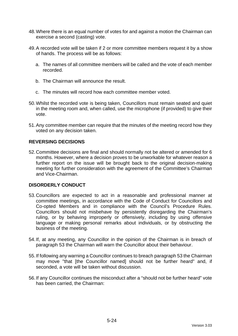- 48.Where there is an equal number of votes for and against a motion the Chairman can exercise a second (casting) vote.
- 49.A recorded vote will be taken if 2 or more committee members request it by a show of hands. The process will be as follows:
	- a. The names of all committee members will be called and the vote of each member recorded.
	- b. The Chairman will announce the result.
	- c. The minutes will record how each committee member voted.
- 50.Whilst the recorded vote is being taken, Councillors must remain seated and quiet in the meeting room and, when called, use the microphone (if provided) to give their vote.
- 51.Any committee member can require that the minutes of the meeting record how they voted on any decision taken.

### **REVERSING DECISIONS**

52.Committee decisions are final and should normally not be altered or amended for 6 months. However, where a decision proves to be unworkable for whatever reason a further report on the issue will be brought back to the original decision-making meeting for further consideration with the agreement of the Committee's Chairman and Vice-Chairman.

### **DISORDERLY CONDUCT**

- 53.Councillors are expected to act in a reasonable and professional manner at committee meetings, in accordance with the Code of Conduct for Councillors and Co-opted Members and in compliance with the Council's Procedure Rules. Councillors should not misbehave by persistently disregarding the Chairman's ruling, or by behaving improperly or offensively, including by using offensive language or making personal remarks about individuals, or by obstructing the business of the meeting.
- 54.If, at any meeting, any Councillor in the opinion of the Chairman is in breach of paragraph 53 the Chairman will warn the Councillor about their behaviour.
- 55.If following any warning a Councillor continues to breach paragraph 53 the Chairman may move "that [the Councillor named] should not be further heard" and, if seconded, a vote will be taken without discussion.
- 56.If any Councillor continues the misconduct after a "should not be further heard" vote has been carried, the Chairman: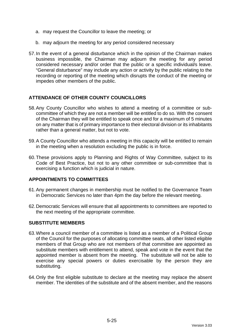- a. may request the Councillor to leave the meeting; or
- b. may adjourn the meeting for any period considered necessary
- 57.In the event of a general disturbance which in the opinion of the Chairman makes business impossible, the Chairman may adjourn the meeting for any period considered necessary and/or order that the public or a specific individual/s leave. "General disturbance" may include any action or activity by the public relating to the recording or reporting of the meeting which disrupts the conduct of the meeting or impedes other members of the public.

# **ATTENDANCE OF OTHER COUNTY COUNCILLORS**

- 58.Any County Councillor who wishes to attend a meeting of a committee or subcommittee of which they are not a member will be entitled to do so. With the consent of the Chairman they will be entitled to speak once and for a maximum of 5 minutes on any matter that is of primary importance to their electoral division or its inhabitants rather than a general matter, but not to vote.
- 59.A County Councillor who attends a meeting in this capacity will be entitled to remain in the meeting when a resolution excluding the public is in force.
- 60.These provisions apply to Planning and Rights of Way Committee, subject to its Code of Best Practice, but not to any other committee or sub-committee that is exercising a function which is judicial in nature.

### **APPOINTMENTS TO COMMITTEES**

- 61.Any permanent changes in membership must be notified to the Governance Team in Democratic Services no later than 4pm the day before the relevant meeting.
- 62.Democratic Services will ensure that all appointments to committees are reported to the next meeting of the appropriate committee.

## **SUBSTITUTE MEMBERS**

- 63.Where a council member of a committee is listed as a member of a Political Group of the Council for the purposes of allocating committee seats, all other listed eligible members of that Group who are not members of that committee are appointed as substitute members with entitlement to attend, speak and vote in the event that the appointed member is absent from the meeting. The substitute will not be able to exercise any special powers or duties exercisable by the person they are substituting.
- 64.Only the first eligible substitute to declare at the meeting may replace the absent member. The identities of the substitute and of the absent member, and the reasons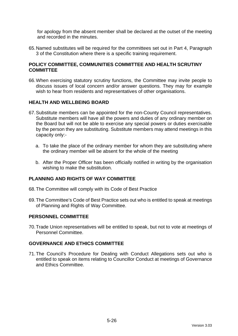for apology from the absent member shall be declared at the outset of the meeting and recorded in the minutes.

65.Named substitutes will be required for the committees set out in Part 4, Paragraph 3 of the Constitution where there is a specific training requirement.

### **POLICY COMMITTEE, COMMUNITIES COMMITTEE AND HEALTH SCRUTINY COMMITTEE**

66.When exercising statutory scrutiny functions, the Committee may invite people to discuss issues of local concern and/or answer questions. They may for example wish to hear from residents and representatives of other organisations.

### **HEALTH AND WELLBEING BOARD**

- 67.Substitute members can be appointed for the non-County Council representatives. Substitute members will have all the powers and duties of any ordinary member on the Board but will not be able to exercise any special powers or duties exercisable by the person they are substituting. Substitute members may attend meetings in this capacity only:
	- a. To take the place of the ordinary member for whom they are substituting where the ordinary member will be absent for the whole of the meeting
	- b. After the Proper Officer has been officially notified in writing by the organisation wishing to make the substitution.

# **PLANNING AND RIGHTS OF WAY COMMITTEE**

- 68.The Committee will comply with its Code of Best Practice
- 69.The Committee's Code of Best Practice sets out who is entitled to speak at meetings of Planning and Rights of Way Committee.

#### **PERSONNEL COMMITTEE**

70.Trade Union representatives will be entitled to speak, but not to vote at meetings of Personnel Committee.

#### **GOVERNANCE AND ETHICS COMMITTEE**

71.The Council's Procedure for Dealing with Conduct Allegations sets out who is entitled to speak on items relating to Councillor Conduct at meetings of Governance and Ethics Committee.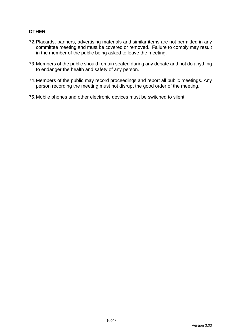# **OTHER**

- 72.Placards, banners, advertising materials and similar items are not permitted in any committee meeting and must be covered or removed. Failure to comply may result in the member of the public being asked to leave the meeting.
- 73.Members of the public should remain seated during any debate and not do anything to endanger the health and safety of any person.
- 74.Members of the public may record proceedings and report all public meetings. Any person recording the meeting must not disrupt the good order of the meeting.
- 75.Mobile phones and other electronic devices must be switched to silent.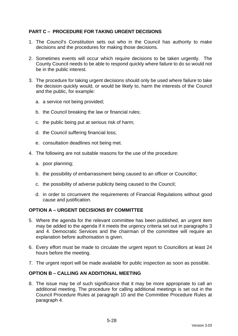# **PART C – PROCEDURE FOR TAKING URGENT DECISIONS**

- 1. The Council's Constitution sets out who in the Council has authority to make decisions and the procedures for making those decisions.
- 2. Sometimes events will occur which require decisions to be taken urgently. The County Council needs to be able to respond quickly where failure to do so would not be in the public interest.
- <span id="page-73-0"></span>3. The procedure for taking urgent decisions should only be used where failure to take the decision quickly would, or would be likely to, harm the interests of the Council and the public, for example:
	- a. a service not being provided;
	- b. the Council breaking the law or financial rules;
	- c. the public being put at serious risk of harm;
	- d. the Council suffering financial loss;
	- e. consultation deadlines not being met.
- <span id="page-73-1"></span>4. The following are not suitable reasons for the use of the procedure:
	- a. poor planning;
	- b. the possibility of embarrassment being caused to an officer or Councillor;
	- c. the possibility of adverse publicity being caused to the Council;
	- d. in order to circumvent the requirements of Financial Regulations without good cause and justification.

## **OPTION A – URGENT DECISIONS BY COMMITTEE**

- 5. Where the agenda for the relevant committee has been published, an urgent item may be added to the agenda if it meets the urgency criteria set out in paragraphs 3 and 4. Democratic Services and the chairman of the committee will require an explanation before authorisation is given.
- 6. Every effort must be made to circulate the urgent report to Councillors at least 24 hours before the meeting.
- 7. The urgent report will be made available for public inspection as soon as possible.

## **OPTION B – CALLING AN ADDITIONAL MEETING**

8. The issue may be of such significance that it may be more appropriate to call an additional meeting. The procedure for calling additional meetings is set out in the Council Procedure Rules at paragraph 10 and the Committee Procedure Rules at paragraph 4.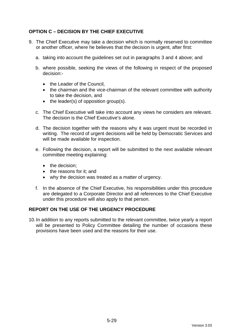# **OPTION C – DECISION BY THE CHIEF EXECUTIVE**

- 9. The Chief Executive may take a decision which is normally reserved to committee or another officer, where he believes that the decision is urgent, after first:
	- a. taking into account the guidelines set out in paragraphs [3](#page-73-0) and [4](#page-73-1) above; and
	- b. where possible, seeking the views of the following in respect of the proposed decision:-
		- the Leader of the Council,
		- the chairman and the vice-chairman of the relevant committee with authority to take the decision, and
		- the leader(s) of opposition group(s).
	- c. The Chief Executive will take into account any views he considers are relevant. The decision is the Chief Executive's alone.
	- d. The decision together with the reasons why it was urgent must be recorded in writing. The record of urgent decisions will be held by Democratic Services and will be made available for inspection.
	- e. Following the decision, a report will be submitted to the next available relevant committee meeting explaining:
		- the decision:
		- the reasons for it: and
		- why the decision was treated as a matter of urgency.
	- f. In the absence of the Chief Executive, his responsibilities under this procedure are delegated to a Corporate Director and all references to the Chief Executive under this procedure will also apply to that person.

## **REPORT ON THE USE OF THE URGENCY PROCEDURE**

10.In addition to any reports submitted to the relevant committee, twice yearly a report will be presented to Policy Committee detailing the number of occasions these provisions have been used and the reasons for their use.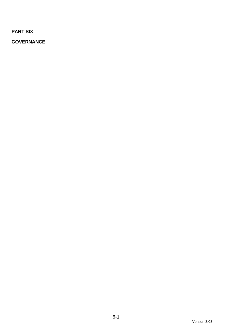**PART SIX**

**GOVERNANCE**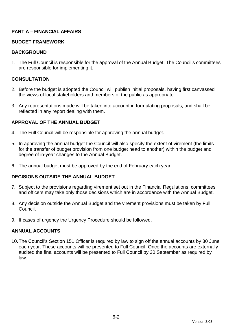# **PART A – FINANCIAL AFFAIRS**

## **BUDGET FRAMEWORK**

#### **BACKGROUND**

1. The Full Council is responsible for the approval of the Annual Budget. The Council's committees are responsible for implementing it.

## **CONSULTATION**

- 2. Before the budget is adopted the Council will publish initial proposals, having first canvassed the views of local stakeholders and members of the public as appropriate.
- 3. Any representations made will be taken into account in formulating proposals, and shall be reflected in any report dealing with them.

## **APPROVAL OF THE ANNUAL BUDGET**

- 4. The Full Council will be responsible for approving the annual budget.
- 5. In approving the annual budget the Council will also specify the extent of virement (the limits for the transfer of budget provision from one budget head to another) within the budget and degree of in-year changes to the Annual Budget.
- 6. The annual budget must be approved by the end of February each year.

## **DECISIONS OUTSIDE THE ANNUAL BUDGET**

- 7. Subject to the provisions regarding virement set out in the Financial Regulations, committees and officers may take only those decisions which are in accordance with the Annual Budget.
- 8. Any decision outside the Annual Budget and the virement provisions must be taken by Full Council.
- 9. If cases of urgency the Urgency Procedure should be followed.

#### **ANNUAL ACCOUNTS**

10.The Council's Section 151 Officer is required by law to sign off the annual accounts by 30 June each year. These accounts will be presented to Full Council. Once the accounts are externally audited the final accounts will be presented to Full Council by 30 September as required by law.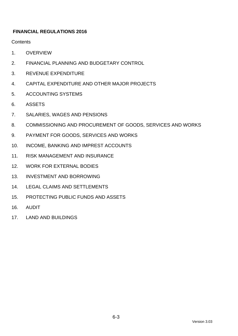# **FINANCIAL REGULATIONS 2016**

**Contents** 

- 1. [OVERVIEW](#page-78-0)
- 2. [FINANCIAL PLANNING AND BUDGETARY CONTROL](#page-79-0)
- 3. [REVENUE EXPENDITURE](#page-80-0)
- 4. [CAPITAL EXPENDITURE AND OTHER MAJOR PROJECTS](#page-84-0)
- 5. [ACCOUNTING SYSTEMS](#page-89-0)
- 6. [ASSETS](#page-89-1)
- 7. [SALARIES, WAGES AND PENSIONS](#page-91-0)
- 8. [COMMISSIONING AND PROCUREMENT OF GOODS, SERVICES AND WORKS](#page-92-0)
- 9. [PAYMENT FOR GOODS, SERVICES AND WORKS](#page-102-0)
- 10. [INCOME, BANKING AND IMPREST ACCOUNTS](#page-104-0)
- 11. [RISK MANAGEMENT AND INSURANCE](#page-106-0)
- 12. [WORK FOR EXTERNAL BODIES](#page-107-0)
- 13. [INVESTMENT AND BORROWING](#page-110-0)
- 14. [LEGAL CLAIMS AND SETTLEMENTS](#page-110-1)
- 15. [PROTECTING PUBLIC FUNDS AND ASSETS](#page-111-0)
- 16. [AUDIT](#page-111-1)
- 17. [LAND AND BUILDINGS](#page-112-0)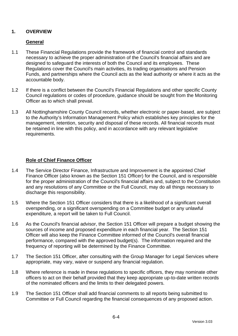# <span id="page-78-0"></span>**1. OVERVIEW**

# **General**

- 1.1 These Financial Regulations provide the framework of financial control and standards necessary to achieve the proper administration of the Council's financial affairs and are designed to safeguard the interests of both the Council and its employees. These Regulations cover the Council's main activities, its trading organisations and Pension Funds, and partnerships where the Council acts as the lead authority or where it acts as the accountable body.
- 1.2 If there is a conflict between the Council's Financial Regulations and other specific County Council regulations or codes of procedure, guidance should be sought from the Monitoring Officer as to which shall prevail.
- 1.3 All Nottinghamshire County Council records, whether electronic or paper-based, are subject to the Authority's Information Management Policy which establishes key principles for the management, retention, security and disposal of these records. All financial records must be retained in line with this policy, and in accordance with any relevant legislative requirements.

# **Role of Chief Finance Officer**

- 1.4 The Service Director Finance, Infrastructure and Improvement is the appointed Chief Finance Officer (also known as the Section 151 Officer) for the Council, and is responsible for the proper administration of the Council's financial affairs and, subject to the Constitution and any resolutions of any Committee or the Full Council, may do all things necessary to discharge this responsibility.
- 1.5 Where the Section 151 Officer considers that there is a likelihood of a significant overall overspending, or a significant overspending on a Committee budget or any unlawful expenditure, a report will be taken to Full Council.
- 1.6 As the Council's financial advisor, the Section 151 Officer will prepare a budget showing the sources of income and proposed expenditure in each financial year. The Section 151 Officer will also keep the Finance Committee informed of the Council's overall financial performance, compared with the approved budget(s). The information required and the frequency of reporting will be determined by the Finance Committee.
- 1.7 The Section 151 Officer, after consulting with the Group Manager for Legal Services where appropriate, may vary, waive or suspend any financial regulation.
- 1.8 Where reference is made in these regulations to specific officers, they may nominate other officers to act on their behalf provided that they keep appropriate up-to-date written records of the nominated officers and the limits to their delegated powers.
- 1.9 The Section 151 Officer shall add financial comments to all reports being submitted to Committee or Full Council regarding the financial consequences of any proposed action.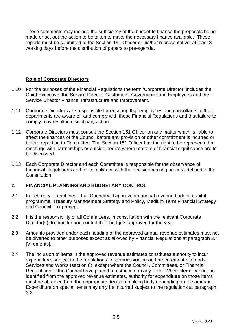These comments may include the sufficiency of the budget to finance the proposals being made or set out the action to be taken to make the necessary finance available. These reports must be submitted to the Section 151 Officer or his/her representative, at least 3 working days before the distribution of papers to pre-agenda.

## **Role of Corporate Directors**

- 1.10 For the purposes of the Financial Regulations the term 'Corporate Director' includes the Chief Executive, the Service Director Customers, Governance and Employees and the Service Director Finance, Infrastructure and Improvement.
- 1.11 Corporate Directors are responsible for ensuring that employees and consultants in their departments are aware of, and comply with these Financial Regulations and that failure to comply may result in disciplinary action.
- 1.12 Corporate Directors must consult the Section 151 Officer on any matter which is liable to affect the finances of the Council before any provision or other commitment is incurred or before reporting to Committee. The Section 151 Officer has the right to be represented at meetings with partnerships or outside bodies where matters of financial significance are to be discussed.
- 1.13 Each Corporate Director and each Committee is responsible for the observance of Financial Regulations and for compliance with the decision making process defined in the **Constitution**

## <span id="page-79-0"></span>**2. FINANCIAL PLANNING AND BUDGETARY CONTROL**

- 2.1 In February of each year, Full Council will approve an annual revenue budget, capital programme, Treasury Management Strategy and Policy, Medium Term Financial Strategy and Council Tax precept.
- 2.2 It is the responsibility of all Committees, in consultation with the relevant Corporate Director(s), to monitor and control their budgets approved for the year.
- 2.3 Amounts provided under each heading of the approved annual revenue estimates must not be diverted to other purposes except as allowed by Financial Regulations at paragraph [3.4](#page-83-0) [Virements].
- 2.4 The inclusion of items in the approved revenue estimates constitutes authority to incur expenditure, subject to the regulations for commissioning and procurement of Goods, Services and Works (section [8\)](#page-92-0), except where the Council, Committees, or Financial Regulations of the Council have placed a restriction on any item. Where items cannot be identified from the approved revenue estimates, authority for expenditure on those items must be obtained from the appropriate decision making body depending on the amount. Expenditure on special items may only be incurred subject to the regulations at paragraph [3.3.](#page-81-0)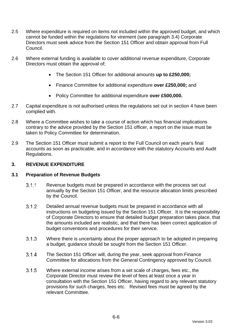- 2.5 Where expenditure is required on items not included within the approved budget, and which cannot be funded within the regulations for virement (see paragraph [3.4\)](#page-83-0) Corporate Directors must seek advice from the Section 151 Officer and obtain approval from Full Council.
- 2.6 Where external funding is available to cover additional revenue expenditure, Corporate Directors must obtain the approval of;
	- The Section 151 Officer for additional amounts **up to £250,000;**
	- Finance Committee for additional expenditure **over £250,000;** and
	- Policy Committee for additional expenditure **over £500,000.**
- 2.7 Capital expenditure is not authorised unless the regulations set out in section [4](#page-84-0) have been complied with.
- 2.8 Where a Committee wishes to take a course of action which has financial implications contrary to the advice provided by the Section 151 officer, a report on the issue must be taken to Policy Committee for determination.
- 2.9 The Section 151 Officer must submit a report to the Full Council on each year's final accounts as soon as practicable, and in accordance with the statutory Accounts and Audit Regulations.

## <span id="page-80-0"></span>**3. REVENUE EXPENDITURE**

## **3.1 Preparation of Revenue Budgets**

- $3.1.1$ Revenue budgets must be prepared in accordance with the process set out annually by the Section 151 Officer, and the resource allocation limits prescribed by the Council.
- $3.1.2$ Detailed annual revenue budgets must be prepared in accordance with all instructions on budgeting issued by the Section 151 Officer. It is the responsibility of Corporate Directors to ensure that detailed budget preparation takes place, that the amounts included are realistic, and that there has been correct application of budget conventions and procedures for their service.
- $3.1.3$ Where there is uncertainty about the proper approach to be adopted in preparing a budget, guidance should be sought from the Section 151 Officer.
- $3.1.4$ The Section 151 Officer will, during the year, seek approval from Finance Committee for allocations from the General Contingency approved by Council.
- $3.1.5$ Where external income arises from a set scale of charges, fees etc., the Corporate Director must review the level of fees at least once a year in consultation with the Section 151 Officer, having regard to any relevant statutory provisions for such charges, fees etc. Revised fees must be agreed by the relevant Committee.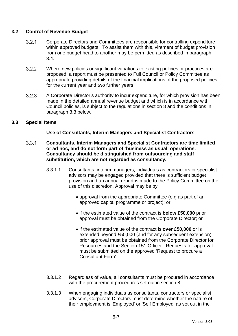## **3.2 Control of Revenue Budget**

- $3.2.1$ Corporate Directors and Committees are responsible for controlling expenditure within approved budgets. To assist them with this, virement of budget provision from one budget head to another may be permitted as described in paragraph [3.4.](#page-83-0)
- 322 Where new policies or significant variations to existing policies or practices are proposed, a report must be presented to Full Council or Policy Committee as appropriate providing details of the financial implications of the proposed policies for the current year and two further years.
- $3.2.3$ A Corporate Director's authority to incur expenditure, for which provision has been made in the detailed annual revenue budget and which is in accordance with Council policies, is subject to the regulations in section [8](#page-92-0) and the conditions in paragraph [3.3](#page-81-0) below.

## <span id="page-81-0"></span>**3.3 Special Items**

## **Use of Consultants, Interim Managers and Specialist Contractors**

- <span id="page-81-1"></span> $3.3.1$ **Consultants, Interim Managers and Specialist Contractors are time limited or ad hoc, and do not form part of 'business as usual' operations. Consultancy should be distinguished from outsourcing and staff substitution, which are not regarded as consultancy.**
	- 3.3.1.1 Consultants, interim managers, individuals as contractors or specialist advisors may be engaged provided that there is sufficient budget provision and an annual report is made to the Policy Committee on the use of this discretion. Approval may be by:
		- approval from the appropriate Committee (e,g as part of an approved capital programme or project); or
		- if the estimated value of the contract is **below £50,000** prior approval must be obtained from the Corporate Director; or
		- if the estimated value of the contract is **over £50,000** or is extended beyond £50,000 (and for any subsequent extension) prior approval must be obtained from the Corporate Director for Resources and the Section 151 Officer. Requests for approval must be submitted on the approved 'Request to procure a Consultant Form'.
	- 3.3.1.2 Regardless of value, all consultants must be procured in accordance with the procurement procedures set out in section [8.](#page-92-0)
	- 3.3.1.3 When engaging individuals as consultants, contractors or specialist advisors, Corporate Directors must determine whether the nature of their employment is 'Employed' or 'Self Employed' as set out in the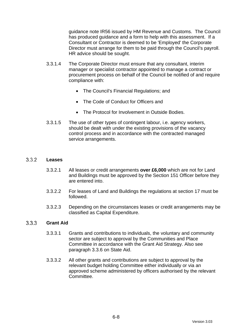guidance note IR56 issued by HM Revenue and Customs. The Council has produced guidance and a form to help with this assessment. If a Consultant or Contractor is deemed to be 'Employed' the Corporate Director must arrange for them to be paid through the Council's payroll. HR advice should be sought.

- 3.3.1.4 The Corporate Director must ensure that any consultant, interim manager or specialist contractor appointed to manage a contract or procurement process on behalf of the Council be notified of and require compliance with:
	- The Council's Financial Regulations; and
	- The Code of Conduct for Officers and
	- The Protocol for Involvement in Outside Bodies.
- 3.3.1.5 The use of other types of contingent labour, i.e. agency workers, should be dealt with under the existing provisions of the vacancy control process and in accordance with the contracted managed service arrangements.

#### <span id="page-82-0"></span> $3.3.2$ **Leases**

- 3.3.2.1 All leases or credit arrangements **over £6,000** which are not for Land and Buildings must be approved by the Section 151 Officer before they are entered into.
- 3.3.2.2 For leases of Land and Buildings the regulations at section [17](#page-112-0) must be followed.
- 3.3.2.3 Depending on the circumstances leases or credit arrangements may be classified as Capital Expenditure.

#### 3.3.3 **Grant Aid**

- 3.3.3.1 Grants and contributions to individuals, the voluntary and community sector are subject to approval by the Communities and Place Committee in accordance with the Grant Aid Strategy. Also see paragraph 3.3.6 on State Aid.
- 3.3.3.2 All other grants and contributions are subject to approval by the relevant budget holding Committee either individually or via an approved scheme administered by officers authorised by the relevant Committee.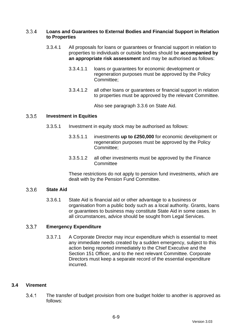#### $3.3.4$ **Loans and Guarantees to External Bodies and Financial Support in Relation to Properties**

- 3.3.4.1 All proposals for loans or guarantees or financial support in relation to properties to individuals or outside bodies should be **accompanied by an appropriate risk assessment** and may be authorised as follows:
	- 3.3.4.1.1 loans or guarantees for economic development or regeneration purposes must be approved by the Policy Committee;
	- 3.3.4.1.2 all other loans or guarantees or financial support in relation to properties must be approved by the relevant Committee.

Also see paragraph 3.3.6 on State Aid.

#### $3.3.5$ **Investment in Equities**

- 3.3.5.1 Investment in equity stock may be authorised as follows:
	- 3.3.5.1.1 investments **up to £250,000** for economic development or regeneration purposes must be approved by the Policy Committee;
	- 3.3.5.1.2 all other investments must be approved by the Finance **Committee**

These restrictions do not apply to pension fund investments, which are dealt with by the Pension Fund Committee.

#### $3.36$ **State Aid**

3.3.6.1 State Aid is financial aid or other advantage to a business or organisation from a public body such as a local authority. Grants, loans or guarantees to business may constitute State Aid in some cases. In all circumstances, advice should be sought from Legal Services.

#### $3.3.7$ **Emergency Expenditure**

3.3.7.1 A Corporate Director may incur expenditure which is essential to meet any immediate needs created by a sudden emergency, subject to this action being reported immediately to the Chief Executive and the Section 151 Officer, and to the next relevant Committee. Corporate Directors must keep a separate record of the essential expenditure incurred.

## <span id="page-83-0"></span>**3.4 Virement**

 $3.4.1$ The transfer of budget provision from one budget holder to another is approved as follows: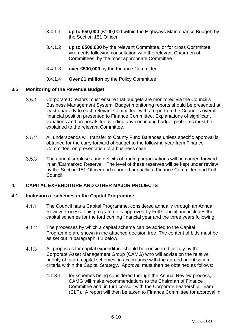- 3.4.1.1 **up to £50,000** (£100,000 within the Highways Maintenance Budget) by the Section 151 Officer
- 3.4.1.2 **up to £500,000** by the relevant Committee, or for cross Committee virements following consultation with the relevant Chairmen of Committees, by the most appropriate Committee
- 3.4.1.3 **over £500,000** by the Finance Committee.
- 3.4.1.4 **Over £1 million** by the Policy Committee.

## **3.5 Monitoring of the Revenue Budget**

- $3.5.1$ Corporate Directors must ensure that budgets are monitored via the Council's Business Management System. Budget monitoring reports should be presented at least quarterly to each relevant Committee, with a report on the Council's overall financial position presented to Finance Committee. Explanations of significant variations and proposals for avoiding any continuing budget problems must be explained to the relevant Committee.
- $3.5.2$ All underspends will transfer to County Fund Balances unless specific approval is obtained for the carry forward of budget to the following year from Finance Committee, on presentation of a business case.
- $3.5.3$ The annual surpluses and deficits of trading organisations will be carried forward in an 'Earmarked Reserve'. The level of these reserves will be kept under review by the Section 151 Officer and reported annually to Finance Committee and Full Council.

## <span id="page-84-0"></span>**4. CAPITAL EXPENDITURE AND OTHER MAJOR PROJECTS**

## <span id="page-84-2"></span>**4.1 Inclusion of schemes in the Capital Programme**

- $4.1.1$ The Council has a Capital Programme, considered annually through an Annual Review Process. This programme is approved by Full Council and includes the capital schemes for the forthcoming financial year and the three years following.
- $4.1.2$ The processes by which a capital scheme can be added to the Capital Programme are shown in the attached decision tree. The content of bids must be as set out in paragraph [4.2](#page-85-0) below.
- <span id="page-84-1"></span> $4.1.3$ All proposals for capital expenditure should be considered initially by the Corporate Asset Management Group (CAMG) who will advise on the relative priority of future capital schemes, in accordance with the agreed prioritisation criteria within the Capital Strategy. Approval must then be obtained as follows:
	- 4.1.3.1 for schemes being considered through the Annual Review process, CAMG will make recommendations to the Chairman of Finance Committee and, in turn consult with the Corporate Leadership Team (CLT). A report will then be taken to Finance Committee for approval in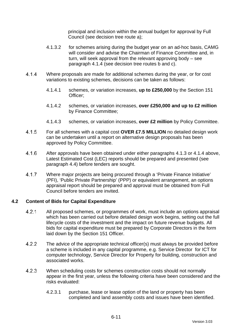principal and inclusion within the annual budget for approval by Full Council (see decision tree route a);

- 4.1.3.2 for schemes arising during the budget year on an ad-hoc basis, CAMG will consider and advise the Chairman of Finance Committee and, in turn, will seek approval from the relevant approving body – see paragraph [4.1.4](#page-85-1) (see decision tree routes b and c).
- <span id="page-85-1"></span>414 Where proposals are made for additional schemes during the year, or for cost variations to existing schemes, decisions can be taken as follows:
	- 4.1.4.1 schemes, or variation increases, **up to £250,000** by the Section 151 Officer;
	- 4.1.4.2 schemes, or variation increases, **over £250,000 and up to £2 million** by Finance Committee;
	- 4.1.4.3 schemes, or variation increases, **over £2 million** by Policy Committee.
- <span id="page-85-2"></span> $4.1.5$ For all schemes with a capital cost **OVER £7.5 MILLION** no detailed design work can be undertaken until a report on alternative design proposals has been approved by Policy Committee.
- $4.16$ After approvals have been obtained under either paragraphs [4.1.3](#page-84-1) or [4.1.4](#page-85-1) above, Latest Estimated Cost (LEC) reports should be prepared and presented (see paragraph [4.4\)](#page-87-0) before tenders are sought.
- 4 1 7 Where major projects are being procured through a 'Private Finance Initiative' (PFI), 'Public Private Partnership' (PPP) or equivalent arrangement, an options appraisal report should be prepared and approval must be obtained from Full Council before tenders are invited.

## <span id="page-85-0"></span>**4.2 Content of Bids for Capital Expenditure**

- $4.2.1$ All proposed schemes, or programmes of work, must include an options appraisal which has been carried out before detailed design work begins, setting out the full lifecycle costs of the investment and the impact on future revenue budgets. All bids for capital expenditure must be prepared by Corporate Directors in the form laid down by the Section 151 Officer.
- $4.2.2$ The advice of the appropriate technical officer(s) must always be provided before a scheme is included in any capital programme, e.g. Service Director for ICT for computer technology, Service Director for Property for building, construction and associated works.
- $4.2.3$ When scheduling costs for schemes construction costs should not normally appear in the first year, unless the following criteria have been considered and the risks evaluated:
	- 4.2.3.1 purchase, lease or lease option of the land or property has been completed and land assembly costs and issues have been identified.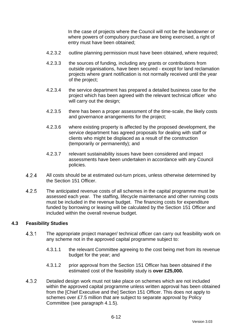In the case of projects where the Council will not be the landowner or where powers of compulsory purchase are being exercised, a right of entry must have been obtained;

- 4.2.3.2 outline planning permission must have been obtained, where required;
- 4.2.3.3 the sources of funding, including any grants or contributions from outside organisations, have been secured - except for land reclamation projects where grant notification is not normally received until the year of the project;
- 4.2.3.4 the service department has prepared a detailed business case for the project which has been agreed with the relevant technical officer who will carry out the design;
- 4.2.3.5 there has been a proper assessment of the time-scale, the likely costs and governance arrangements for the project;
- 4.2.3.6 where existing property is affected by the proposed development, the service department has agreed proposals for dealing with staff or clients who might be displaced as a result of the construction (temporarily or permanently); and
- 4.2.3.7 relevant sustainability issues have been considered and impact assessments have been undertaken in accordance with any Council policies.
- $4.2.4$ All costs should be at estimated out-turn prices, unless otherwise determined by the Section 151 Officer.
- $4.2.5$ The anticipated revenue costs of all schemes in the capital programme must be assessed each year. The staffing, lifecycle maintenance and other running costs must be included in the revenue budget. The financing costs for expenditure funded by borrowing or leasing will be calculated by the Section 151 Officer and included within the overall revenue budget.

## **4.3 Feasibility Studies**

- $4.3.1$ The appropriate project manager/ technical officer can carry out feasibility work on any scheme not in the approved capital programme subject to:
	- 4.3.1.1 the relevant Committee agreeing to the cost being met from its revenue budget for the year; and
	- 4.3.1.2 prior approval from the Section 151 Officer has been obtained if the estimated cost of the feasibility study is **over £25,000.**
- $4.3.2$ Detailed design work must not take place on schemes which are not included within the approved capital programme unless written approval has been obtained from the [Chief Executive and the] Section 151 Officer. This does not apply to schemes over £7.5 million that are subject to separate approval by Policy Committee (see paragraph [4.1.5\)](#page-85-2).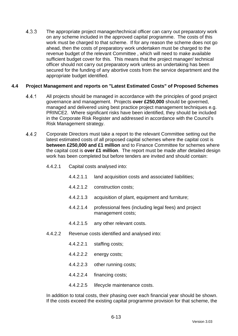$4.3.3$ The appropriate project manager/technical officer can carry out preparatory work on any scheme included in the approved capital programme. The costs of this work must be charged to that scheme. If for any reason the scheme does not go ahead, then the costs of preparatory work undertaken must be charged to the revenue budget of the relevant Committee , which will need to make available sufficient budget cover for this. This means that the project manager/ technical officer should not carry out preparatory work unless an undertaking has been secured for the funding of any abortive costs from the service department and the appropriate budget identified.

## <span id="page-87-0"></span>**4.4 Project Management and reports on "Latest Estimated Costs" of Proposed Schemes**

- $4.4.1$ All projects should be managed in accordance with the principles of good project governance and management. Projects **over £250,000** should be governed, managed and delivered using best practice project management techniques e.g. PRINCE2. Where significant risks have been identified, they should be included in the Corporate Risk Register and addressed in accordance with the Council's Risk Management strategy.
- 442 Corporate Directors must take a report to the relevant Committee setting out the latest estimated costs of all proposed capital schemes where the capital cost is **between £250,000 and £1 million** and to Finance Committee for schemes where the capital cost is **over £1 million**. The report must be made after detailed design work has been completed but before tenders are invited and should contain:
	- 4.4.2.1 Capital costs analysed into:
		- 4.4.2.1.1 land acquisition costs and associated liabilities;
		- 4.4.2.1.2 construction costs;
		- 4.4.2.1.3 acquisition of plant, equipment and furniture;
		- 4.4.2.1.4 professional fees (including legal fees) and project management costs;
		- 4.4.2.1.5 any other relevant costs.
	- 4.4.2.2 Revenue costs identified and analysed into:
		- 4.4.2.2.1 staffing costs;
		- 4.4.2.2.2 energy costs;
		- 4.4.2.2.3 other running costs;
		- 4.4.2.2.4 financing costs;
		- 4.4.2.2.5 lifecycle maintenance costs.

In addition to total costs, their phasing over each financial year should be shown. If the costs exceed the existing capital programme provision for that scheme, the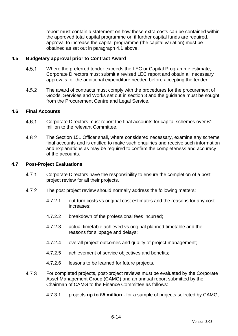report must contain a statement on how these extra costs can be contained within the approved total capital programme or, if further capital funds are required, approval to increase the capital programme (the capital variation) must be obtained as set out in paragraph [4.1](#page-84-2) above.

## **4.5 Budgetary approval prior to Contract Award**

- 451 Where the preferred tender exceeds the LEC or Capital Programme estimate, Corporate Directors must submit a revised LEC report and obtain all necessary approvals for the additional expenditure needed before accepting the tender.
- $4.5.2$ The award of contracts must comply with the procedures for the procurement of Goods, Services and Works set out in section [8](#page-92-0) and the guidance must be sought from the Procurement Centre and Legal Service.

## **4.6 Final Accounts**

- $4.6.1$ Corporate Directors must report the final accounts for capital schemes over £1 million to the relevant Committee.
- 4.6.2 The Section 151 Officer shall, where considered necessary, examine any scheme final accounts and is entitled to make such enquiries and receive such information and explanations as may be required to confirm the completeness and accuracy of the accounts.

## **4.7 Post-Project Evaluations**

- $4.7.1$ Corporate Directors have the responsibility to ensure the completion of a post project review for all their projects.
- 4.7.2 The post project review should normally address the following matters:
	- 4.7.2.1 out-turn costs vs original cost estimates and the reasons for any cost increases;
	- 4.7.2.2 breakdown of the professional fees incurred;
	- 4.7.2.3 actual timetable achieved vs original planned timetable and the reasons for slippage and delays;
	- 4.7.2.4 overall project outcomes and quality of project management;
	- 4.7.2.5 achievement of service objectives and benefits;
	- 4.7.2.6 lessons to be learned for future projects.
- 473 For completed projects, post-project reviews must be evaluated by the Corporate Asset Management Group (CAMG) and an annual report submitted by the Chairman of CAMG to the Finance Committee as follows:
	- 4.7.3.1 projects **up to £5 million** for a sample of projects selected by CAMG;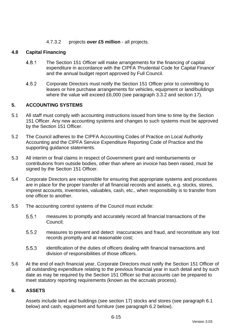## 4.7.3.2 projects **over £5 million** - all projects.

## **4.8 Capital Financing**

- 4.8.1 The Section 151 Officer will make arrangements for the financing of capital expenditure in accordance with the CIPFA 'Prudential Code for Capital Finance' and the annual budget report approved by Full Council.
- 4.8.2 Corporate Directors must notify the Section 151 Officer prior to committing to leases or hire purchase arrangements for vehicles, equipment or land/buildings where the value will exceed £6,000 (see paragraph [3.3.2](#page-82-0) and section [17\)](#page-112-0).

## <span id="page-89-0"></span>**5. ACCOUNTING SYSTEMS**

- 5.1 All staff must comply with accounting instructions issued from time to time by the Section 151 Officer. Any new accounting systems and changes to such systems must be approved by the Section 151 Officer.
- 5.2 The Council adheres to the CIPFA Accounting Codes of Practice on Local Authority Accounting and the CIPFA Service Expenditure Reporting Code of Practice and the supporting guidance statements.
- 5.3 All interim or final claims in respect of Government grant and reimbursements or contributions from outside bodies, other than where an invoice has been raised, must be signed by the Section 151 Officer.
- 5.4 Corporate Directors are responsible for ensuring that appropriate systems and procedures are in place for the proper transfer of all financial records and assets, e.g. stocks, stores, imprest accounts, inventories, valuables, cash, etc., when responsibility is to transfer from one officer to another.
- 5.5 The accounting control systems of the Council must include:
	- $5.5.1$ measures to promptly and accurately record all financial transactions of the Council;
	- $5.5.2$ measures to prevent and detect inaccuracies and fraud, and reconstitute any lost records promptly and at reasonable cost;
	- 5.5.3 identification of the duties of officers dealing with financial transactions and division of responsibilities of those officers.
- 5.6 At the end of each financial year, Corporate Directors must notify the Section 151 Officer of all outstanding expenditure relating to the previous financial year in such detail and by such date as may be required by the Section 151 Officer so that accounts can be prepared to meet statutory reporting requirements (known as the accruals process).

## <span id="page-89-1"></span>**6. ASSETS**

Assets include land and buildings (see section [17\)](#page-112-0) stocks and stores (see paragraph [6.1](#page-90-0) below) and cash, equipment and furniture (see paragraph [6.2](#page-90-1) below).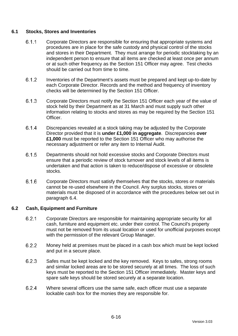## <span id="page-90-0"></span>**6.1 Stocks, Stores and Inventories**

- $6.1.1$ Corporate Directors are responsible for ensuring that appropriate systems and procedures are in place for the safe custody and physical control of the stocks and stores in their Department. They must arrange for periodic stocktaking by an independent person to ensure that all items are checked at least once per annum or at such other frequency as the Section 151 Officer may agree. Test checks should be carried out from time to time.
- 6.1.2 Inventories of the Department's assets must be prepared and kept up-to-date by each Corporate Director. Records and the method and frequency of inventory checks will be determined by the Section 151 Officer.
- 6.1.3 Corporate Directors must notify the Section 151 Officer each year of the value of stock held by their Department as at 31 March and must supply such other information relating to stocks and stores as may be required by the Section 151 **Officer**
- 6.1.4 Discrepancies revealed at a stock taking may be adjusted by the Corporate Director provided that it is **under £1,000 in aggregate**. Discrepancies **over £1,000** must be reported to the Section 151 Officer who may authorise the necessary adjustment or refer any item to Internal Audit.
- 6.1.5 Departments should not hold excessive stocks and Corporate Directors must ensure that a periodic review of stock turnover and stock levels of all items is undertaken and that action is taken to reduce/dispose of excessive or obsolete stocks.
- $6.1.6$ Corporate Directors must satisfy themselves that the stocks, stores or materials cannot be re-used elsewhere in the Council. Any surplus stocks, stores or materials must be disposed of in accordance with the procedures below set out in paragraph [6.4.](#page-91-1)

## <span id="page-90-1"></span>**6.2 Cash, Equipment and Furniture**

- 6.2.1 Corporate Directors are responsible for maintaining appropriate security for all cash, furniture and equipment etc. under their control. The Council's property must not be removed from its usual location or used for unofficial purposes except with the permission of the relevant Group Manager.
- 6.2.2 Money held at premises must be placed in a cash box which must be kept locked and put in a secure place.
- 623 Safes must be kept locked and the key removed. Keys to safes, strong rooms and similar locked areas are to be stored securely at all times. The loss of such keys must be reported to the Section 151 Officer immediately. Master keys and spare safe keys should be stored securely at a separate location.
- 624 Where several officers use the same safe, each officer must use a separate lockable cash box for the monies they are responsible for.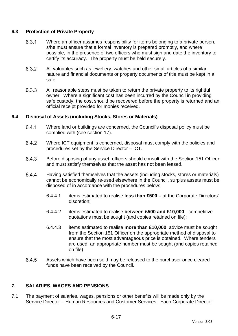## **6.3 Protection of Private Property**

- $6.3.1$ Where an officer assumes responsibility for items belonging to a private person, s/he must ensure that a formal inventory is prepared promptly, and where possible, in the presence of two officers who must sign and date the inventory to certify its accuracy. The property must be held securely.
- 632 All valuables such as jewellery, watches and other small articles of a similar nature and financial documents or property documents of title must be kept in a safe.
- 6.3.3 All reasonable steps must be taken to return the private property to its rightful owner. Where a significant cost has been incurred by the Council in providing safe custody, the cost should be recovered before the property is returned and an official receipt provided for monies received.

## <span id="page-91-1"></span>**6.4 Disposal of Assets (including Stocks, Stores or Materials)**

- 6.4.1 Where land or buildings are concerned, the Council's disposal policy must be complied with (see section [17\)](#page-112-0).
- 642 Where ICT equipment is concerned, disposal must comply with the policies and procedures set by the Service Director – ICT.
- 6.4.3 Before disposing of any asset, officers should consult with the Section 151 Officer and must satisfy themselves that the asset has not been leased.
- 6.4.4 Having satisfied themselves that the assets (including stocks, stores or materials) cannot be economically re-used elsewhere in the Council, surplus assets must be disposed of in accordance with the procedures below:
	- 6.4.4.1 items estimated to realise **less than £500** at the Corporate Directors' discretion;
	- 6.4.4.2 items estimated to realise **between £500 and £10,000** competitive quotations must be sought (and copies retained on file);
	- 6.4.4.3 items estimated to realise **more than £10,000** advice must be sought from the Section 151 Officer on the appropriate method of disposal to ensure that the most advantageous price is obtained. Where tenders are used, an appropriate number must be sought (and copies retained on file)
- 6.4.5 Assets which have been sold may be released to the purchaser once cleared funds have been received by the Council.

# <span id="page-91-0"></span>**7. SALARIES, WAGES AND PENSIONS**

7.1 The payment of salaries, wages, pensions or other benefits will be made only by the Service Director – Human Resources and Customer Services. Each Corporate Director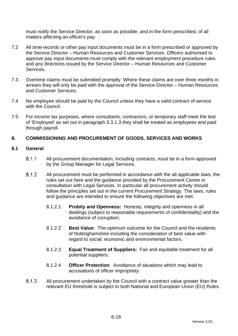must notify the Service Director, as soon as possible, and in the form prescribed, of all matters affecting an officer's pay.

- 7.2 All time-records or other pay input documents must be in a form prescribed or approved by the Service Director – Human Resources and Customer Services. Officers authorised to approve pay input documents must comply with the relevant employment procedure rules and any directions issued by the Service Director – Human Resources and Customer Services.
- 7.3 Overtime claims must be submitted promptly. Where these claims are over three months in arrears they will only be paid with the approval of the Service Director – Human Resources and Customer Services.
- 7.4 No employee should be paid by the Council unless they have a valid contract of service with the Council.
- 7.5 For income tax purposes, where consultants, contractors, or temporary staff meet the test of 'Employed' as set out in paragraph [3.3.1.3](#page-81-1) they shall be treated as employees and paid through payroll.

## <span id="page-92-0"></span>**8. COMMISSIONING AND PROCUREMENT OF GOODS, SERVICES AND WORKS**

#### **8.1 General**

- $8.1.1$ All procurement documentation, including contracts, must be in a form approved by the Group Manager for Legal Services.
- $8.1.2$ All procurement must be performed in accordance with the all applicable laws, the rules set out here and the guidance provided by the Procurement Centre in consultation with Legal Services. In particular all procurement activity should follow the principles set out in the current Procurement Strategy. The laws, rules and guidance are intended to ensure the following objectives are met:
	- 8.1.2.1 **Probity and Openness:** Honesty, integrity and openness in all dealings (subject to reasonable requirements of confidentiality) and the avoidance of corruption;
	- 8.1.2.2 **Best Value:** The optimum outcome for the Council and the residents of Nottinghamshire including the consideration of best value with regard to social, economic and environmental factors.
	- 8.1.2.3 **Equal Treatment of Suppliers:** Fair and equitable treatment for all potential suppliers;
	- 8.1.2.4 **Officer Protection**: Avoidance of situations which may lead to accusations of officer impropriety.
- 8.1.3 All procurement undertaken by the Council with a contract value greater than the relevant EU threshold is subject to both National and European Union (EU) Rules.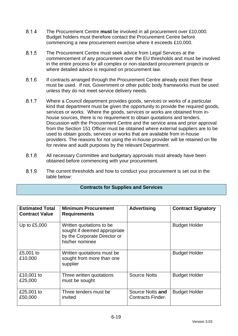- 8.1.4 The Procurement Centre **must** be involved in all procurement over £10,000. Budget holders must therefore contact the Procurement Centre before commencing a new procurement exercise where it exceeds £10,000.
- 8.1.5 The Procurement Centre must seek advice from Legal Services at the commencement of any procurement over the EU thresholds and must be involved in the entire process for all complex or non-standard procurement projects or where detailed advice is required on procurement law.
- 8.1.6 If contracts arranged through the Procurement Centre already exist then these must be used. If not, Government or other public body frameworks must be used unless they do not meet service delivery needs.
- 8.1.7 Where a Council department provides goods, services or works of a particular kind that department must be given the opportunity to provide the required goods, services or works. Where the goods, services or works are obtained from inhouse sources, there is no requirement to obtain quotations and tenders. Discussion with the Procurement Centre and the service area and prior approval from the Section 151 Officer must be obtained where external suppliers are to be used to obtain goods, services or works that are available from in-house providers. The reasons for not using the in-house provider will be retained on file for review and audit purposes by the relevant Department.
- 8.1.8 All necessary Committee and budgetary approvals must already have been obtained before commencing with your procurement.
- 8.1.9 The current thresholds and how to conduct your procurement is set out in the table below:

## **Contracts for Supplies and Services**

| <b>Estimated Total</b><br><b>Contract Value</b> | <b>Minimum Procurement</b><br><b>Requirements</b>                                                           | <b>Advertising</b>                    | <b>Contract Signatory</b> |
|-------------------------------------------------|-------------------------------------------------------------------------------------------------------------|---------------------------------------|---------------------------|
| Up to £5,000                                    | Written quotations to be<br>sought if deemed appropriate<br>by the Corporate Director or<br>his/her nominee |                                       | <b>Budget Holder</b>      |
| £5,001 to<br>£10,000                            | Written quotations must be<br>sought from more than one<br>supplier                                         |                                       | <b>Budget Holder</b>      |
| £10,001 to<br>£25,000                           | Three written quotations<br>must be sought                                                                  | <b>Source Notts</b>                   | <b>Budget Holder</b>      |
| £25,001 to<br>£50,000                           | Three tenders must be<br>invited                                                                            | Source Notts and<br>Contracts Finder. | <b>Budget Holder</b>      |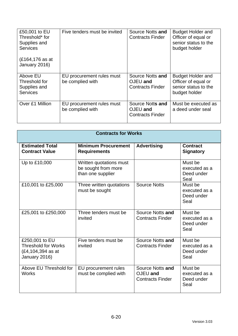| £50,001 to EU<br>Threshold* for<br>Supplies and<br><b>Services</b><br>(£164,176 as at | Five tenders must be invited                  | Source Notts and<br><b>Contracts Finder</b>             | <b>Budget Holder and</b><br>Officer of equal or<br>senior status to the<br>budget holder |
|---------------------------------------------------------------------------------------|-----------------------------------------------|---------------------------------------------------------|------------------------------------------------------------------------------------------|
| January 2016)<br>Above EU<br>Threshold for<br>Supplies and<br><b>Services</b>         | EU procurement rules must<br>be complied with | Source Notts and<br>OJEU and<br><b>Contracts Finder</b> | <b>Budget Holder and</b><br>Officer of equal or<br>senior status to the<br>budget holder |
| Over £1 Million                                                                       | EU procurement rules must<br>be complied with | Source Notts and<br>OJEU and<br><b>Contracts Finder</b> | Must be executed as<br>a deed under seal                                                 |

| <b>Contracts for Works</b>                                                         |                                                                     |                                                         |                                                |  |  |
|------------------------------------------------------------------------------------|---------------------------------------------------------------------|---------------------------------------------------------|------------------------------------------------|--|--|
| <b>Estimated Total</b><br><b>Contract Value</b>                                    | <b>Minimum Procurement</b><br><b>Requirements</b>                   | <b>Advertising</b>                                      | <b>Contract</b><br><b>Signatory</b>            |  |  |
| Up to £10,000                                                                      | Written quotations must<br>be sought from more<br>than one supplier |                                                         | Must be<br>executed as a<br>Deed under<br>Seal |  |  |
| £10,001 to £25,000                                                                 | Three written quotations<br>must be sought                          | <b>Source Notts</b>                                     | Must be<br>executed as a<br>Deed under<br>Seal |  |  |
| £25,001 to £250,000                                                                | Three tenders must be<br>invited                                    | Source Notts and<br><b>Contracts Finder</b>             | Must be<br>executed as a<br>Deed under<br>Seal |  |  |
| £250,001 to EU<br><b>Threshold for Works</b><br>(£4,104,394 as at<br>January 2016) | Five tenders must be<br>invited                                     | Source Notts and<br><b>Contracts Finder</b>             | Must be<br>executed as a<br>Deed under<br>Seal |  |  |
| Above EU Threshold for<br><b>Works</b>                                             | EU procurement rules<br>must be complied with                       | Source Notts and<br>OJEU and<br><b>Contracts Finder</b> | Must be<br>executed as a<br>Deed under<br>Seal |  |  |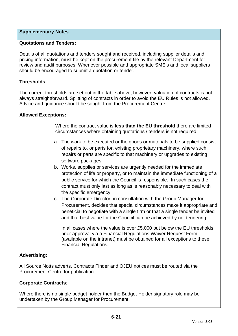## **Supplementary Notes**

## **Quotations and Tenders:**

Details of all quotations and tenders sought and received, including supplier details and pricing information, must be kept on the procurement file by the relevant Department for review and audit purposes. Whenever possible and appropriate SME's and local suppliers should be encouraged to submit a quotation or tender.

## **Thresholds**:

The current thresholds are set out in the table above; however, valuation of contracts is not always straightforward. Splitting of contracts in order to avoid the EU Rules is not allowed. Advice and guidance should be sought from the Procurement Centre.

## **Allowed Exceptions:**

Where the contract value is **less than the EU threshold** there are limited circumstances where obtaining quotations / tenders is not required:

- a. The work to be executed or the goods or materials to be supplied consist of repairs to, or parts for, existing proprietary machinery, where such repairs or parts are specific to that machinery or upgrades to existing software packages.
- b. Works, supplies or services are urgently needed for the immediate protection of life or property, or to maintain the immediate functioning of a public service for which the Council is responsible. In such cases the contract must only last as long as is reasonably necessary to deal with the specific emergency
- c. The Corporate Director, in consultation with the Group Manager for Procurement, decides that special circumstances make it appropriate and beneficial to negotiate with a single firm or that a single tender be invited and that best value for the Council can be achieved by not tendering

In all cases where the value is over £5,000 but below the EU thresholds prior approval via a Financial Regulations Waiver Request Form (available on the intranet) must be obtained for all exceptions to these Financial Regulations.

# **Advertising:**

All Source Notts adverts, Contracts Finder and OJEU notices must be routed via the Procurement Centre for publication.

## **Corporate Contracts**:

Where there is no single budget holder then the Budget Holder signatory role may be undertaken by the Group Manager for Procurement.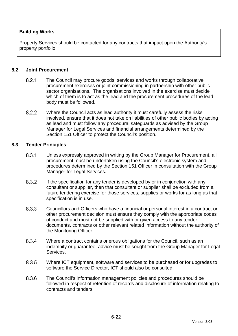## **Building Works**

Property Services should be contacted for any contracts that impact upon the Authority's property portfolio.

#### **8.2 Joint Procurement**

- $8.2.1$ The Council may procure goods, services and works through collaborative procurement exercises or joint commissioning in partnership with other public sector organisations. The organisations involved in the exercise must decide which of them is to act as the lead and the procurement procedures of the lead body must be followed.
- 822 Where the Council acts as lead authority it must carefully assess the risks involved, ensure that it does not take on liabilities of other public bodies by acting as lead and must follow any procedural safeguards as advised by the Group Manager for Legal Services and financial arrangements determined by the Section 151 Officer to protect the Council's position.

#### **8.3 Tender Principles**

- $8.3.1$ Unless expressly approved in writing by the Group Manager for Procurement, all procurement must be undertaken using the Council's electronic system and procedures determined by the Section 151 Officer in consultation with the Group Manager for Legal Services.
- 832 If the specification for any tender is developed by or in conjunction with any consultant or supplier, then that consultant or supplier shall be excluded from a future tendering exercise for those services, supplies or works for as long as that specification is in use.
- 8.3.3 Councillors and Officers who have a financial or personal interest in a contract or other procurement decision must ensure they comply with the appropriate codes of conduct and must not be supplied with or given access to any tender documents, contracts or other relevant related information without the authority of the Monitoring Officer.
- 834 Where a contract contains onerous obligations for the Council, such as an indemnity or guarantee, advice must be sought from the Group Manager for Legal Services.
- 8.3.5 Where ICT equipment, software and services to be purchased or for upgrades to software the Service Director, ICT should also be consulted.
- 836 The Council's information management policies and procedures should be followed in respect of retention of records and disclosure of information relating to contracts and tenders.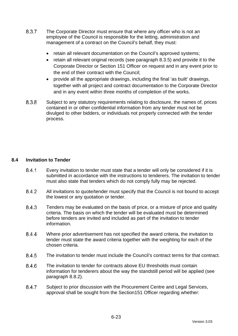- 8.3.7 The Corporate Director must ensure that where any officer who is not an employee of the Council is responsible for the letting, administration and management of a contract on the Council's behalf, they must:
	- retain all relevant documentation on the Council's approved systems;
	- retain all relevant original records (see paragraph 8.3.5) and provide it to the Corporate Director or Section 151 Officer on request and in any event prior to the end of their contract with the Council;
	- provide all the appropriate drawings, including the final 'as built' drawings, together with all project and contract documentation to the Corporate Director and in any event within three months of completion of the works.
- 8.3.8 Subject to any statutory requirements relating to disclosure, the names of, prices contained in or other confidential information from any tender must not be divulged to other bidders, or individuals not properly connected with the tender process.

## **8.4 Invitation to Tender**

- 841 Every invitation to tender must state that a tender will only be considered if it is submitted in accordance with the instructions to tenderers. The invitation to tender must also state that tenders which do not comply fully may be rejected.
- 8.4.2 All invitations to quote/tender must specify that the Council is not bound to accept the lowest or any quotation or tender.
- 8.4.3 Tenders may be evaluated on the basis of price, or a mixture of price and quality criteria. The basis on which the tender will be evaluated must be determined before tenders are invited and included as part of the invitation to tender information.
- 844 Where prior advertisement has not specified the award criteria, the invitation to tender must state the award criteria together with the weighting for each of the chosen criteria.
- 8.4.5 The invitation to tender must include the Council's contract terms for that contract.
- 8.4.6 The invitation to tender for contracts above EU thresholds must contain information for tenderers about the way the standstill period will be applied (see paragraph 8.8.2).
- 8.4.7 Subject to prior discussion with the Procurement Centre and Legal Services, approval shall be sought from the Section151 Officer regarding whether: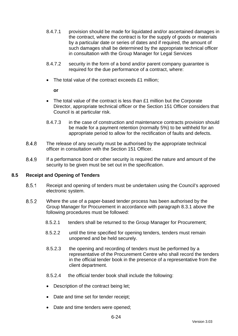- 8.4.7.1 provision should be made for liquidated and/or ascertained damages in the contract, where the contract is for the supply of goods or materials by a particular date or series of dates and if required, the amount of such damages shall be determined by the appropriate technical officer in consultation with the Group Manager for Legal Services
- 8.4.7.2 security in the form of a bond and/or parent company guarantee is required for the due performance of a contract, where:
- The total value of the contract exceeds £1 million;

**or**

- The total value of the contract is less than £1 million but the Corporate Director, appropriate technical officer or the Section 151 Officer considers that Council is at particular risk.
- 8.4.7.3 in the case of construction and maintenance contracts provision should be made for a payment retention (normally 5%) to be withheld for an appropriate period to allow for the rectification of faults and defects.
- 848 The release of any security must be authorised by the appropriate technical officer in consultation with the Section 151 Officer.
- 8.4.9 If a performance bond or other security is required the nature and amount of the security to be given must be set out in the specification.

## **8.5 Receipt and Opening of Tenders**

- 8.5.1 Receipt and opening of tenders must be undertaken using the Council's approved electronic system.
- 8.5.2 Where the use of a paper-based tender process has been authorised by the Group Manager for Procurement in accordance with paragraph 8.3.1 above the following procedures must be followed:
	- 8.5.2.1 tenders shall be returned to the Group Manager for Procurement;
	- 8.5.2.2 until the time specified for opening tenders, tenders must remain unopened and be held securely.
	- 8.5.2.3 the opening and recording of tenders must be performed by a representative of the Procurement Centre who shall record the tenders in the official tender book in the presence of a representative from the client department.
	- 8.5.2.4 the official tender book shall include the following:
	- Description of the contract being let;
	- Date and time set for tender receipt;
	- Date and time tenders were opened;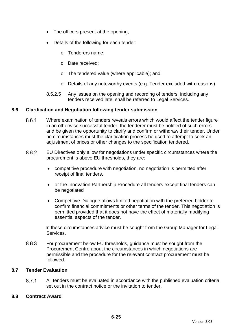- The officers present at the opening;
- Details of the following for each tender:
	- o Tenderers name;
	- o Date received:
	- o The tendered value (where applicable); and
	- o Details of any noteworthy events (e.g. Tender excluded with reasons).
- 8.5.2.5 Any issues on the opening and recording of tenders, including any tenders received late, shall be referred to Legal Services.

## **8.6 Clarification and Negotiation following tender submission**

- 8.6.1 Where examination of tenders reveals errors which would affect the tender figure in an otherwise successful tender, the tenderer must be notified of such errors and be given the opportunity to clarify and confirm or withdraw their tender. Under no circumstances must the clarification process be used to attempt to seek an adjustment of prices or other changes to the specification tendered.
- 862 EU Directives only allow for negotiations under specific circumstances where the procurement is above EU thresholds, they are:
	- competitive procedure with negotiation, no negotiation is permitted after receipt of final tenders.
	- or the Innovation Partnership Procedure all tenders except final tenders can be negotiated
	- Competitive Dialogue allows limited negotiation with the preferred bidder to confirm financial commitments or other terms of the tender. This negotiation is permitted provided that it does not have the effect of materially modifying essential aspects of the tender.

In these circumstances advice must be sought from the Group Manager for Legal Services.

863 For procurement below EU thresholds, guidance must be sought from the Procurement Centre about the circumstances in which negotiations are permissible and the procedure for the relevant contract procurement must be followed.

## **8.7 Tender Evaluation**

8.7.1 All tenders must be evaluated in accordance with the published evaluation criteria set out in the contract notice or the invitation to tender.

## **8.8 Contract Award**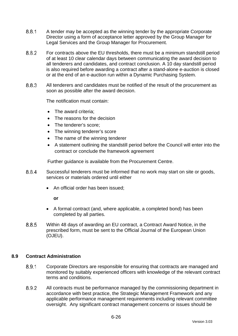- 8.8.1 A tender may be accepted as the winning tender by the appropriate Corporate Director using a form of acceptance letter approved by the Group Manager for Legal Services and the Group Manager for Procurement.
- 882 For contracts above the EU thresholds, there must be a minimum standstill period of at least 10 clear calendar days between communicating the award decision to all tenderers and candidates, and contract conclusion. A 10 day standstill period is also required before awarding a contract after a stand-alone e-auction is closed or at the end of an e-auction run within a Dynamic Purchasing System.
- 8.8.3 All tenderers and candidates must be notified of the result of the procurement as soon as possible after the award decision.

The notification must contain:

- The award criteria:
- The reasons for the decision
- The tenderer's score:
- The winning tenderer's score
- The name of the winning tenderer
- A statement outlining the standstill period before the Council will enter into the contract or conclude the framework agreement

Further guidance is available from the Procurement Centre.

- 8.8.4 Successful tenderers must be informed that no work may start on site or goods, services or materials ordered until either
	- An official order has been issued;

**or**

- A formal contract (and, where applicable, a completed bond) has been completed by all parties.
- 8.8.5 Within 48 days of awarding an EU contract, a Contract Award Notice, in the prescribed form, must be sent to the Official Journal of the European Union (OJEU).

## **8.9 Contract Administration**

- 891 Corporate Directors are responsible for ensuring that contracts are managed and monitored by suitably experienced officers with knowledge of the relevant contract terms and conditions.
- 8.9.2 All contracts must be performance managed by the commissioning department in accordance with best practice, the Strategic Management Framework and any applicable performance management requirements including relevant committee oversight. Any significant contract management concerns or issues should be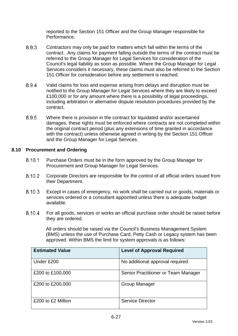reported to the Section 151 Officer and the Group Manager responsible for Performance.

- 8.9.3 Contractors may only be paid for matters which fall within the terms of the contract. Any claims for payment falling outside the terms of the contract must be referred to the Group Manager for Legal Services for consideration of the Council's legal liability as soon as possible. Where the Group Manager for Legal Services considers it necessary, these claims must also be referred to the Section 151 Officer for consideration before any settlement is reached.
- 8.9.4 Valid claims for loss and expense arising from delays and disruption must be notified to the Group Manager for Legal Services where they are likely to exceed £100,000 or for any amount where there is a possibility of legal proceedings, including arbitration or alternative dispute resolution procedures provided by the contract.
- 895 Where there is provision in the contract for liquidated and/or ascertained damages, these rights must be enforced where contracts are not completed within the original contract period (plus any extensions of time granted in accordance with the contract) unless otherwise agreed in writing by the Section 151 Officer and the Group Manager for Legal Services.

## **8.10 Procurement and Ordering**

- Purchase Orders must be in the form approved by the Group Manager for 8.10.1 Procurement and Group Manager for Legal Services.
- 8.10.2 Corporate Directors are responsible for the control of all official orders issued from their Department.
- 8.10.3 Except in cases of emergency, no work shall be carried out or goods, materials or services ordered or a consultant appointed unless there is adequate budget available.
- 8.10.4 For all goods, services or works an official purchase order should be raised before they are ordered.

All orders should be raised via the Council's Business Management System (BMS) unless the use of Purchase Card, Petty Cash or Legacy system has been approved. Within BMS the limit for system approvals is as follows:

| <b>Estimated Value</b> | <b>Level of Approval Required</b>   |
|------------------------|-------------------------------------|
| Under £200             | No additional approval required     |
| £200 to £100,000       | Senior Practitioner or Team Manager |
| £200 to £200,000       | <b>Group Manager</b>                |
| £200 to £2 Million     | <b>Service Director</b>             |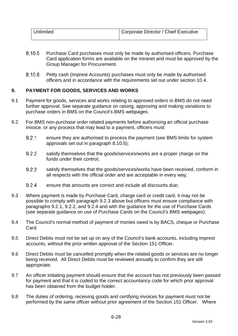| Unlimited | Corporate Director / Chief Executive |
|-----------|--------------------------------------|
|           |                                      |

- 8.10.5 Purchase Card purchases must only be made by authorised officers. Purchase Card application forms are available on the intranet and must be approved by the Group Manager for Procurement.
- 8.10.6 Petty cash (Imprest Accounts) purchases must only be made by authorised officers and in accordance with the requirements set out under section [10.4.](#page-105-0)

# <span id="page-102-0"></span>**9. PAYMENT FOR GOODS, SERVICES AND WORKS**

- 9.1 Payment for goods, services and works relating to approved orders in BMS do not need further approval. See separate guidance on raising, approving and making variations to purchase orders in BMS on the Council's BMS webpages.
- <span id="page-102-3"></span><span id="page-102-2"></span>9.2 For BMS non-purchase order related payments before authorising an official purchase invoice, or any process that may lead to a payment, officers must:
	- $9.2.1$ ensure they are authorised to process the payment (see BMS limits for system approvals set out in paragraph 8.10.5);
	- $9.2.2$ satisfy themselves that the goods/services/works are a proper charge on the funds under their control;
	- 9.2.3 satisfy themselves that the goods/services/works have been received, conform in all respects with the official order and are acceptable in every way;
	- $924$ ensure that amounts are correct and include all discounts due;
- <span id="page-102-4"></span><span id="page-102-1"></span>9.3 Where payment is made by Purchase Card, charge card or credit card, it may not be possible to comply with paragraph [9.2.3](#page-102-1) above but officers must ensure compliance with paragraphs [9.2.1,](#page-102-2) [9.2.2,](#page-102-3) and [9.2.4](#page-102-4) and with the guidance for the use of Purchase Cards (see separate guidance on use of Purchase Cards on the Council's BMS webpages).
- 9.4 The Council's normal method of payment of monies owed is by BACS, cheque or Purchase Card.
- 9.5 Direct Debits must not be set up on any of the Council's bank accounts, including imprest accounts, without the prior written approval of the Section 151 Officer.
- 9.6 Direct Debits must be cancelled promptly when the related goods or services are no longer being received. All Direct Debits must be reviewed annually to confirm they are still appropriate.
- 9.7 An officer initiating payment should ensure that the account has not previously been passed for payment and that it is coded to the correct accountancy code for which prior approval has been obtained from the budget holder.
- 9.8 The duties of ordering, receiving goods and certifying invoices for payment must not be performed by the same officer without prior agreement of the Section 151 Officer. Where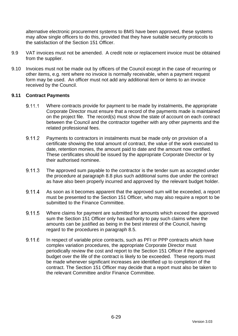alternative electronic procurement systems to BMS have been approved, these systems may allow single officers to do this, provided that they have suitable security protocols to the satisfaction of the Section 151 Officer.

- 9.9 VAT invoices must not be amended. A credit note or replacement invoice must be obtained from the supplier.
- 9.10 Invoices must not be made out by officers of the Council except in the case of recurring or other items, e.g. rent where no invoice is normally receivable, when a payment request form may be used. An officer must not add any additional item or items to an invoice received by the Council.

## **9.11 Contract Payments**

- $9.11.1$ Where contracts provide for payment to be made by instalments, the appropriate Corporate Director must ensure that a record of the payments made is maintained on the project file. The record(s) must show the state of account on each contract between the Council and the contractor together with any other payments and the related professional fees.
- 9 1 1 2 Payments to contractors in instalments must be made only on provision of a certificate showing the total amount of contract, the value of the work executed to date, retention monies, the amount paid to date and the amount now certified. These certificates should be issued by the appropriate Corporate Director or by their authorised nominee.
- 9.11.3 The approved sum payable to the contractor is the tender sum as accepted under the procedure at paragraph 8.8 plus such additional sums due under the contract as have also been properly incurred and approved by the relevant budget holder.
- 9.11.4 As soon as it becomes apparent that the approved sum will be exceeded, a report must be presented to the Section 151 Officer, who may also require a report to be submitted to the Finance Committee.
- 9.11.5 Where claims for payment are submitted for amounts which exceed the approved sum the Section 151 Officer only has authority to pay such claims where the amounts can be justified as being in the best interest of the Council, having regard to the procedures in paragraph 8.5.
- $9,116$ In respect of variable price contracts, such as PFI or PPP contracts which have complex variation procedures, the appropriate Corporate Director must periodically review the cost and report to the Section 151 Officer if the approved budget over the life of the contract is likely to be exceeded. These reports must be made whenever significant increases are identified up to completion of the contract. The Section 151 Officer may decide that a report must also be taken to the relevant Committee and/or Finance Committee.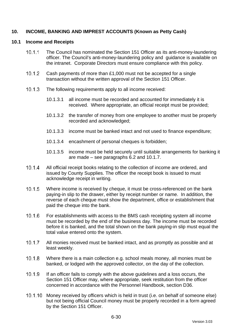## <span id="page-104-0"></span>**10. INCOME, BANKING AND IMPREST ACCOUNTS (Known as Petty Cash)**

#### **10.1 Income and Receipts**

- $10.1.1$ The Council has nominated the Section 151 Officer as its anti-money-laundering officer. The Council's anti-money-laundering policy and guidance is available on the intranet. Corporate Directors must ensure compliance with this policy.
- $10.1.2$ Cash payments of more than £1,000 must not be accepted for a single transaction without the written approval of the Section 151 Officer.
- $10.1.3$ The following requirements apply to all income received:
	- 10.1.3.1 all income must be recorded and accounted for immediately it is received. Where appropriate, an official receipt must be provided;
	- 10.1.3.2 the transfer of money from one employee to another must be properly recorded and acknowledged;
	- 10.1.3.3 income must be banked intact and not used to finance expenditure;
	- 10.1.3.4 encashment of personal cheques is forbidden;
	- 10.1.3.5 income must be held securely until suitable arrangements for banking it are made – see paragraphs [6.2](#page-90-1) and 10.1.7.
- $10.1.4$ All official receipt books relating to the collection of income are ordered, and issued by County Supplies. The officer the receipt book is issued to must acknowledge receipt in writing.
- $10.1.5$ Where income is received by cheque, it must be cross-referenced on the bank paying-in slip to the drawer, either by receipt number or name. In addition, the reverse of each cheque must show the department, office or establishment that paid the cheque into the bank.
- $10.1.6$ For establishments with access to the BMS cash receipting system all income must be recorded by the end of the business day. The income must be recorded before it is banked, and the total shown on the bank paying-in slip must equal the total value entered onto the system.
- $10.1.7$ All monies received must be banked intact, and as promptly as possible and at least weekly.
- $10.1.8$ Where there is a main collection e.g. school meals money, all monies must be banked, or lodged with the approved collector, on the day of the collection.
- $10.1.9$ If an officer fails to comply with the above guidelines and a loss occurs, the Section 151 Officer may, where appropriate, seek restitution from the officer concerned in accordance with the Personnel Handbook, section D36.
- 10.1.10 Money received by officers which is held in trust (i.e. on behalf of someone else) but not being official Council money must be properly recorded in a form agreed by the Section 151 Officer.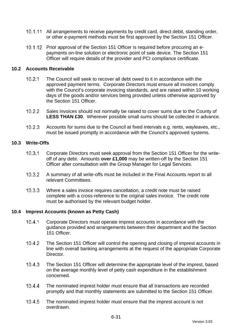- 10.1.11 All arrangements to receive payments by credit card, direct debit, standing order, or other e-payment methods must be first approved by the Section 151 Officer.
- 10.1.12 Prior approval of the Section 151 Officer is required before procuring an epayments on-line solution or electronic point of sale device. The Section 151 Officer will require details of the provider and PCI compliance certificate.

#### **10.2 Accounts Receivable**

- $10.2.1$ The Council will seek to recover all debt owed to it in accordance with the approved payment terms. Corporate Directors must ensure all invoices comply with the Council's corporate invoicing standards, and are raised within 10 working days of the goods and/or services being provided unless otherwise approved by the Section 151 Officer.
- $10.2.2$ Sales invoices should not normally be raised to cover sums due to the County of **LESS THAN £30**. Wherever possible small sums should be collected in advance.
- $10.2.3$ Accounts for sums due to the Council at fixed intervals e.g. rents, wayleaves, etc., must be issued promptly in accordance with the Council's approved systems.

#### **10.3 Write-Offs**

- $10.3.1$ Corporate Directors must seek approval from the Section 151 Officer for the writeoff of any debt. Amounts **over £1,000** may be written-off by the Section 151 Officer after consultation with the Group Manager for Legal Services.
- $10.3.2$ A summary of all write-offs must be included in the Final Accounts report to all relevant Committees.
- $10.3.3$ Where a sales invoice requires cancellation, a credit note must be raised complete with a cross-reference to the original sales invoice. The credit note must be authorised by the relevant budget holder.

## <span id="page-105-0"></span>**10.4 Imprest Accounts (known as Petty Cash)**

- $1041$ Corporate Directors must operate imprest accounts in accordance with the guidance provided and arrangements between their department and the Section 151 Officer.
- $1042$ The Section 151 Officer will control the opening and closing of imprest accounts in line with overall banking arrangements at the request of the appropriate Corporate **Director**
- $10.4.3$ The Section 151 Officer will determine the appropriate level of the imprest, based on the average monthly level of petty cash expenditure in the establishment concerned.
- $10.4.4$ The nominated imprest holder must ensure that all transactions are recorded promptly and that monthly statements are submitted to the Section 151 Officer.
- $10.4.5$ The nominated imprest holder must ensure that the imprest account is not overdrawn.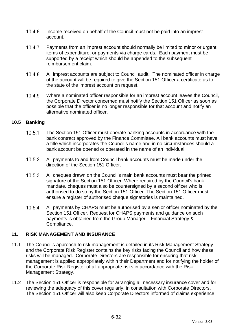- 10.4.6 Income received on behalf of the Council must not be paid into an imprest account.
- $10.4.7$ Payments from an imprest account should normally be limited to minor or urgent items of expenditure, or payments via charge cards. Each payment must be supported by a receipt which should be appended to the subsequent reimbursement claim.
- $10.4.8$ All imprest accounts are subject to Council audit. The nominated officer in charge of the account will be required to give the Section 151 Officer a certificate as to the state of the imprest account on request.
- 10.4.9 Where a nominated officer responsible for an imprest account leaves the Council, the Corporate Director concerned must notify the Section 151 Officer as soon as possible that the officer is no longer responsible for that account and notify an alternative nominated officer.

## **10.5 Banking**

- $10.5.1$ The Section 151 Officer must operate banking accounts in accordance with the bank contract approved by the Finance Committee. All bank accounts must have a title which incorporates the Council's name and in no circumstances should a bank account be opened or operated in the name of an individual.
- $10.5.2$ All payments to and from Council bank accounts must be made under the direction of the Section 151 Officer.
- $10.5.3$ All cheques drawn on the Council's main bank accounts must bear the printed signature of the Section 151 Officer. Where required by the Council's bank mandate, cheques must also be countersigned by a second officer who is authorised to do so by the Section 151 Officer. The Section 151 Officer must ensure a register of authorised cheque signatories is maintained.
- $10.5.4$ All payments by CHAPS must be authorised by a senior officer nominated by the Section 151 Officer. Request for CHAPS payments and guidance on such payments is obtained from the Group Manager – Financial Strategy & Compliance.

# <span id="page-106-0"></span>**11. RISK MANAGEMENT AND INSURANCE**

- 11.1 The Council's approach to risk management is detailed in its Risk Management Strategy and the Corporate Risk Register contains the key risks facing the Council and how these risks will be managed. Corporate Directors are responsible for ensuring that risk management is applied appropriately within their Department and for notifying the holder of the Corporate Risk Register of all appropriate risks in accordance with the Risk Management Strategy.
- 11.2 The Section 151 Officer is responsible for arranging all necessary insurance cover and for reviewing the adequacy of this cover regularly, in consultation with Corporate Directors. The Section 151 Officer will also keep Corporate Directors informed of claims experience.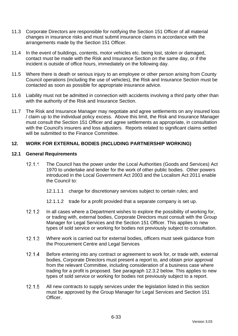- 11.3 Corporate Directors are responsible for notifying the Section 151 Officer of all material changes in insurance risks and must submit insurance claims in accordance with the arrangements made by the Section 151 Officer.
- 11.4 In the event of buildings, contents, motor vehicles etc. being lost, stolen or damaged, contact must be made with the Risk and Insurance Section on the same day, or if the incident is outside of office hours, immediately on the following day.
- 11.5 Where there is death or serious injury to an employee or other person arising from County Council operations (including the use of vehicles), the Risk and Insurance Section must be contacted as soon as possible for appropriate insurance advice.
- 11.6 Liability must not be admitted in connection with accidents involving a third party other than with the authority of the Risk and Insurance Section.
- 11.7 The Risk and Insurance Manager may negotiate and agree settlements on any insured loss / claim up to the individual policy excess. Above this limit, the Risk and Insurance Manager must consult the Section 151 Officer and agree settlements as appropriate, in consultation with the Council's insurers and loss adjusters. Reports related to significant claims settled will be submitted to the Finance Committee.

## <span id="page-107-0"></span>**12. WORK FOR EXTERNAL BODIES (INCLUDING PARTNERSHIP WORKING)**

#### **12.1 General Requirements**

- $12.1.1$ The Council has the power under the Local Authorities (Goods and Services) Act 1970 to undertake and tender for the work of other public bodies. Other powers introduced in the Local Government Act 2003 and the Localism Act 2011 enable the Council to:
	- 12.1.1.1 charge for discretionary services subject to certain rules; and
	- 12.1.1.2 trade for a profit provided that a separate company is set up.
- $12.1.2$ In all cases where a Department wishes to explore the possibility of working for, or trading with, external bodies, Corporate Directors must consult with the Group Manager for Legal Services and the Section 151 Officer. This applies to new types of sold service or working for bodies not previously subject to consultation.
- $12.1.3$ Where work is carried out for external bodies, officers must seek guidance from the Procurement Centre and Legal Services
- $12.1.4$ Before entering into any contract or agreement to work for, or trade with, external bodies, Corporate Directors must present a report to, and obtain prior approval from the relevant Committee, including consideration of a business case where trading for a profit is proposed. See paragraph 12.3.2 below. This applies to new types of sold service or working for bodies not previously subject to a report.
- $12.15$ All new contracts to supply services under the legislation listed in this section must be approved by the Group Manager for Legal Services and Section 151 Officer.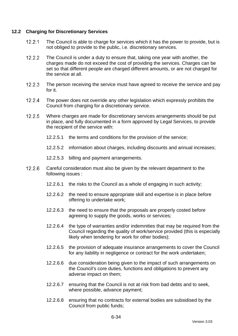## **12.2 Charging for Discretionary Services**

- $12.2.1$ The Council is able to charge for services which it has the power to provide, but is not obliged to provide to the public, i.e. discretionary services.
- $12.2.2$ The Council is under a duty to ensure that, taking one year with another, the charges made do not exceed the cost of providing the services. Charges can be set so that different people are charged different amounts, or are not charged for the service at all.
- $12.2.3$ The person receiving the service must have agreed to receive the service and pay for it.
- $12.2.4$ The power does not override any other legislation which expressly prohibits the Council from charging for a discretionary service.
- $12.2.5$ Where charges are made for discretionary services arrangements should be put in place, and fully documented in a form approved by Legal Services, to provide the recipient of the service with:
	- 12.2.5.1 the terms and conditions for the provision of the service;
	- 12.2.5.2 information about charges, including discounts and annual increases;
	- 12.2.5.3 billing and payment arrangements.
- 12.2.6 Careful consideration must also be given by the relevant department to the following issues :
	- 12.2.6.1 the risks to the Council as a whole of engaging in such activity;
	- 12.2.6.2 the need to ensure appropriate skill and expertise is in place before offering to undertake work;
	- 12.2.6.3 the need to ensure that the proposals are properly costed before agreeing to supply the goods, works or services;
	- 12.2.6.4 the type of warranties and/or indemnities that may be required from the Council regarding the quality of work/service provided (this is especially likely when tendering for work for other bodies);
	- 12.2.6.5 the provision of adequate insurance arrangements to cover the Council for any liability in negligence or contract for the work undertaken;
	- 12.2.6.6 due consideration being given to the impact of such arrangements on the Council's core duties, functions and obligations to prevent any adverse impact on them;
	- 12.2.6.7 ensuring that the Council is not at risk from bad debts and to seek, where possible, advance payment;
	- 12.2.6.8 ensuring that no contracts for external bodies are subsidised by the Council from public funds;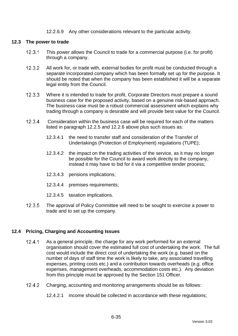#### 12.2.6.9 Any other considerations relevant to the particular activity.

#### **12.3 The power to trade**

- $12.3.1$ This power allows the Council to trade for a commercial purpose (i.e. for profit) through a company.
- $12.3.2$ All work for, or trade with, external bodies for profit must be conducted through a separate incorporated company which has been formally set up for the purpose. It should be noted that when the company has been established it will be a separate legal entity from the Council.
- $12.3.3$ Where it is intended to trade for profit, Corporate Directors must prepare a sound business case for the proposed activity, based on a genuine risk-based approach. The business case must be a robust commercial assessment which explains why trading through a company is desirable and will provide best value for the Council.
- $12.3.4$ Consideration within the business case will be required for each of the matters listed in paragraph 12.2.5 and 12.2.6 above plus such issues as:
	- 12.3.4.1 the need to transfer staff and consideration of the Transfer of Undertakings (Protection of Employment) regulations (TUPE);
	- 12.3.4.2 the impact on the trading activities of the service, as it may no longer be possible for the Council to award work directly to the company, instead it may have to bid for it via a competitive tender process;
	- 12.3.4.3 pensions implications;
	- 12.3.4.4 premises requirements;
	- 12.3.4.5 taxation implications.
- $12.3.5$ The approval of Policy Committee will need to be sought to exercise a power to trade and to set up the company.

### **12.4 Pricing, Charging and Accounting Issues**

- $12.4.1$ As a general principle, the charge for any work performed for an external organisation should cover the estimated full cost of undertaking the work. The full cost would include the direct cost of undertaking the work (e.g. based on the number of days of staff time the work is likely to take, any associated travelling expenses, printing costs etc.) and a contribution towards overheads (e.g. office expenses, management overheads, accommodation costs etc.). Any deviation from this principle must be approved by the Section 151 Officer.
- $12.4.2$ Charging, accounting and monitoring arrangements should be as follows:
	- 12.4.2.1 income should be collected in accordance with these regulations;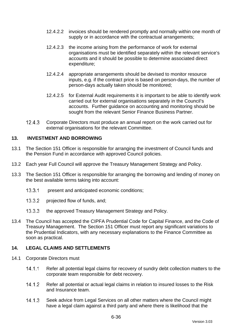- 12.4.2.2 invoices should be rendered promptly and normally within one month of supply or in accordance with the contractual arrangements;
- 12.4.2.3 the income arising from the performance of work for external organisations must be identified separately within the relevant service's accounts and it should be possible to determine associated direct expenditure;
- 12.4.2.4 appropriate arrangements should be devised to monitor resource inputs, e.g. if the contract price is based on person-days, the number of person-days actually taken should be monitored;
- 12.4.2.5 for External Audit requirements it is important to be able to identify work carried out for external organisations separately in the Council's accounts. Further guidance on accounting and monitoring should be sought from the relevant Senior Finance Business Partner.
- $12.4.3$ Corporate Directors must produce an annual report on the work carried out for external organisations for the relevant Committee.

## **13. INVESTMENT AND BORROWING**

- 13.1 The Section 151 Officer is responsible for arranging the investment of Council funds and the Pension Fund in accordance with approved Council policies.
- 13.2 Each year Full Council will approve the Treasury Management Strategy and Policy.
- 13.3 The Section 151 Officer is responsible for arranging the borrowing and lending of money on the best available terms taking into account:
	- $13.3.1$ present and anticipated economic conditions;
	- $13.3.2$ projected flow of funds, and;
	- $13.3.3$ the approved Treasury Management Strategy and Policy.
- 13.4 The Council has accepted the CIPFA Prudential Code for Capital Finance, and the Code of Treasury Management. The Section 151 Officer must report any significant variations to the Prudential Indicators, with any necessary explanations to the Finance Committee as soon as practical.

## **14. LEGAL CLAIMS AND SETTLEMENTS**

- 14.1 Corporate Directors must
	- $14.1.1$ Refer all potential legal claims for recovery of sundry debt collection matters to the corporate team responsible for debt recovery.
	- $14.1.2$ Refer all potential or actual legal claims in relation to insured losses to the Risk and Insurance team.
	- $14.1.3$ Seek advice from Legal Services on all other matters where the Council might have a legal claim against a third party and where there is likelihood that the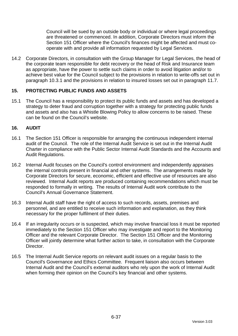Council will be sued by an outside body or individual or where legal proceedings are threatened or commenced. In addition, Corporate Directors must inform the Section 151 Officer where the Council's finances might be affected and must cooperate with and provide all information requested by Legal Services.

14.2 Corporate Directors, in consultation with the Group Manager for Legal Services, the head of the corporate team responsible for debt recovery or the head of Risk and Insurance team as appropriate, have the power to settle such claims in order to avoid litigation and/or to achieve best value for the Council subject to the provisions in relation to write-offs set out in paragraph [10.3.1](#page-105-0) and the provisions in relation to insured losses set out in paragraph [11.7.](#page-107-0)

## **15. PROTECTING PUBLIC FUNDS AND ASSETS**

15.1 The Council has a responsibility to protect its public funds and assets and has developed a strategy to deter fraud and corruption together with a strategy for protecting public funds and assets and also has a Whistle Blowing Policy to allow concerns to be raised. These can be found on the Council's website.

## **16. AUDIT**

- 16.1 The Section 151 Officer is responsible for arranging the continuous independent internal audit of the Council. The role of the Internal Audit Service is set out in the Internal Audit Charter in compliance with the Public Sector Internal Audit Standards and the Accounts and Audit Regulations.
- 16.2 Internal Audit focuses on the Council's control environment and independently appraises the internal controls present in financial and other systems. The arrangements made by Corporate Directors for secure, economic, efficient and effective use of resources are also reviewed. Internal Audit reports are produced containing recommendations which must be responded to formally in writing. The results of Internal Audit work contribute to the Council's Annual Governance Statement.
- 16.3 Internal Audit staff have the right of access to such records, assets, premises and personnel, and are entitled to receive such information and explanation, as they think necessary for the proper fulfilment of their duties.
- 16.4 If an irregularity occurs or is suspected, which may involve financial loss it must be reported immediately to the Section 151 Officer who may investigate and report to the Monitoring Officer and the relevant Corporate Director. The Section 151 Officer and the Monitoring Officer will jointly determine what further action to take, in consultation with the Corporate Director.
- 16.5 The Internal Audit Service reports on relevant audit issues on a regular basis to the Council's Governance and Ethics Committee. Frequent liaison also occurs between Internal Audit and the Council's external auditors who rely upon the work of Internal Audit when forming their opinion on the Council's key financial and other systems.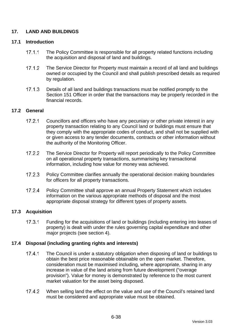## **17. LAND AND BUILDINGS**

## **17.1 Introduction**

- $17.1.1$ The Policy Committee is responsible for all property related functions including the acquisition and disposal of land and buildings.
- $17.1.2$ The Service Director for Property must maintain a record of all land and buildings owned or occupied by the Council and shall publish prescribed details as required by regulation.
- $17.1.3$ Details of all land and buildings transactions must be notified promptly to the Section 151 Officer in order that the transactions may be properly recorded in the financial records.

## **17.2 General**

- $1721$ Councillors and officers who have any pecuniary or other private interest in any property transaction relating to any Council land or buildings must ensure that they comply with the appropriate codes of conduct, and shall not be supplied with or given access to any tender documents, contracts or other information without the authority of the Monitoring Officer.
- $17.2.2$ The Service Director for Property will report periodically to the Policy Committee on all operational property transactions, summarising key transactional information, including how value for money was achieved.
- $17.2.3$ Policy Committee clarifies annually the operational decision making boundaries for officers for all property transactions.
- $17.2.4$ Policy Committee shall approve an annual Property Statement which includes information on the various appropriate methods of disposal and the most appropriate disposal strategy for different types of property assets.

## **17.3 Acquisition**

 $17.3.1$ Funding for the acquisitions of land or buildings (including entering into leases of property) is dealt with under the rules governing capital expenditure and other major projects (see section [4\)](#page-77-0).

## **17.4 Disposal (including granting rights and interests)**

- $17.4.1$ The Council is under a statutory obligation when disposing of land or buildings to obtain the best price reasonable obtainable on the open market. Therefore, consideration must be maximised including, where appropriate, sharing in any increase in value of the land arising from future development ("overage provision"). Value for money is demonstrated by reference to the most current market valuation for the asset being disposed.
- $1742$ When selling land the effect on the value and use of the Council's retained land must be considered and appropriate value must be obtained.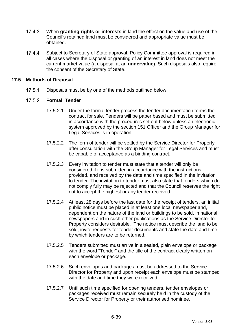- $17.4.3$ When **granting rights or interests** in land the effect on the value and use of the Council's retained land must be considered and appropriate value must be obtained.
- $17.4.4$ Subject to Secretary of State approval, Policy Committee approval is required in all cases where the disposal or granting of an interest in land does not meet the current market value (a disposal at an **undervalue**). Such disposals also require the consent of the Secretary of State.

## **17.5 Methods of Disposal**

 $17.5.1$ Disposals must be by one of the methods outlined below:

#### 17.5.2 **Formal Tender**

- 17.5.2.1 Under the formal tender process the tender documentation forms the contract for sale. Tenders will be paper based and must be submitted in accordance with the procedures set out below unless an electronic system approved by the section 151 Officer and the Group Manager for Legal Services is in operation.
- 17.5.2.2 The form of tender will be settled by the Service Director for Property after consultation with the Group Manager for Legal Services and must be capable of acceptance as a binding contract.
- 17.5.2.3 Every invitation to tender must state that a tender will only be considered if it is submitted in accordance with the instructions provided, and received by the date and time specified in the invitation to tender. The invitation to tender must also state that tenders which do not comply fully may be rejected and that the Council reserves the right not to accept the highest or any tender received.
- 17.5.2.4 At least 28 days before the last date for the receipt of tenders, an initial public notice must be placed in at least one local newspaper and, dependent on the nature of the land or buildings to be sold, in national newspapers and in such other publications as the Service Director for Property considers desirable. The notice must describe the land to be sold, invite requests for tender documents and state the date and time by which tenders are to be returned.
- 17.5.2.5 Tenders submitted must arrive in a sealed, plain envelope or package with the word "Tender" and the title of the contract clearly written on each envelope or package.
- 17.5.2.6 Such envelopes and packages must be addressed to the Service Director for Property and upon receipt each envelope must be stamped with the date and time they were received.
- 17.5.2.7 Until such time specified for opening tenders, tender envelopes or packages received must remain securely held in the custody of the Service Director for Property or their authorised nominee.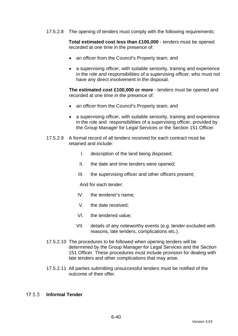17.5.2.8 The opening of tenders must comply with the following requirements:

**Total estimated cost less than £100,000** - tenders must be opened recorded at one time in the presence of:

- an officer from the Council's Property team; and
- a supervising officer, with suitable seniority, training and experience in the role and responsibilities of a supervising officer, who must not have any direct involvement in the disposal.

**The estimated cost £100,000 or more** - tenders must be opened and recorded at one time in the presence of:

- an officer from the Council's Property team; and
- a supervising officer, with suitable seniority, training and experience in the role and responsibilities of a supervising officer, provided by the Group Manager for Legal Services or the Section 151 Officer.
- 17.5.2.9 A formal record of all tenders received for each contract must be retained and include:
	- I. description of the land being disposed;
	- II. the date and time tenders were opened;
	- III. the supervising officer and other officers present;

And for each tender:

- IV. the tenderer's name;
- V. the date received;
- VI. the tendered value;
- VII. details of any noteworthy events (e.g. tender excluded with reasons, late tenders, complications etc.).
- 17.5.2.10 The procedures to be followed when opening tenders will be determined by the Group Manager for Legal Services and the Section 151 Officer. These procedures must include provision for dealing with late tenders and other complications that may arise.
- 17.5.2.11 All parties submitting unsuccessful tenders must be notified of the outcome of their offer.

#### $17.5.3$ **Informal Tender**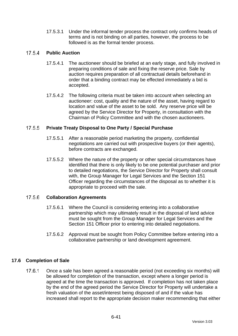17.5.3.1 Under the informal tender process the contract only confirms heads of terms and is not binding on all parties, however, the process to be followed is as the formal tender process.

#### $17.54$ **Public Auction**

- 17.5.4.1 The auctioneer should be briefed at an early stage, and fully involved in preparing conditions of sale and fixing the reserve price. Sale by auction requires preparation of all contractual details beforehand in order that a binding contract may be effected immediately a bid is accepted.
- 17.5.4.2 The following criteria must be taken into account when selecting an auctioneer: cost, quality and the nature of the asset, having regard to location and value of the asset to be sold. Any reserve price will be agreed by the Service Director for Property, in consultation with the Chairman of Policy Committee and with the chosen auctioneers.

#### $17.5.5$ **Private Treaty Disposal to One Party / Special Purchase**

- 17.5.5.1 After a reasonable period marketing the property, confidential negotiations are carried out with prospective buyers (or their agents), before contracts are exchanged.
- 17.5.5.2 Where the nature of the property or other special circumstances have identified that there is only likely to be one potential purchaser and prior to detailed negotiations, the Service Director for Property shall consult with, the Group Manager for Legal Services and the Section 151 Officer regarding the circumstances of the disposal as to whether it is appropriate to proceed with the sale.

#### 17.5.6 **Collaboration Agreements**

- 17.5.6.1 Where the Council is considering entering into a collaborative partnership which may ultimately result in the disposal of land advice must be sought from the Group Manager for Legal Services and the Section 151 Officer prior to entering into detailed negotiations.
- 17.5.6.2 Approval must be sought from Policy Committee before entering into a collaborative partnership or land development agreement.

### **17.6 Completion of Sale**

 $17.6.1$ Once a sale has been agreed a reasonable period (not exceeding six months) will be allowed for completion of the transaction, except where a longer period is agreed at the time the transaction is approved. If completion has not taken place by the end of the agreed period the Service Director for Property will undertake a fresh valuation of the asset/interest being disposed of and if the value has increased shall report to the appropriate decision maker recommending that either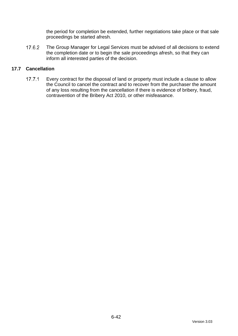the period for completion be extended, further negotiations take place or that sale proceedings be started afresh.

17.6.2 The Group Manager for Legal Services must be advised of all decisions to extend the completion date or to begin the sale proceedings afresh, so that they can inform all interested parties of the decision.

## **17.7 Cancellation**

 $17.7.1$ Every contract for the disposal of land or property must include a clause to allow the Council to cancel the contract and to recover from the purchaser the amount of any loss resulting from the cancellation if there is evidence of bribery, fraud, contravention of the Bribery Act 2010, or other misfeasance.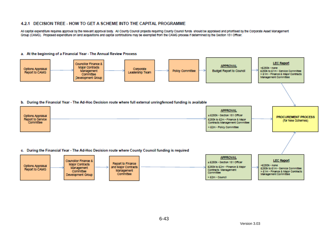#### 4.2.1 DECISION TREE - HOW TO GET A SCHEME INTO THE CAPITAL PROGRAMME.

All capital expenditure requires approval by the relevant approval body. All County Council projects requiring County Council funds should be appraised and prioritised by the Corporate Asset Management Group (CAMG). Proposed expenditure on land acquisitions and capital contributions may be exempted from the CAMG process if determined by the Section 151 Officer.

#### a. At the beginning of a Financial Year - The Annual Review Process

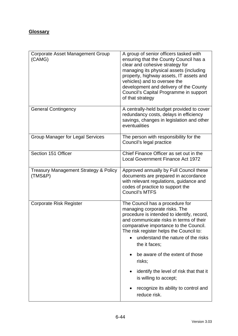# **Glossary**

| Corporate Asset Management Group<br>(CAMG)                  | A group of senior officers tasked with<br>ensuring that the County Council has a<br>clear and cohesive strategy for<br>managing its physical assets (including<br>property, highway assets, IT assets and<br>vehicles) and to oversee the<br>development and delivery of the County<br>Council's Capital Programme in support<br>of that strategy     |  |
|-------------------------------------------------------------|-------------------------------------------------------------------------------------------------------------------------------------------------------------------------------------------------------------------------------------------------------------------------------------------------------------------------------------------------------|--|
| <b>General Contingency</b>                                  | A centrally-held budget provided to cover<br>redundancy costs, delays in efficiency<br>savings, changes in legislation and other<br>eventualities                                                                                                                                                                                                     |  |
| <b>Group Manager for Legal Services</b>                     | The person with responsibility for the<br>Council's legal practice                                                                                                                                                                                                                                                                                    |  |
| Section 151 Officer                                         | Chief Finance Officer as set out in the<br><b>Local Government Finance Act 1972</b>                                                                                                                                                                                                                                                                   |  |
| <b>Treasury Management Strategy &amp; Policy</b><br>(TMS&P) | Approved annually by Full Council these<br>documents are prepared in accordance<br>with relevant regulations, guidance and<br>codes of practice to support the<br><b>Council's MTFS</b>                                                                                                                                                               |  |
| <b>Corporate Risk Register</b>                              | The Council has a procedure for<br>managing corporate risks. The<br>procedure is intended to identify, record,<br>and communicate risks in terms of their<br>comparative importance to the Council.<br>The risk register helps the Council to:<br>understand the nature of the risks<br>the it faces;<br>be aware of the extent of those<br>$\bullet$ |  |
|                                                             | risks;<br>identify the level of risk that that it<br>is willing to accept;                                                                                                                                                                                                                                                                            |  |
|                                                             | recognize its ability to control and<br>$\bullet$<br>reduce risk.                                                                                                                                                                                                                                                                                     |  |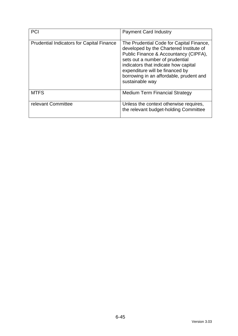| <b>PCI</b>                                       | <b>Payment Card Industry</b>                                                                                                                                                                                                                                                                             |
|--------------------------------------------------|----------------------------------------------------------------------------------------------------------------------------------------------------------------------------------------------------------------------------------------------------------------------------------------------------------|
| <b>Prudential Indicators for Capital Finance</b> | The Prudential Code for Capital Finance,<br>developed by the Chartered Institute of<br>Public Finance & Accountancy (CIPFA),<br>sets out a number of prudential<br>indicators that indicate how capital<br>expenditure will be financed by<br>borrowing in an affordable, prudent and<br>sustainable way |
| <b>MTFS</b>                                      | <b>Medium Term Financial Strategy</b>                                                                                                                                                                                                                                                                    |
| relevant Committee                               | Unless the context otherwise requires,<br>the relevant budget-holding Committee                                                                                                                                                                                                                          |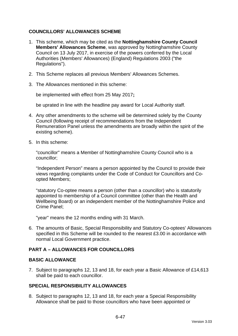## **COUNCILLORS' ALLOWANCES SCHEME**

- 1. This scheme, which may be cited as the **Nottinghamshire County Council Members' Allowances Scheme**, was approved by Nottinghamshire County Council on 13 July 2017, in exercise of the powers conferred by the Local Authorities (Members' Allowances) (England) Regulations 2003 ("the Regulations").
- 2. This Scheme replaces all previous Members' Allowances Schemes.
- 3. The Allowances mentioned in this scheme:

be implemented with effect from 25 May 2017**;**

be uprated in line with the headline pay award for Local Authority staff.

- 4. Any other amendments to the scheme will be determined solely by the County Council (following receipt of recommendations from the Independent Remuneration Panel unless the amendments are broadly within the spirit of the existing scheme).
- 5. In this scheme:

"councillor" means a Member of Nottinghamshire County Council who is a councillor;

"Independent Person" means a person appointed by the Council to provide their views regarding complaints under the Code of Conduct for Councillors and Coopted Members;

"statutory Co-optee means a person (other than a councillor) who is statutorily appointed to membership of a Council committee (other than the Health and Wellbeing Board) or an independent member of the Nottinghamshire Police and Crime Panel;

"year" means the 12 months ending with 31 March.

6. The amounts of Basic, Special Responsibility and Statutory Co-optees' Allowances specified in this Scheme will be rounded to the nearest £3.00 in accordance with normal Local Government practice.

## **PART A – ALLOWANCES FOR COUNCILLORS**

## **BASIC ALLOWANCE**

7. Subject to paragraphs 12, 13 and 18, for each year a Basic Allowance of £14,613 shall be paid to each councillor.

## **SPECIAL RESPONSIBILITY ALLOWANCES**

8. Subject to paragraphs 12, 13 and 18, for each year a Special Responsibility Allowance shall be paid to those councillors who have been appointed or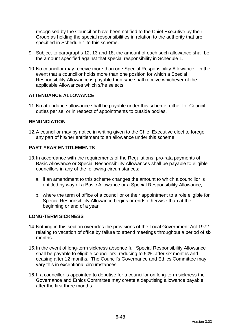recognised by the Council or have been notified to the Chief Executive by their Group as holding the special responsibilities in relation to the authority that are specified in Schedule 1 to this scheme.

- 9. Subject to paragraphs 12, 13 and 18, the amount of each such allowance shall be the amount specified against that special responsibility in Schedule 1.
- 10.No councillor may receive more than one Special Responsibility Allowance. In the event that a councillor holds more than one position for which a Special Responsibility Allowance is payable then s/he shall receive whichever of the applicable Allowances which s/he selects.

## **ATTENDANCE ALLOWANCE**

11.No attendance allowance shall be payable under this scheme, either for Council duties per se, or in respect of appointments to outside bodies.

## **RENUNCIATION**

12.A councillor may by notice in writing given to the Chief Executive elect to forego any part of his/her entitlement to an allowance under this scheme.

### **PART-YEAR ENTITLEMENTS**

- 13.In accordance with the requirements of the Regulations, pro-rata payments of Basic Allowance or Special Responsibility Allowances shall be payable to eligible councillors in any of the following circumstances:
	- a. if an amendment to this scheme changes the amount to which a councillor is entitled by way of a Basic Allowance or a Special Responsibility Allowance;
	- b. where the term of office of a councillor or their appointment to a role eligible for Special Responsibility Allowance begins or ends otherwise than at the beginning or end of a year.

### **LONG-TERM SICKNESS**

- 14.Nothing in this section overrides the provisions of the Local Government Act 1972 relating to vacation of office by failure to attend meetings throughout a period of six months.
- 15.In the event of long-term sickness absence full Special Responsibility Allowance shall be payable to eligible councillors, reducing to 50% after six months and ceasing after 12 months. The Council's Governance and Ethics Committee may vary this in exceptional circumstances.
- 16.If a councillor is appointed to deputise for a councillor on long-term sickness the Governance and Ethics Committee may create a deputising allowance payable after the first three months.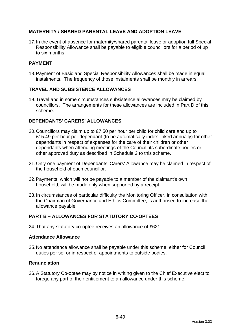## **MATERNITY / SHARED PARENTAL LEAVE AND ADOPTION LEAVE**

17.In the event of absence for maternity/shared parental leave or adoption full Special Responsibility Allowance shall be payable to eligible councillors for a period of up to six months.

## **PAYMENT**

18.Payment of Basic and Special Responsibility Allowances shall be made in equal instalments. The frequency of those instalments shall be monthly in arrears.

## **TRAVEL AND SUBSISTENCE ALLOWANCES**

19.Travel and in some circumstances subsistence allowances may be claimed by councillors. The arrangements for these allowances are included in Part D of this scheme.

## **DEPENDANTS' CARERS' ALLOWANCES**

- 20.Councillors may claim up to £7.50 per hour per child for child care and up to £15.49 per hour per dependant (to be automatically index-linked annually) for other dependants in respect of expenses for the care of their children or other dependants when attending meetings of the Council, its subordinate bodies or other approved duty as described in Schedule 2 to this scheme.
- 21.Only one payment of Dependants' Carers' Allowance may be claimed in respect of the household of each councillor.
- 22.Payments, which will not be payable to a member of the claimant's own household, will be made only when supported by a receipt.
- 23.In circumstances of particular difficulty the Monitoring Officer, in consultation with the Chairman of Governance and Ethics Committee, is authorised to increase the allowance payable.

## **PART B – ALLOWANCES FOR STATUTORY CO-OPTEES**

24.That any statutory co-optee receives an allowance of £621.

### **Attendance Allowance**

25.No attendance allowance shall be payable under this scheme, either for Council duties per se, or in respect of appointments to outside bodies.

### **Renunciation**

26.A Statutory Co-optee may by notice in writing given to the Chief Executive elect to forego any part of their entitlement to an allowance under this scheme.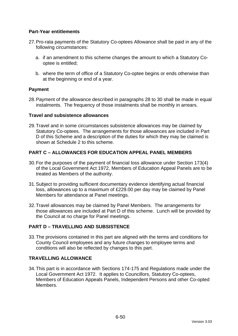## **Part-Year entitlements**

- 27.Pro-rata payments of the Statutory Co-optees Allowance shall be paid in any of the following circumstances:
	- a. if an amendment to this scheme changes the amount to which a Statutory Cooptee is entitled;
	- b. where the term of office of a Statutory Co-optee begins or ends otherwise than at the beginning or end of a year.

## **Payment**

28.Payment of the allowance described in paragraphs 28 to 30 shall be made in equal instalments. The frequency of those instalments shall be monthly in arrears.

### **Travel and subsistence allowances**

29.Travel and in some circumstances subsistence allowances may be claimed by Statutory Co-optees. The arrangements for those allowances are included in Part D of this Scheme and a description of the duties for which they may be claimed is shown at Schedule 2 to this scheme.

## **PART C – ALLOWANCES FOR EDUCATION APPEAL PANEL MEMBERS**

- 30.For the purposes of the payment of financial loss allowance under Section 173(4) of the Local Government Act 1972, Members of Education Appeal Panels are to be treated as Members of the authority.
- 31.Subject to providing sufficient documentary evidence identifying actual financial loss, allowances up to a maximum of £229.00 per day may be claimed by Panel Members for attendance at Panel meetings.
- 32.Travel allowances may be claimed by Panel Members. The arrangements for those allowances are included at Part D of this scheme. Lunch will be provided by the Council at no charge for Panel meetings.

## **PART D – TRAVELLING AND SUBSISTENCE**

33.The provisions contained in this part are aligned with the terms and conditions for County Council employees and any future changes to employee terms and conditions will also be reflected by changes to this part.

### **TRAVELLING ALLOWANCE**

34.This part is in accordance with Sections 174-175 and Regulations made under the Local Government Act 1972. It applies to Councillors, Statutory Co-optees, Members of Education Appeals Panels, Independent Persons and other Co-opted Members.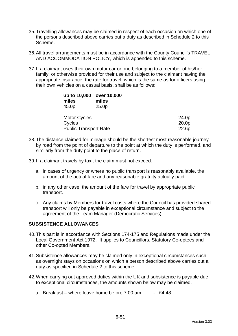- 35.Travelling allowances may be claimed in respect of each occasion on which one of the persons described above carries out a duty as described in Schedule 2 to this Scheme.
- 36.All travel arrangements must be in accordance with the County Council's TRAVEL AND ACCOMMODATION POLICY, which is appended to this scheme.
- 37.If a claimant uses their own motor car or one belonging to a member of his/her family, or otherwise provided for their use and subject to the claimant having the appropriate insurance, the rate for travel, which is the same as for officers using their own vehicles on a casual basis, shall be as follows:

| up to 10,000<br>miles        | over 10,000<br>miles |                   |
|------------------------------|----------------------|-------------------|
| 45.0p                        | 25.0 <sub>p</sub>    |                   |
| <b>Motor Cycles</b>          |                      | 24.0p             |
| Cycles                       |                      | 20.0 <sub>p</sub> |
| <b>Public Transport Rate</b> | 22.6p                |                   |

- 38.The distance claimed for mileage should be the shortest most reasonable journey by road from the point of departure to the point at which the duty is performed, and similarly from the duty point to the place of return.
- 39.If a claimant travels by taxi, the claim must not exceed:
	- a. in cases of urgency or where no public transport is reasonably available, the amount of the actual fare and any reasonable gratuity actually paid;
	- b. in any other case, the amount of the fare for travel by appropriate public transport.
	- c. Any claims by Members for travel costs where the Council has provided shared transport will only be payable in exceptional circumstance and subject to the agreement of the Team Manager (Democratic Services).

## **SUBSISTENCE ALLOWANCES**

- 40.This part is in accordance with Sections 174-175 and Regulations made under the Local Government Act 1972. It applies to Councillors, Statutory Co-optees and other Co-opted Members.
- 41.Subsistence allowances may be claimed only in exceptional circumstances such as overnight stays on occasions on which a person described above carries out a duty as specified in Schedule 2 to this scheme.
- 42.When carrying out approved duties within the UK and subsistence is payable due to exceptional circumstances, the amounts shown below may be claimed.
	- a. Breakfast where leave home before  $7.00$  am  $\cdot$  £4.48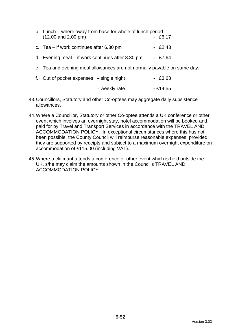| b. Lunch – where away from base for whole of lunch period<br>$(12.00$ and $2.00$ pm) | - £6.17   |
|--------------------------------------------------------------------------------------|-----------|
| c. Tea $-$ if work continues after 6.30 pm                                           | $-E2.43$  |
| d. Evening meal $-$ if work continues after 8.30 pm                                  | $-$ £7.64 |
| e. Tea and evening meal allowances are not normally payable on same day.             |           |

| f. Out of pocket expenses $-$ single night |               | $-E3.63$  |
|--------------------------------------------|---------------|-----------|
|                                            | - weekly rate | $-£14.55$ |

- 43.Councillors, Statutory and other Co-optees may aggregate daily subsistence allowances.
- 44.Where a Councillor, Statutory or other Co-optee attends a UK conference or other event which involves an overnight stay, hotel accommodation will be booked and paid for by Travel and Transport Services in accordance with the TRAVEL AND ACCOMMODATION POLICY. In exceptional circumstances where this has not been possible, the County Council will reimburse reasonable expenses, provided they are supported by receipts and subject to a maximum overnight expenditure on accommodation of £115.00 (including VAT).
- 45.Where a claimant attends a conference or other event which is held outside the UK, s/he may claim the amounts shown in the Council's TRAVEL AND ACCOMMODATION POLICY.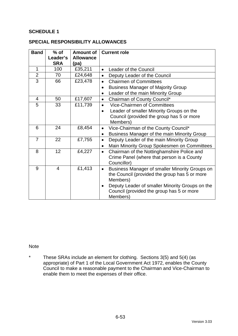## **SCHEDULE 1**

#### **SPECIAL RESPONSIBILITY ALLOWANCES**

| <b>Band</b>    | $%$ of<br>Leader's | <b>Amount of</b><br><b>Allowance</b> | <b>Current role</b>                                          |
|----------------|--------------------|--------------------------------------|--------------------------------------------------------------|
|                | <b>SRA</b>         | (pa)                                 |                                                              |
| 1              | 100                | £35,211                              | <b>Leader of the Council</b><br>$\bullet$                    |
| $\overline{2}$ | 70                 | £24,648                              | Deputy Leader of the Council<br>$\bullet$                    |
| $\overline{3}$ | 66                 | £23,478                              | <b>Chairmen of Committees</b><br>$\bullet$                   |
|                |                    |                                      | <b>Business Manager of Majority Group</b><br>$\bullet$       |
|                |                    |                                      | Leader of the main Minority Group<br>$\bullet$               |
| $\overline{4}$ | 50                 | £17,607                              | Chairman of County Council*<br>$\bullet$                     |
| 5              | 33                 | £11,739                              | <b>Vice-Chairmen of Committees</b><br>$\bullet$              |
|                |                    |                                      | Leader of smaller Minority Groups on the<br>$\bullet$        |
|                |                    |                                      | Council (provided the group has 5 or more                    |
|                |                    |                                      | Members)                                                     |
| 6              | 24                 | £8,454                               | Vice-Chairman of the County Council*<br>$\bullet$            |
|                |                    |                                      | Business Manager of the main Minority Group<br>٠             |
| $\overline{7}$ | 22                 | £7,755                               | Deputy Leader of the main Minority Group<br>$\bullet$        |
|                |                    |                                      | Main Minority Group Spokesmen on Committees<br>$\bullet$     |
| 8              | 12                 | £4,227                               | Chairman of the Nottinghamshire Police and<br>$\bullet$      |
|                |                    |                                      | Crime Panel (where that person is a County                   |
|                |                    |                                      | Councillor)                                                  |
| 9              | 4                  | £1,413                               | Business Manager of smaller Minority Groups on<br>$\bullet$  |
|                |                    |                                      | the Council (provided the group has 5 or more                |
|                |                    |                                      | Members)                                                     |
|                |                    |                                      | Deputy Leader of smaller Minority Groups on the<br>$\bullet$ |
|                |                    |                                      | Council (provided the group has 5 or more                    |
|                |                    |                                      | Members)                                                     |

#### Note

\* These SRAs include an element for clothing. Sections 3(5) and 5(4) (as appropriate) of Part 1 of the Local Government Act 1972, enables the County Council to make a reasonable payment to the Chairman and Vice-Chairman to enable them to meet the expenses of their office.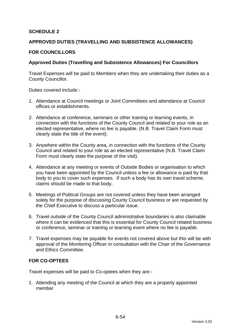## **SCHEDULE 2**

### **APPROVED DUTIES (TRAVELLING AND SUBSISTENCE ALLOWANCES)**

#### **FOR COUNCILLORS**

#### **Approved Duties (Travelling and Subsistence Allowances) For Councillors**

Travel Expenses will be paid to Members when they are undertaking their duties as a County Councillor.

Duties covered include:-

- 1. Attendance at Council meetings or Joint Committees and attendance at Council offices or establishments.
- 2. Attendance at conference, seminars or other training or learning events, in connection with the functions of the County Council and related to your role as an elected representative, where no fee is payable. (N.B. Travel Claim Form must clearly state the title of the event).
- 3. Anywhere within the County area, in connection with the functions of the County Council and related to your role as an elected representative (N.B. Travel Claim Form must clearly state the purpose of the visit).
- 4. Attendance at any meeting or events of Outside Bodies or organisation to which you have been appointed by the Council unless a fee or allowance is paid by that body to you to cover such expenses. If such a body has its own travel scheme, claims should be made to that body.
- 5. Meetings of Political Groups are not covered unless they have been arranged solely for the purpose of discussing County Council business or are requested by the Chief Executive to discuss a particular issue.
- 6. Travel outside of the County Council administrative boundaries is also claimable where it can be evidenced that this is essential for County Council related business or conference, seminar or training or learning event where no fee is payable.
- 7. Travel expenses may be payable for events not covered above but this will be with approval of the Monitoring Officer in consultation with the Chair of the Governance and Ethics Committee.

### **FOR CO-OPTEES**

Travel expenses will be paid to Co-optees when they are:-

1. Attending any meeting of the Council at which they are a properly appointed member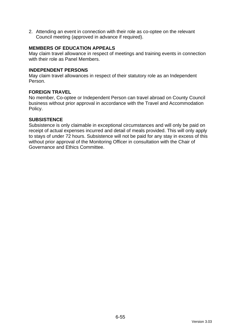2. Attending an event in connection with their role as co-optee on the relevant Council meeting (approved in advance if required).

## **MEMBERS OF EDUCATION APPEALS**

May claim travel allowance in respect of meetings and training events in connection with their role as Panel Members.

#### **INDEPENDENT PERSONS**

May claim travel allowances in respect of their statutory role as an Independent Person.

### **FOREIGN TRAVEL**

No member, Co-optee or Independent Person can travel abroad on County Council business without prior approval in accordance with the Travel and Accommodation Policy.

#### **SUBSISTENCE**

Subsistence is only claimable in exceptional circumstances and will only be paid on receipt of actual expenses incurred and detail of meals provided. This will only apply to stays of under 72 hours. Subsistence will not be paid for any stay in excess of this without prior approval of the Monitoring Officer in consultation with the Chair of Governance and Ethics Committee.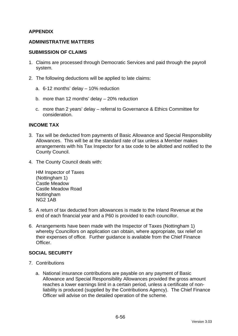## **APPENDIX**

### **ADMINISTRATIVE MATTERS**

#### **SUBMISSION OF CLAIMS**

- 1. Claims are processed through Democratic Services and paid through the payroll system.
- 2. The following deductions will be applied to late claims:
	- a. 6-12 months' delay 10% reduction
	- b. more than 12 months' delay 20% reduction
	- c. more than 2 years' delay referral to Governance & Ethics Committee for consideration.

#### **INCOME TAX**

- 3. Tax will be deducted from payments of Basic Allowance and Special Responsibility Allowances. This will be at the standard rate of tax unless a Member makes arrangements with his Tax Inspector for a tax code to be allotted and notified to the County Council.
- 4. The County Council deals with:

HM Inspector of Taxes (Nottingham 1) Castle Meadow Castle Meadow Road **Nottingham** NG2 1AB

- 5. A return of tax deducted from allowances is made to the Inland Revenue at the end of each financial year and a P60 is provided to each councillor.
- 6. Arrangements have been made with the Inspector of Taxes (Nottingham 1) whereby Councillors on application can obtain, where appropriate, tax relief on their expenses of office. Further guidance is available from the Chief Finance Officer.

## **SOCIAL SECURITY**

- 7. Contributions
	- a. National insurance contributions are payable on any payment of Basic Allowance and Special Responsibility Allowances provided the gross amount reaches a lower earnings limit in a certain period, unless a certificate of nonliability is produced (supplied by the Contributions Agency). The Chief Finance Officer will advise on the detailed operation of the scheme.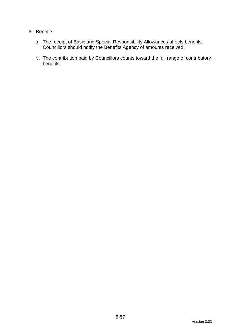## 8. Benefits

- a. The receipt of Basic and Special Responsibility Allowances affects benefits. Councillors should notify the Benefits Agency of amounts received.
- b. The contribution paid by Councillors counts toward the full range of contributory benefits.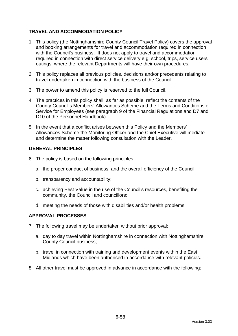## **TRAVEL AND ACCOMMODATION POLICY**

- 1. This policy (the Nottinghamshire County Council Travel Policy) covers the approval and booking arrangements for travel and accommodation required in connection with the Council's business. It does not apply to travel and accommodation required in connection with direct service delivery e.g. school, trips, service users' outings, where the relevant Departments will have their own procedures.
- 2. This policy replaces all previous policies, decisions and/or precedents relating to travel undertaken in connection with the business of the Council.
- 3. The power to amend this policy is reserved to the full Council.
- 4. The practices in this policy shall, as far as possible, reflect the contents of the County Council's Members' Allowances Scheme and the Terms and Conditions of Service for Employees (see paragraph 9 of the Financial Regulations and D7 and D10 of the Personnel Handbook).
- 5. In the event that a conflict arises between this Policy and the Members' Allowances Scheme the Monitoring Officer and the Chief Executive will mediate and determine the matter following consultation with the Leader.

### **GENERAL PRINCIPLES**

- 6. The policy is based on the following principles:
	- a. the proper conduct of business, and the overall efficiency of the Council;
	- b. transparency and accountability;
	- c. achieving Best Value in the use of the Council's resources, benefiting the community, the Council and councillors;
	- d. meeting the needs of those with disabilities and/or health problems.

### **APPROVAL PROCESSES**

- 7. The following travel may be undertaken without prior approval:
	- a. day to day travel within Nottinghamshire in connection with Nottinghamshire County Council business;
	- b. travel in connection with training and development events within the East Midlands which have been authorised in accordance with relevant policies.
- 8. All other travel must be approved in advance in accordance with the following: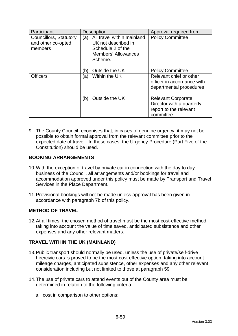| Participant                                             | <b>Description</b>                                                                                                     | Approval required from                                                                        |  |
|---------------------------------------------------------|------------------------------------------------------------------------------------------------------------------------|-----------------------------------------------------------------------------------------------|--|
| Councillors, Statutory<br>and other co-opted<br>members | All travel within mainland<br>(a)<br>UK not described in<br>Schedule 2 of the<br><b>Members' Allowances</b><br>Scheme. | <b>Policy Committee</b>                                                                       |  |
|                                                         | Outside the UK<br>(b)                                                                                                  | <b>Policy Committee</b>                                                                       |  |
| <b>Officers</b>                                         | Within the UK<br>(a)                                                                                                   | Relevant chief or other<br>officer in accordance with<br>departmental procedures              |  |
|                                                         | Outside the UK<br>(b)                                                                                                  | <b>Relevant Corporate</b><br>Director with a quarterly<br>report to the relevant<br>committee |  |

9. The County Council recognises that, in cases of genuine urgency, it may not be possible to obtain formal approval from the relevant committee prior to the expected date of travel. In these cases, the Urgency Procedure (Part Five of the Constitution) should be used.

## **BOOKING ARRANGEMENTS**

- 10.With the exception of travel by private car in connection with the day to day business of the Council, all arrangements and/or bookings for travel and accommodation approved under this policy must be made by Transport and Travel Services in the Place Department.
- 11.Provisional bookings will not be made unless approval has been given in accordance with paragraph 7b of this policy.

## **METHOD OF TRAVEL**

<span id="page-133-0"></span>12.At all times, the chosen method of travel must be the most cost-effective method, taking into account the value of time saved, anticipated subsistence and other expenses and any other relevant matters.

## **TRAVEL WITHIN THE UK (MAINLAND)**

- 13.Public transport should normally be used, unless the use of private/self-drive hire/civic cars is proved to be the most cost effective option, taking into account mileage charges, anticipated subsistence, other expenses and any other relevant consideration including but not limited to those at paragraph [59](#page-133-0)
- 14.The use of private cars to attend events out of the County area must be determined in relation to the following criteria:
	- a. cost in comparison to other options;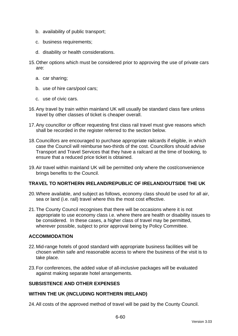- b. availability of public transport;
- c. business requirements;
- d. disability or health considerations.
- 15.Other options which must be considered prior to approving the use of private cars are:
	- a. car sharing;
	- b. use of hire cars/pool cars;
	- c. use of civic cars.
- 16.Any travel by train within mainland UK will usually be standard class fare unless travel by other classes of ticket is cheaper overall.
- 17.Any councillor or officer requesting first class rail travel must give reasons which shall be recorded in the register referred to the section below.
- 18.Councillors are encouraged to purchase appropriate railcards if eligible, in which case the Council will reimburse two-thirds of the cost. Councillors should advise Transport and Travel Services that they have a railcard at the time of booking, to ensure that a reduced price ticket is obtained.
- 19.Air travel within mainland UK will be permitted only where the cost/convenience brings benefits to the Council.

## **TRAVEL TO NORTHERN IRELAND/REPUBLIC OF IRELAND/OUTSIDE THE UK**

- 20.Where available, and subject as follows, economy class should be used for all air, sea or land (i.e. rail) travel where this the most cost effective.
- 21.The County Council recognises that there will be occasions where it is not appropriate to use economy class i.e. where there are health or disability issues to be considered. In these cases, a higher class of travel may be permitted, wherever possible, subject to prior approval being by Policy Committee.

## **ACCOMMODATION**

- 22.Mid-range hotels of good standard with appropriate business facilities will be chosen within safe and reasonable access to where the business of the visit is to take place.
- 23.For conferences, the added value of all-inclusive packages will be evaluated against making separate hotel arrangements.

## **SUBSISTENCE AND OTHER EXPENSES**

## **WITHIN THE UK (INCLUDING NORTHERN IRELAND)**

24.All costs of the approved method of travel will be paid by the County Council.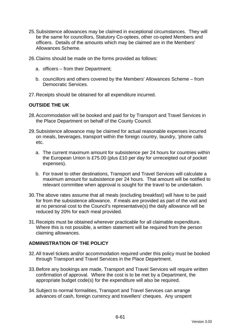- 25.Subsistence allowances may be claimed in exceptional circumstances. They will be the same for councillors, Statutory Co-optees, other co-opted Members and officers. Details of the amounts which may be claimed are in the Members' Allowances Scheme.
- 26.Claims should be made on the forms provided as follows:
	- a. officers from their Department;
	- b. councillors and others covered by the Members' Allowances Scheme from Democratic Services.
- 27.Receipts should be obtained for all expenditure incurred.

### **OUTSIDE THE UK**

- 28.Accommodation will be booked and paid for by Transport and Travel Services in the Place Department on behalf of the County Council.
- 29.Subsistence allowance may be claimed for actual reasonable expenses incurred on meals, beverages, transport within the foreign country, laundry, 'phone calls etc.
	- a. The current maximum amount for subsistence per 24 hours for countries within the European Union is £75.00 (plus £10 per day for unreceipted out of pocket expenses).
	- b. For travel to other destinations, Transport and Travel Services will calculate a maximum amount for subsistence per 24 hours. That amount will be notified to relevant committee when approval is sought for the travel to be undertaken.
- 30.The above rates assume that all meals (excluding breakfast) will have to be paid for from the subsistence allowance. If meals are provided as part of the visit and at no personal cost to the Council's representative(s) the daily allowance will be reduced by 20% for each meal provided.
- 31.Receipts must be obtained wherever practicable for all claimable expenditure. Where this is not possible, a written statement will be required from the person claiming allowances.

### **ADMINISTRATION OF THE POLICY**

- 32.All travel tickets and/or accommodation required under this policy must be booked through Transport and Travel Services in the Place Department.
- 33.Before any bookings are made, Transport and Travel Services will require written confirmation of approval. Where the cost is to be met by a Department, the appropriate budget code(s) for the expenditure will also be required.
- 34.Subject to normal formalities, Transport and Travel Services can arrange advances of cash, foreign currency and travellers' cheques. Any unspent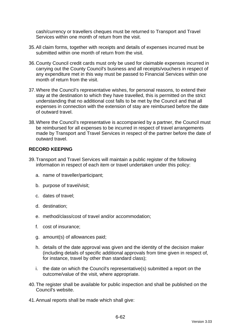cash/currency or travellers cheques must be returned to Transport and Travel Services within one month of return from the visit.

- 35.All claim forms, together with receipts and details of expenses incurred must be submitted within one month of return from the visit.
- 36.County Council credit cards must only be used for claimable expenses incurred in carrying out the County Council's business and all receipts/vouchers in respect of any expenditure met in this way must be passed to Financial Services within one month of return from the visit.
- 37.Where the Council's representative wishes, for personal reasons, to extend their stay at the destination to which they have travelled, this is permitted on the strict understanding that no additional cost falls to be met by the Council and that all expenses in connection with the extension of stay are reimbursed before the date of outward travel.
- 38.Where the Council's representative is accompanied by a partner, the Council must be reimbursed for all expenses to be incurred in respect of travel arrangements made by Transport and Travel Services in respect of the partner before the date of outward travel.

## **RECORD KEEPING**

- 39.Transport and Travel Services will maintain a public register of the following information in respect of each item or travel undertaken under this policy:
	- a. name of traveller/participant;
	- b. purpose of travel/visit;
	- c. dates of travel;
	- d. destination;
	- e. method/class/cost of travel and/or accommodation;
	- f. cost of insurance;
	- g. amount(s) of allowances paid;
	- h. details of the date approval was given and the identity of the decision maker (including details of specific additional approvals from time given in respect of, for instance, travel by other than standard class);
	- i. the date on which the Council's representative(s) submitted a report on the outcome/value of the visit, where appropriate.
- 40.The register shall be available for public inspection and shall be published on the Council's website.
- 41.Annual reports shall be made which shall give: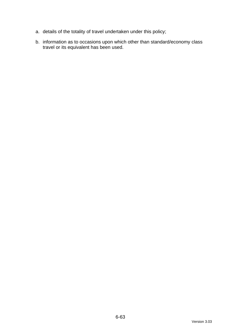- a. details of the totality of travel undertaken under this policy;
- b. information as to occasions upon which other than standard/economy class travel or its equivalent has been used.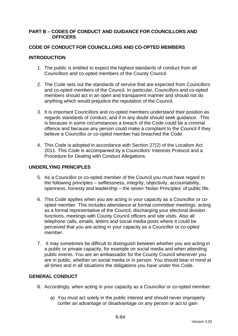### **PART B – CODES OF CONDUCT AND GUIDANCE FOR COUNCILLORS AND OFFICERS**

## **CODE OF CONDUCT FOR COUNCILLORS AND CO-OPTED MEMBERS**

## **INTRODUCTION**

- 1. The public is entitled to expect the highest standards of conduct from all Councillors and co-opted members of the County Council.
- 2. The Code sets out the standards of service that are expected from Councillors and co-opted members of the Council. In particular, Councillors and co-opted members should act in an open and transparent manner and should not do anything which would prejudice the reputation of the Council.
- 3. It is important Councillors and co-opted members understand their position as regards standards of conduct, and if in any doubt should seek guidance. This is because in some circumstances a breach of the Code could be a criminal offence and because any person could make a complaint to the Council if they believe a Councillor or co-opted member has breached the Code.
- 4. This Code is adopted in accordance with Section 27(2) of the Localism Act 2011. This Code is accompanied by a Councillors' Interests Protocol and a Procedure for Dealing with Conduct Allegations.

### **UNDERLYING PRINCIPLES**

- 5. As a Councillor or co-opted member of the Council you must have regard to the following principles – selflessness, integrity, objectivity, accountability, openness, honesty and leadership – the seven 'Nolan Principles' of public life.
- 6. This Code applies when you are acting in your capacity as a Councillor or coopted member. This includes attendance at formal committee meetings, acting as a formal representative of the Council, discharging your electoral division functions, meetings with County Council officers and site visits. Also all telephone calls, emails, letters and social media posts where it could be perceived that you are acting in your capacity as a Councillor or co-opted member.
- 7. It may sometimes be difficult to distinguish between whether you are acting in a public or private capacity, for example on social media and when attending public events. You are an ambassador for the County Council whenever you are in public, whether on social media or in person. You should bear in mind at all times and in all situations the obligations you have under this Code.

## **GENERAL CONDUCT**

- 8. Accordingly, when acting in your capacity as a Councillor or co-opted member:
	- a) You must act solely in the public interest and should never improperly confer an advantage or disadvantage on any person or act to gain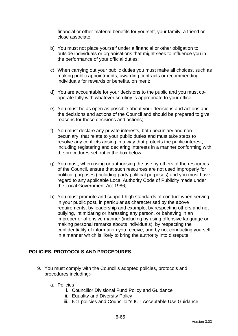financial or other material benefits for yourself, your family, a friend or close associate;

- b) You must not place yourself under a financial or other obligation to outside individuals or organisations that might seek to influence you in the performance of your official duties;
- c) When carrying out your public duties you must make all choices, such as making public appointments, awarding contracts or recommending individuals for rewards or benefits, on merit;
- d) You are accountable for your decisions to the public and you must cooperate fully with whatever scrutiny is appropriate to your office;
- e) You must be as open as possible about your decisions and actions and the decisions and actions of the Council and should be prepared to give reasons for those decisions and actions;
- f) You must declare any private interests, both pecuniary and nonpecuniary, that relate to your public duties and must take steps to resolve any conflicts arising in a way that protects the public interest, including registering and declaring interests in a manner conforming with the procedures set out in the box below;
- g) You must, when using or authorising the use by others of the resources of the Council, ensure that such resources are not used improperly for political purposes (including party political purposes) and you must have regard to any applicable Local Authority Code of Publicity made under the Local Government Act 1986;
- h) You must promote and support high standards of conduct when serving in your public post, in particular as characterised by the above requirements, by leadership and example, by respecting others and not bullying, intimidating or harassing any person, or behaving in an improper or offensive manner (including by using offensive language or making personal remarks abouts individuals), by respecting the confidentiality of information you receive, and by not conducting yourself in a manner which is likely to bring the authority into disrepute.

## **POLICIES, PROTOCOLS AND PROCEDURES**

- 9. You must comply with the Council's adopted policies, protocols and procedures including:
	- a. Policies
		- i. Councillor Divisional Fund Policy and Guidance
		- ii. Equality and Diversity Policy
		- iii. ICT policies and Councillor's ICT Acceptable Use Guidance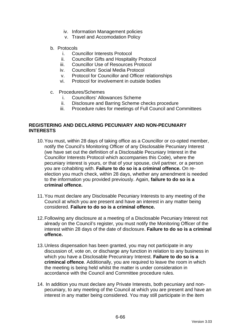- iv. Information Management policies
- v. Travel and Accomodation Policy
- b. Protocols
	- i. Councillor Interests Protocol
	- ii. Councillor Gifts and Hospitality Protocol
	- iii. Councillor Use of Resources Protocol
	- iv. Councillors' Social Media Protocol
	- v. Protocol for Councillor and Officer relationships
	- vi. Protocol for involvement in outside bodies
- c. Procedures/Schemes
	- i. Councillors' Allowances Scheme<br>ii. Disclosure and Barring Scheme o
	- Disclosure and Barring Scheme checks procedure
	- iii. Procedure rules for meetings of Full Council and Committees

#### **REGISTERING AND DECLARING PECUNIARY AND NON-PECUNIARY INTERESTS**

- 10.You must, within 28 days of taking office as a Councillor or co-opted member, notify the Council's Monitoring Officer of any Disclosable Pecuniary Interest (we have set out the definition of a Disclosable Pecuniary Interest in the Councillor Interests Protocol which accompanies this Code), where the pecuniary interest is yours, or that of your spouse, civil partner, or a person you are cohabiting with. **Failure to do so is a criminal offence.** On reelection you much check, within 28 days, whether any amendment is needed to the information you provided previously. Again, **failure to do so is a criminal offence.**
- 11.You must declare any Disclosable Pecuniary Interests to any meeting of the Council at which you are present and have an interest in any matter being considered. **Failure to do so is a criminal offence.**
- 12.Following any disclosure at a meeting of a Disclosable Pecuniary Interest not already on the Council's register, you must notify the Monitoring Officer of the interest within 28 days of the date of disclosure. **Failure to do so is a criminal offence.**
- 13.Unless dispensation has been granted, you may not participate in any discussion of, vote on, or discharge any function in relation to any business in which you have a Disclosable Precunirary Interest. **Failure to do so is a crimincal offence**. Additionally, you are required to leave the room in which the meeting is being held whilst the matter is under consideration in accordance with the Council and Committee procedure rules.
- 14. In addition you must declare any Private Interests, both pecuniary and nonpecuniary, to any meeting of the Council at which you are present and have an interest in any matter being considered. You may still participate in the item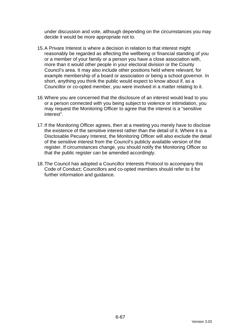under discussion and vote, although depending on the circumstances you may decide it would be more appropriate not to.

- 15.A Privare Interest is where a decision in relation to that interest might reasonably be regarded as affecting the wellbeing or financial standing of you or a member of your family or a person you have a close association with, more than it would other people in your electoral division or the County Council's area. It may also include other positions held where relevant, for example membership of a board or association or being a school governor. In short, anything you think the public would expect to know about if, as a Councillor or co-opted member, you were involved in a matter relating to it.
- 16.Where you are concerned that the disclosure of an interest would lead to you or a person connected with you being subject to violence or intimidation, you may request the Monitoring Officer to agree that the interest is a "sensitive interest".
- 17.If the Monitoring Officer agrees, then at a meeting you merely have to disclose the existence of the sensitive interest rather than the detail of it. Where it is a Disclosable Pecuiary Interest, the Monitoring Officer will also exclude the detail of the sensitive interest from the Council's publicly available version of the register. If circumstances change, you should notify the Monitoring Officer so that the public register can be amended accordingly.
- 18.The Council has adopted a Councillor Interests Protocol to accompany this Code of Conduct; Councillors and co-opted members should refer to it for further information and guidance.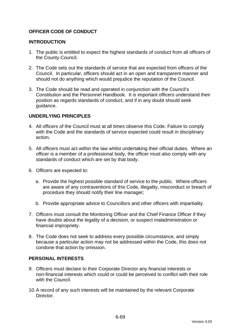## **OFFICER CODE OF CONDUCT**

### **INTRODUCTION**

- 1. The public is entitled to expect the highest standards of conduct from all officers of the County Council.
- 2. The Code sets out the standards of service that are expected from officers of the Council. In particular, officers should act in an open and transparent manner and should not do anything which would prejudice the reputation of the Council.
- 3. The Code should be read and operated in conjunction with the Council's Constitution and the Personnel Handbook. It is important officers understand their position as regards standards of conduct, and if in any doubt should seek guidance.

## **UNDERLYING PRINCIPLES**

- 4. All officers of the Council must at all times observe this Code. Failure to comply with the Code and the standards of service expected could result in disciplinary action.
- 5. All officers must act within the law whilst undertaking their official duties. Where an officer is a member of a professional body, the officer must also comply with any standards of conduct which are set by that body.
- 6. Officers are expected to:
	- a. Provide the highest possible standard of service to the public. Where officers are aware of any contraventions of this Code, illegality, misconduct or breach of procedure they should notify their line manager;
	- b. Provide appropriate advice to Councillors and other officers with impartiality.
- 7. Officers must consult the Monitoring Officer and the Chief Finance Officer if they have doubts about the legality of a decision, or suspect maladministration or financial impropriety.
- 8. The Code does not seek to address every possible circumstance, and simply because a particular action may not be addressed within the Code, this does not condone that action by omission.

### **PERSONAL INTERESTS**

- 9. Officers must declare to their Corporate Director any financial interests or non-financial interests which could or could be perceived to conflict with their role with the Council.
- 10.A record of any such interests will be maintained by the relevant Corporate Director.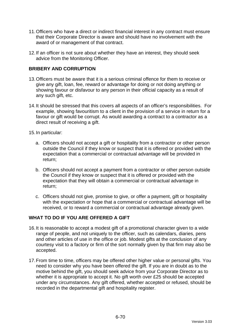- 11.Officers who have a direct or indirect financial interest in any contract must ensure that their Corporate Director is aware and should have no involvement with the award of or management of that contract.
- 12.If an officer is not sure about whether they have an interest, they should seek advice from the Monitoring Officer.

## **BRIBERY AND CORRUPTION**

- 13.Officers must be aware that it is a serious criminal offence for them to receive or give any gift, loan, fee, reward or advantage for doing or not doing anything or showing favour or disfavour to any person in their official capacity as a result of any such gift, etc.
- 14.It should be stressed that this covers all aspects of an officer's responsibilities. For example, showing favouritism to a client in the provision of a service in return for a favour or gift would be corrupt. As would awarding a contract to a contractor as a direct result of receiving a gift.
- 15.In particular:
	- a. Officers should not accept a gift or hospitality from a contractor or other person outside the Council if they know or suspect that it is offered or provided with the expectation that a commercial or contractual advantage will be provided in return;
	- b. Officers should not accept a payment from a contractor or other person outside the Council if they know or suspect that it is offered or provided with the expectation that they will obtain a commercial or contractual advantage in return;
	- c. Officers should not give, promise to give, or offer a payment, gift or hospitality with the expectation or hope that a commercial or contractual advantage will be received, or to reward a commercial or contractual advantage already given.

## **WHAT TO DO IF YOU ARE OFFERED A GIFT**

- 16.It is reasonable to accept a modest gift of a promotional character given to a wide range of people, and not uniquely to the officer, such as calendars, diaries, pens and other articles of use in the office or job. Modest gifts at the conclusion of any courtesy visit to a factory or firm of the sort normally given by that firm may also be accepted.
- 17.From time to time, officers may be offered other higher value or personal gifts. You need to consider why you have been offered the gift. If you are in doubt as to the motive behind the gift, you should seek advice from your Corporate Director as to whether it is appropriate to accept it. No gift worth over £25 should be accepted under any circumstances. Any gift offered, whether accepted or refused, should be recorded in the departmental gift and hospitality register.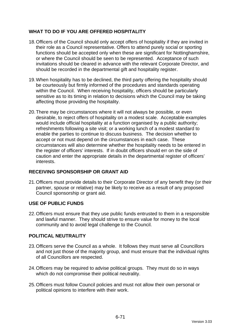# **WHAT TO DO IF YOU ARE OFFERED HOSPITALITY**

- 18.Officers of the Council should only accept offers of hospitality if they are invited in their role as a Council representative. Offers to attend purely social or sporting functions should be accepted only when these are significant for Nottinghamshire, or where the Council should be seen to be represented. Acceptance of such invitations should be cleared in advance with the relevant Corporate Director, and should be recorded in the departmental gift and hospitality register.
- 19.When hospitality has to be declined, the third party offering the hospitality should be courteously but firmly informed of the procedures and standards operating within the Council. When receiving hospitality, officers should be particularly sensitive as to its timing in relation to decisions which the Council may be taking affecting those providing the hospitality.
- 20.There may be circumstances where it will not always be possible, or even desirable, to reject offers of hospitality on a modest scale. Acceptable examples would include official hospitality at a function organised by a public authority; refreshments following a site visit; or a working lunch of a modest standard to enable the parties to continue to discuss business. The decision whether to accept or not must depend on the circumstances in each case. These circumstances will also determine whether the hospitality needs to be entered in the register of officers' interests. If in doubt officers should err on the side of caution and enter the appropriate details in the departmental register of officers' interests.

## **RECEIVING SPONSORSHIP OR GRANT AID**

21.Officers must provide details to their Corporate Director of any benefit they (or their partner, spouse or relative) may be likely to receive as a result of any proposed Council sponsorship or grant aid.

## **USE OF PUBLIC FUNDS**

22.Officers must ensure that they use public funds entrusted to them in a responsible and lawful manner. They should strive to ensure value for money to the local community and to avoid legal challenge to the Council.

## **POLITICAL NEUTRALITY**

- 23.Officers serve the Council as a whole. It follows they must serve all Councillors and not just those of the majority group, and must ensure that the individual rights of all Councillors are respected.
- 24.Officers may be required to advise political groups. They must do so in ways which do not compromise their political neutrality.
- 25.Officers must follow Council policies and must not allow their own personal or political opinions to interfere with their work.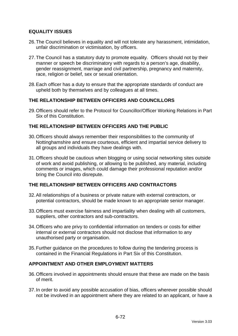## **EQUALITY ISSUES**

- 26.The Council believes in equality and will not tolerate any harassment, intimidation, unfair discrimination or victimisation, by officers.
- 27.The Council has a statutory duty to promote equality. Officers should not by their manner or speech be discriminatory with regards to a person's age, disability, gender reassignment, marriage and civil partnership, pregnancy and maternity, race, religion or belief, sex or sexual orientation.
- 28.Each officer has a duty to ensure that the appropriate standards of conduct are upheld both by themselves and by colleagues at all times.

## **THE RELATIONSHIP BETWEEN OFFICERS AND COUNCILLORS**

29.Officers should refer to the Protocol for Councillor/Officer Working Relations in Part Six of this Constitution.

## **THE RELATIONSHIP BETWEEN OFFICERS AND THE PUBLIC**

- 30.Officers should always remember their responsibilities to the community of Nottinghamshire and ensure courteous, efficient and impartial service delivery to all groups and individuals they have dealings with.
- 31.Officers should be cautious when blogging or using social networking sites outside of work and avoid publishing, or allowing to be published, any material, including comments or images, which could damage their professional reputation and/or bring the Council into disrepute.

## **THE RELATIONSHIP BETWEEN OFFICERS AND CONTRACTORS**

- 32.All relationships of a business or private nature with external contractors, or potential contractors, should be made known to an appropriate senior manager.
- 33.Officers must exercise fairness and impartiality when dealing with all customers, suppliers, other contractors and sub-contractors.
- 34.Officers who are privy to confidential information on tenders or costs for either internal or external contractors should not disclose that information to any unauthorised party or organisation.
- 35.Further guidance on the procedures to follow during the tendering process is contained in the Financial Regulations in Part Six of this Constitution.

#### **APPOINTMENT AND OTHER EMPLOYMENT MATTERS**

- 36.Officers involved in appointments should ensure that these are made on the basis of merit.
- 37.In order to avoid any possible accusation of bias, officers wherever possible should not be involved in an appointment where they are related to an applicant, or have a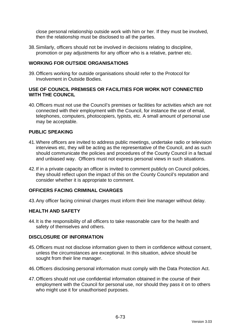close personal relationship outside work with him or her. If they must be involved, then the relationship must be disclosed to all the parties.

38.Similarly, officers should not be involved in decisions relating to discipline, promotion or pay adjustments for any officer who is a relative, partner etc.

#### **WORKING FOR OUTSIDE ORGANISATIONS**

39.Officers working for outside organisations should refer to the Protocol for Involvement in Outside Bodies.

#### **USE OF COUNCIL PREMISES OR FACILITIES FOR WORK NOT CONNECTED WITH THE COUNCIL**

40.Officers must not use the Council's premises or facilities for activities which are not connected with their employment with the Council, for instance the use of email, telephones, computers, photocopiers, typists, etc. A small amount of personal use may be acceptable.

## **PUBLIC SPEAKING**

- 41.Where officers are invited to address public meetings, undertake radio or television interviews etc, they will be acting as the representative of the Council, and as such should communicate the policies and procedures of the County Council in a factual and unbiased way. Officers must not express personal views in such situations.
- 42.If in a private capacity an officer is invited to comment publicly on Council policies, they should reflect upon the impact of this on the County Council's reputation and consider whether it is appropriate to comment.

#### **OFFICERS FACING CRIMINAL CHARGES**

43.Any officer facing criminal charges must inform their line manager without delay.

#### **HEALTH AND SAFETY**

44.It is the responsibility of all officers to take reasonable care for the health and safety of themselves and others.

#### **DISCLOSURE OF INFORMATION**

- 45.Officers must not disclose information given to them in confidence without consent, unless the circumstances are exceptional. In this situation, advice should be sought from their line manager.
- 46.Officers disclosing personal information must comply with the Data Protection Act.
- 47.Officers should not use confidential information obtained in the course of their employment with the Council for personal use, nor should they pass it on to others who might use it for unauthorised purposes.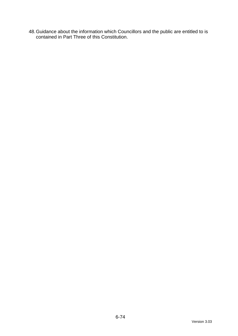48.Guidance about the information which Councillors and the public are entitled to is contained in Part Three of this Constitution.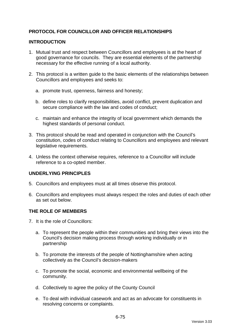# **PROTOCOL FOR COUNCILLOR AND OFFICER RELATIONSHIPS**

## **INTRODUCTION**

- 1. Mutual trust and respect between Councillors and employees is at the heart of good governance for councils. They are essential elements of the partnership necessary for the effective running of a local authority.
- 2. This protocol is a written guide to the basic elements of the relationships between Councillors and employees and seeks to:
	- a. promote trust, openness, fairness and honesty;
	- b. define roles to clarify responsibilities, avoid conflict, prevent duplication and secure compliance with the law and codes of conduct;
	- c. maintain and enhance the integrity of local government which demands the highest standards of personal conduct.
- 3. This protocol should be read and operated in conjunction with the Council's constitution, codes of conduct relating to Councillors and employees and relevant legislative requirements.
- 4. Unless the context otherwise requires, reference to a Councillor will include reference to a co-opted member.

## **UNDERLYING PRINCIPLES**

- 5. Councillors and employees must at all times observe this protocol.
- 6. Councillors and employees must always respect the roles and duties of each other as set out below.

#### **THE ROLE OF MEMBERS**

- 7. It is the role of Councillors:
	- a. To represent the people within their communities and bring their views into the Council's decision making process through working individually or in partnership
	- b. To promote the interests of the people of Nottinghamshire when acting collectively as the Council's decision-makers
	- c. To promote the social, economic and environmental wellbeing of the community.
	- d. Collectively to agree the policy of the County Council
	- e. To deal with individual casework and act as an advocate for constituents in resolving concerns or complaints.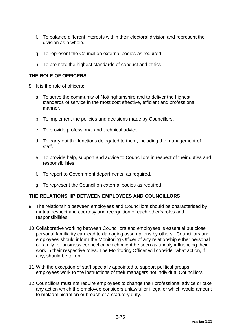- f. To balance different interests within their electoral division and represent the division as a whole.
- g. To represent the Council on external bodies as required.
- h. To promote the highest standards of conduct and ethics.

## **THE ROLE OF OFFICERS**

- 8. It is the role of officers:
	- a. To serve the community of Nottinghamshire and to deliver the highest standards of service in the most cost effective, efficient and professional manner.
	- b. To implement the policies and decisions made by Councillors.
	- c. To provide professional and technical advice.
	- d. To carry out the functions delegated to them, including the management of staff.
	- e. To provide help, support and advice to Councillors in respect of their duties and responsibilities
	- f. To report to Government departments, as required.
	- g. To represent the Council on external bodies as required.

#### **THE RELATIONSHIP BETWEEN EMPLOYEES AND COUNCILLORS**

- 9. The relationship between employees and Councillors should be characterised by mutual respect and courtesy and recognition of each other's roles and responsibilities.
- 10.Collaborative working between Councillors and employees is essential but close personal familiarity can lead to damaging assumptions by others. Councillors and employees should inform the Monitoring Officer of any relationship either personal or family, or business connection which might be seen as unduly influencing their work in their respective roles. The Monitoring Officer will consider what action, if any, should be taken.
- 11.With the exception of staff specially appointed to support political groups, employees work to the instructions of their managers not individual Councillors.
- 12.Councillors must not require employees to change their professional advice or take any action which the employee considers unlawful or illegal or which would amount to maladministration or breach of a statutory duty.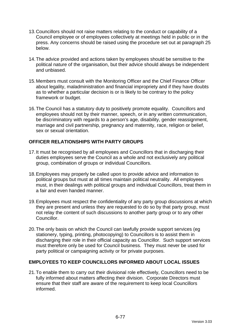- 13.Councillors should not raise matters relating to the conduct or capability of a Council employee or of employees collectively at meetings held in public or in the press. Any concerns should be raised using the procedure set out at paragraph 25 below.
- 14.The advice provided and actions taken by employees should be sensitive to the political nature of the organisation, but their advice should always be independent and unbiased.
- 15.Members must consult with the Monitoring Officer and the Chief Finance Officer about legality, maladministration and financial impropriety and if they have doubts as to whether a particular decision is or is likely to be contrary to the policy framework or budget.
- 16.The Council has a statutory duty to positively promote equality. Councillors and employees should not by their manner, speech, or in any written communication, be discriminatory with regards to a person's age, disability, gender reassignment, marriage and civil partnership, pregnancy and maternity, race, religion or belief, sex or sexual orientation.

# **OFFICER RELATIONSHIPS WITH PARTY GROUPS**

- 17.It must be recognised by all employees and Councillors that in discharging their duties employees serve the Council as a whole and not exclusively any political group, combination of groups or individual Councillors.
- 18.Employees may properly be called upon to provide advice and information to political groups but must at all times maintain political neutrality. All employees must, in their dealings with political groups and individual Councillors, treat them in a fair and even handed manner.
- 19.Employees must respect the confidentiality of any party group discussions at which they are present and unless they are requested to do so by that party group, must not relay the content of such discussions to another party group or to any other Councillor.
- 20.The only basis on which the Council can lawfully provide support services (eg stationery, typing, printing, photocopying) to Councillors is to assist them in discharging their role in their official capacity as Councillor. Such support services must therefore only be used for Council business. They must never be used for party political or campaigning activity or for private purposes.

#### **EMPLOYEES TO KEEP COUNCILLORS INFORMED ABOUT LOCAL ISSUES**

21.To enable them to carry out their divisional role effectively, Councillors need to be fully informed about matters affecting their division. Corporate Directors must ensure that their staff are aware of the requirement to keep local Councillors informed.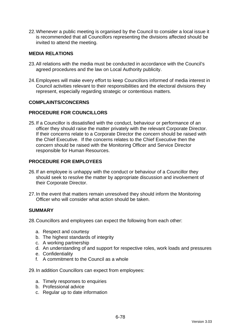22.Whenever a public meeting is organised by the Council to consider a local issue it is recommended that all Councillors representing the divisions affected should be invited to attend the meeting.

## **MEDIA RELATIONS**

- 23.All relations with the media must be conducted in accordance with the Council's agreed procedures and the law on Local Authority publicity.
- 24.Employees will make every effort to keep Councillors informed of media interest in Council activities relevant to their responsibilities and the electoral divisions they represent, especially regarding strategic or contentious matters.

## **COMPLAINTS/CONCERNS**

#### **PROCEDURE FOR COUNCILLORS**

25.If a Councillor is dissatisfied with the conduct, behaviour or performance of an officer they should raise the matter privately with the relevant Corporate Director. If their concerns relate to a Corporate Director the concern should be raised with the Chief Executive. If the concerns relates to the Chief Executive then the concern should be raised with the Monitoring Officer and Service Director responsible for Human Resources.

## **PROCEDURE FOR EMPLOYEES**

- 26.If an employee is unhappy with the conduct or behaviour of a Councillor they should seek to resolve the matter by appropriate discussion and involvement of their Corporate Director.
- 27.In the event that matters remain unresolved they should inform the Monitoring Officer who will consider what action should be taken.

#### **SUMMARY**

28.Councillors and employees can expect the following from each other:

- a. Respect and courtesy
- b. The highest standards of integrity
- c. A working partnership
- d. An understanding of and support for respective roles, work loads and pressures
- e. Confidentiality
- f. A commitment to the Council as a whole
- 29.In addition Councillors can expect from employees:
	- a. Timely responses to enquiries
	- b. Professional advice
	- c. Regular up to date information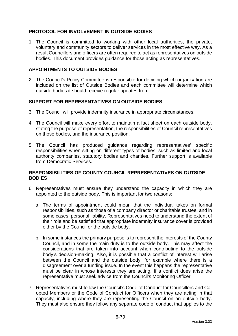## **PROTOCOL FOR INVOLVEMENT IN OUTSIDE BODIES**

1. The Council is committed to working with other local authorities, the private, voluntary and community sectors to deliver services in the most effective way. As a result Councillors and officers are often required to act as representatives on outside bodies. This document provides guidance for those acting as representatives.

#### **APPOINTMENTS TO OUTSIDE BODIES**

2. The Council's Policy Committee is responsible for deciding which organisation are included on the list of Outside Bodies and each committee will determine which outside bodies it should receive regular updates from.

## **SUPPORT FOR REPRESENTATIVES ON OUTSIDE BODIES**

- 3. The Council will provide indemnity insurance in appropriate circumstances.
- 4. The Council will make every effort to maintain a fact sheet on each outside body, stating the purpose of representation, the responsibilities of Council representatives on those bodies, and the insurance position.
- 5. The Council has produced guidance regarding representatives' specific responsibilities when sitting on different types of bodies, such as limited and local authority companies, statutory bodies and charities. Further support is available from Democratic Services.

## **RESPONSIBILITIES OF COUNTY COUNCIL REPRESENTATIVES ON OUTSIDE BODIES**

- 6. Representatives must ensure they understand the capacity in which they are appointed to the outside body. This is important for two reasons:
	- a. The terms of appointment could mean that the individual takes on formal responsibilities, such as those of a company director or charitable trustee, and in some cases, personal liability. Representatives need to understand the extent of their role and be satisfied that appropriate indemnity insurance cover is provided either by the Council or the outside body.
	- b. In some instances the primary purpose is to represent the interests of the County Council, and in some the main duty is to the outside body. This may affect the considerations that are taken into account when contributing to the outside body's decision-making. Also, it is possible that a conflict of interest will arise between the Council and the outside body, for example where there is a disagreement over a funding issue. In the event this happens the representative must be clear in whose interests they are acting. If a conflict does arise the representative must seek advice from the Council's Monitoring Officer.
- 7. Representatives must follow the Council's Code of Conduct for Councillors and Coopted Members or the Code of Conduct for Officers when they are acting in that capacity, including where they are representing the Council on an outside body. They must also ensure they follow any separate code of conduct that applies to the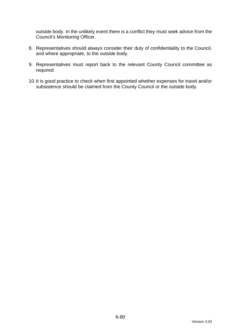outside body. In the unlikely event there is a conflict they must seek advice from the Council's Monitoring Officer.

- 8. Representatives should always consider their duty of confidentiality to the Council, and where appropriate, to the outside body.
- 9. Representatives must report back to the relevant County Council committee as required.
- 10.It is good practice to check when first appointed whether expenses for travel and/or subsistence should be claimed from the County Council or the outside body.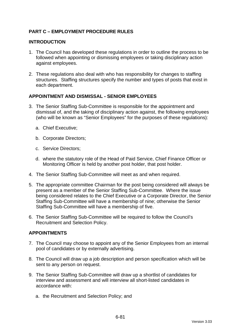# **PART C – EMPLOYMENT PROCEDURE RULES**

#### **INTRODUCTION**

- 1. The Council has developed these regulations in order to outline the process to be followed when appointing or dismissing employees or taking disciplinary action against employees.
- 2. These regulations also deal with who has responsibility for changes to staffing structures. Staffing structures specify the number and types of posts that exist in each department.

## **APPOINTMENT AND DISMISSAL - SENIOR EMPLOYEES**

- 3. The Senior Staffing Sub-Committee is responsible for the appointment and dismissal of, and the taking of disciplinary action against, the following employees (who will be known as "Senior Employees" for the purposes of these regulations):
	- a. Chief Executive;
	- b. Corporate Directors;
	- c. Service Directors;
	- d. where the statutory role of the Head of Paid Service, Chief Finance Officer or Monitoring Officer is held by another post holder, that post holder.
- 4. The Senior Staffing Sub-Committee will meet as and when required.
- 5. The appropriate committee Chairman for the post being considered will always be present as a member of the Senior Staffing Sub-Committee. Where the issue being considered relates to the Chief Executive or a Corporate Director, the Senior Staffing Sub-Committee will have a membership of nine; otherwise the Senior Staffing Sub-Committee will have a membership of five.
- 6. The Senior Staffing Sub-Committee will be required to follow the Council's Recruitment and Selection Policy.

#### **APPOINTMENTS**

- 7. The Council may choose to appoint any of the Senior Employees from an internal pool of candidates or by externally advertising.
- 8. The Council will draw up a job description and person specification which will be sent to any person on request.
- 9. The Senior Staffing Sub-Committee will draw up a shortlist of candidates for interview and assessment and will interview all short-listed candidates in accordance with:
	- a. the Recruitment and Selection Policy; and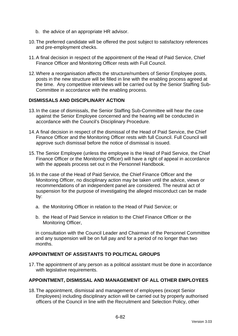- b. the advice of an appropriate HR advisor.
- 10.The preferred candidate will be offered the post subject to satisfactory references and pre-employment checks.
- 11.A final decision in respect of the appointment of the Head of Paid Service, Chief Finance Officer and Monitoring Officer rests with Full Council.
- 12.Where a reorganisation affects the structure/numbers of Senior Employee posts, posts in the new structure will be filled in line with the enabling process agreed at the time. Any competitive interviews will be carried out by the Senior Staffing Sub-Committee in accordance with the enabling process.

## **DISMISSALS AND DISCIPLINARY ACTION**

- 13.In the case of dismissals, the Senior Staffing Sub-Committee will hear the case against the Senior Employee concerned and the hearing will be conducted in accordance with the Council's Disciplinary Procedure.
- 14.A final decision in respect of the dismissal of the Head of Paid Service, the Chief Finance Officer and the Monitoring Officer rests with full Council. Full Council will approve such dismissal before the notice of dismissal is issued.
- 15.The Senior Employee (unless the employee is the Head of Paid Service, the Chief Finance Officer or the Monitoring Officer) will have a right of appeal in accordance with the appeals process set out in the Personnel Handbook.
- 16.In the case of the Head of Paid Service, the Chief Finance Officer and the Monitoring Officer, no disciplinary action may be taken until the advice, views or recommendations of an independent panel are considered. The neutral act of suspension for the purpose of investigating the alleged misconduct can be made by:
	- a. the Monitoring Officer in relation to the Head of Paid Service; or
	- b. the Head of Paid Service in relation to the Chief Finance Officer or the Monitoring Officer,

in consultation with the Council Leader and Chairman of the Personnel Committee and any suspension will be on full pay and for a period of no longer than two months.

## **APPOINTMENT OF ASSISTANTS TO POLITICAL GROUPS**

17.The appointment of any person as a political assistant must be done in accordance with legislative requirements.

#### **APPOINTMENT, DISMISSAL AND MANAGEMENT OF ALL OTHER EMPLOYEES**

18.The appointment, dismissal and management of employees (except Senior Employees) including disciplinary action will be carried out by properly authorised officers of the Council in line with the Recruitment and Selection Policy, other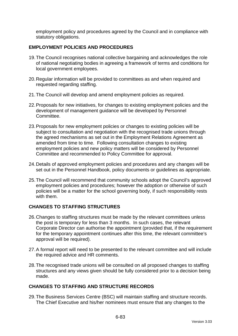employment policy and procedures agreed by the Council and in compliance with statutory obligations.

## **EMPLOYMENT POLICIES AND PROCEDURES**

- 19.The Council recognises national collective bargaining and acknowledges the role of national negotiating bodies in agreeing a framework of terms and conditions for local government employees.
- 20.Regular information will be provided to committees as and when required and requested regarding staffing.
- 21.The Council will develop and amend employment policies as required.
- 22.Proposals for new initiatives, for changes to existing employment policies and the development of management guidance will be developed by Personnel Committee.
- 23.Proposals for new employment policies or changes to existing policies will be subject to consultation and negotiation with the recognised trade unions through the agreed mechanisms as set out in the Employment Relations Agreement as amended from time to time. Following consultation changes to existing employment policies and new policy matters will be considered by Personnel Committee and recommended to Policy Committee for approval.
- 24.Details of approved employment policies and procedures and any changes will be set out in the Personnel Handbook, policy documents or guidelines as appropriate.
- 25.The Council will recommend that community schools adopt the Council's approved employment policies and procedures; however the adoption or otherwise of such policies will be a matter for the school governing body, if such responsibility rests with them.

## **CHANGES TO STAFFING STRUCTURES**

- 26.Changes to staffing structures must be made by the relevant committees unless the post is temporary for less than 3 months. In such cases, the relevant Corporate Director can authorise the appointment (provided that, if the requirement for the temporary appointment continues after this time, the relevant committee's approval will be required).
- 27.A formal report will need to be presented to the relevant committee and will include the required advice and HR comments.
- 28.The recognised trade unions will be consulted on all proposed changes to staffing structures and any views given should be fully considered prior to a decision being made.

## **CHANGES TO STAFFING AND STRUCTURE RECORDS**

29.The Business Services Centre (BSC) will maintain staffing and structure records. The Chief Executive and his/her nominees must ensure that any changes to the